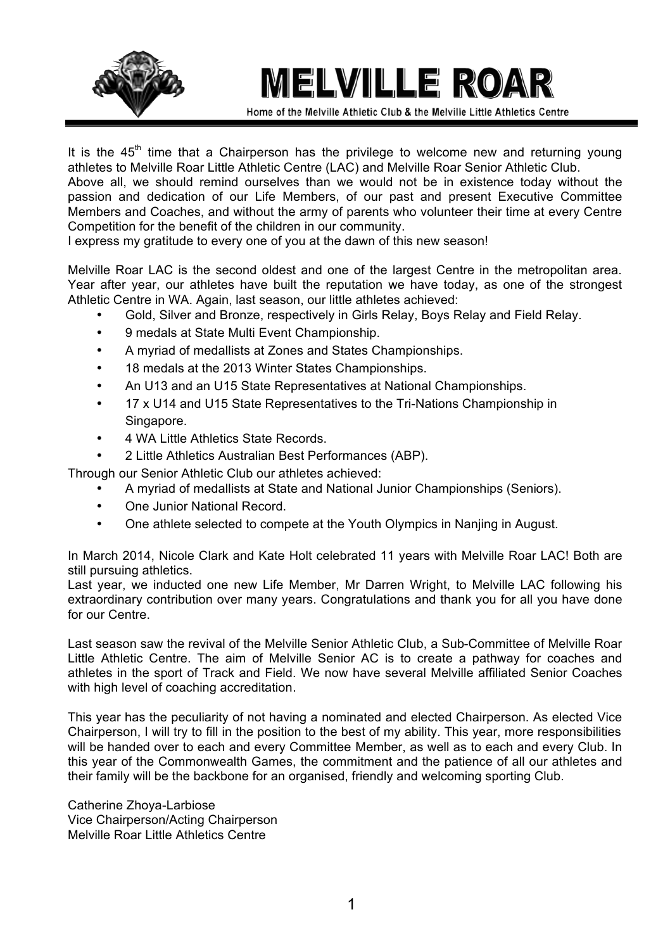

## **MELVILLE ROAR**

Home of the Melville Athletic Club & the Melville Little Athletics Centre

It is the  $45<sup>th</sup>$  time that a Chairperson has the privilege to welcome new and returning young athletes to Melville Roar Little Athletic Centre (LAC) and Melville Roar Senior Athletic Club.

Above all, we should remind ourselves than we would not be in existence today without the passion and dedication of our Life Members, of our past and present Executive Committee Members and Coaches, and without the army of parents who volunteer their time at every Centre Competition for the benefit of the children in our community.

I express my gratitude to every one of you at the dawn of this new season!

Melville Roar LAC is the second oldest and one of the largest Centre in the metropolitan area. Year after year, our athletes have built the reputation we have today, as one of the strongest Athletic Centre in WA. Again, last season, our little athletes achieved:

- Gold, Silver and Bronze, respectively in Girls Relay, Boys Relay and Field Relay.
- 9 medals at State Multi Event Championship.
- A myriad of medallists at Zones and States Championships.
- 18 medals at the 2013 Winter States Championships.
- An U13 and an U15 State Representatives at National Championships.
- 17 x U14 and U15 State Representatives to the Tri-Nations Championship in **Singapore**
- 4 WA Little Athletics State Records.
- 2 Little Athletics Australian Best Performances (ABP).
- Through our Senior Athletic Club our athletes achieved:
	- A myriad of medallists at State and National Junior Championships (Seniors).
	- One Junior National Record.
	- One athlete selected to compete at the Youth Olympics in Nanjing in August.

In March 2014, Nicole Clark and Kate Holt celebrated 11 years with Melville Roar LAC! Both are still pursuing athletics.

Last year, we inducted one new Life Member, Mr Darren Wright, to Melville LAC following his extraordinary contribution over many years. Congratulations and thank you for all you have done for our Centre.

Last season saw the revival of the Melville Senior Athletic Club, a Sub-Committee of Melville Roar Little Athletic Centre. The aim of Melville Senior AC is to create a pathway for coaches and athletes in the sport of Track and Field. We now have several Melville affiliated Senior Coaches with high level of coaching accreditation.

This year has the peculiarity of not having a nominated and elected Chairperson. As elected Vice Chairperson, I will try to fill in the position to the best of my ability. This year, more responsibilities will be handed over to each and every Committee Member, as well as to each and every Club. In this year of the Commonwealth Games, the commitment and the patience of all our athletes and their family will be the backbone for an organised, friendly and welcoming sporting Club.

Catherine Zhoya-Larbiose Vice Chairperson/Acting Chairperson Melville Roar Little Athletics Centre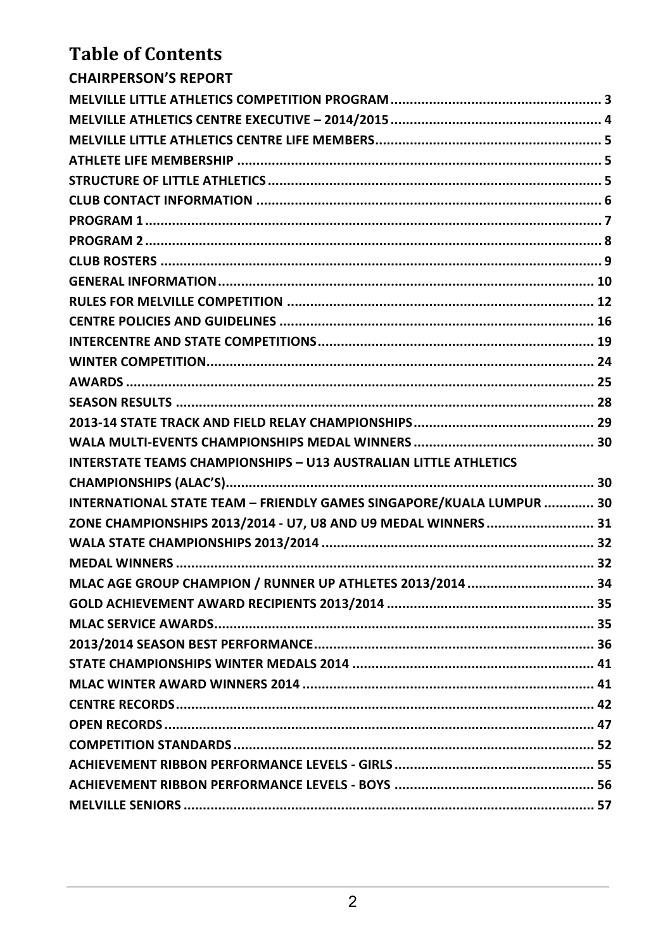### **Table of Contents**

| <b>CHAIRPERSON'S REPORT</b>                                          |  |
|----------------------------------------------------------------------|--|
|                                                                      |  |
|                                                                      |  |
|                                                                      |  |
|                                                                      |  |
|                                                                      |  |
|                                                                      |  |
|                                                                      |  |
|                                                                      |  |
|                                                                      |  |
|                                                                      |  |
|                                                                      |  |
|                                                                      |  |
|                                                                      |  |
|                                                                      |  |
|                                                                      |  |
|                                                                      |  |
|                                                                      |  |
|                                                                      |  |
| INTERSTATE TEAMS CHAMPIONSHIPS – U13 AUSTRALIAN LITTLE ATHLETICS     |  |
|                                                                      |  |
| INTERNATIONAL STATE TEAM - FRIENDLY GAMES SINGAPORE/KUALA LUMPUR  30 |  |
| ZONE CHAMPIONSHIPS 2013/2014 - U7, U8 AND U9 MEDAL WINNERS  31       |  |
|                                                                      |  |
|                                                                      |  |
| MLAC AGE GROUP CHAMPION / RUNNER UP ATHLETES 2013/2014  34           |  |
|                                                                      |  |
|                                                                      |  |
|                                                                      |  |
|                                                                      |  |
|                                                                      |  |
|                                                                      |  |
|                                                                      |  |
|                                                                      |  |
|                                                                      |  |
|                                                                      |  |
|                                                                      |  |
|                                                                      |  |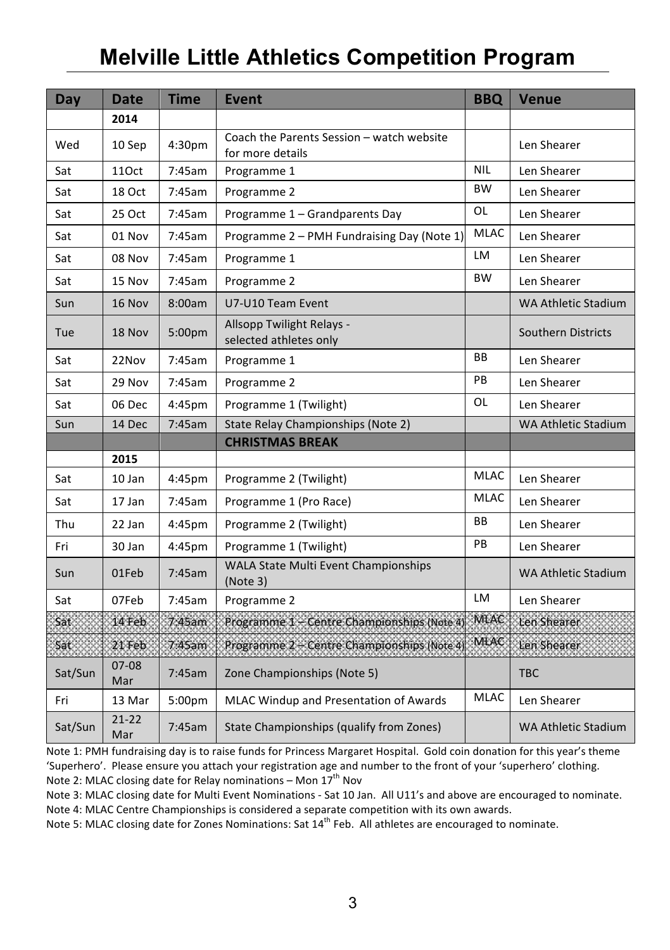### **Melville Little Athletics Competition Program**

| Day        | Date             | <b>Time</b>        | <b>Event</b>                                                  | <b>BBQ</b>  | <b>Venue</b>               |
|------------|------------------|--------------------|---------------------------------------------------------------|-------------|----------------------------|
|            | 2014             |                    |                                                               |             |                            |
| Wed        | 10 Sep           | 4:30pm             | Coach the Parents Session - watch website<br>for more details |             | Len Shearer                |
| Sat        | 11Oct            | 7:45am             | Programme 1                                                   | <b>NIL</b>  | Len Shearer                |
| Sat        | 18 Oct           | 7:45am             | Programme 2                                                   | <b>BW</b>   | Len Shearer                |
| Sat        | 25 Oct           | 7:45am             | Programme 1 - Grandparents Day                                | OL          | Len Shearer                |
| Sat        | 01 Nov           | 7:45am             | Programme 2 - PMH Fundraising Day (Note 1)                    | <b>MLAC</b> | Len Shearer                |
| Sat        | 08 Nov           | 7:45am             | Programme 1                                                   | LM          | Len Shearer                |
| Sat        | 15 Nov           | 7:45am             | Programme 2                                                   | <b>BW</b>   | Len Shearer                |
| Sun        | 16 Nov           | 8:00am             | U7-U10 Team Event                                             |             | <b>WA Athletic Stadium</b> |
| <b>Tue</b> | <b>18 Nov</b>    | 5:00 <sub>pm</sub> | Allsopp Twilight Relays -<br>selected athletes only           |             | <b>Southern Districts</b>  |
| Sat        | 22Nov            | 7:45am             | Programme 1                                                   | <b>BB</b>   | Len Shearer                |
| Sat        | 29 Nov           | 7:45am             | Programme 2                                                   | PB          | Len Shearer                |
| Sat        | 06 Dec           | 4:45pm             | Programme 1 (Twilight)                                        | OL          | Len Shearer                |
| Sun        | 14 Dec           | 7:45am             | State Relay Championships (Note 2)                            |             | <b>WA Athletic Stadium</b> |
|            |                  |                    | <b>CHRISTMAS BREAK</b>                                        |             |                            |
|            | 2015             |                    |                                                               |             |                            |
| Sat        | $10$ Jan         | 4:45pm             | Programme 2 (Twilight)                                        | <b>MLAC</b> | Len Shearer                |
| Sat        | 17 Jan           | 7:45am             | Programme 1 (Pro Race)                                        | <b>MLAC</b> | Len Shearer                |
| Thu        | 22 Jan           | 4:45 <sub>pm</sub> | Programme 2 (Twilight)                                        | <b>BB</b>   | Len Shearer                |
| Fri        | 30 Jan           | 4:45pm             | Programme 1 (Twilight)                                        | PB          | Len Shearer                |
| Sun        | 01Feb            | 7:45am             | WALA State Multi Event Championships<br>(Note3)               |             | <b>WA Athletic Stadium</b> |
| Sat        | 07Feb            | 7:45am             | Programme 2                                                   | <b>LM</b>   | Len Shearer                |
| Sat :      | 14 Feb.          | 7.45am             | Programme 1 - Centre Championships (Note 4)                   | MLAC        | Len Shearer                |
| Sat        | 21 Feb           | 7.45am             | Programme 2 - Centre Championships (Note 4                    | MLAC        | Len Shearer                |
| Sat/Sun    | $07 - 08$<br>Mar | 7:45am             | Zone Championships (Note 5)                                   |             | <b>TBC</b>                 |
| Fri        | 13 Mar           | 5:00 <sub>pm</sub> | MLAC Windup and Presentation of Awards                        | MLAC        | Len Shearer                |
| Sat/Sun    | $21 - 22$<br>Mar | 7:45am             | State Championships (qualify from Zones)                      |             | <b>WA Athletic Stadium</b> |

Note 1: PMH fundraising day is to raise funds for Princess Margaret Hospital. Gold coin donation for this year's theme 'Superhero'. Please ensure you attach your registration age and number to the front of your 'superhero' clothing. Note 2: MLAC closing date for Relay nominations - Mon  $17<sup>th</sup>$  Nov

Note 3: MLAC closing date for Multi Event Nominations - Sat 10 Jan. All U11's and above are encouraged to nominate. Note 4: MLAC Centre Championships is considered a separate competition with its own awards.

Note 4: MENE CERRIC Championships is considered a separate competition with its own awards.<br>Note 5: MLAC closing date for Zones Nominations: Sat 14<sup>th</sup> Feb. All athletes are encouraged to nominate.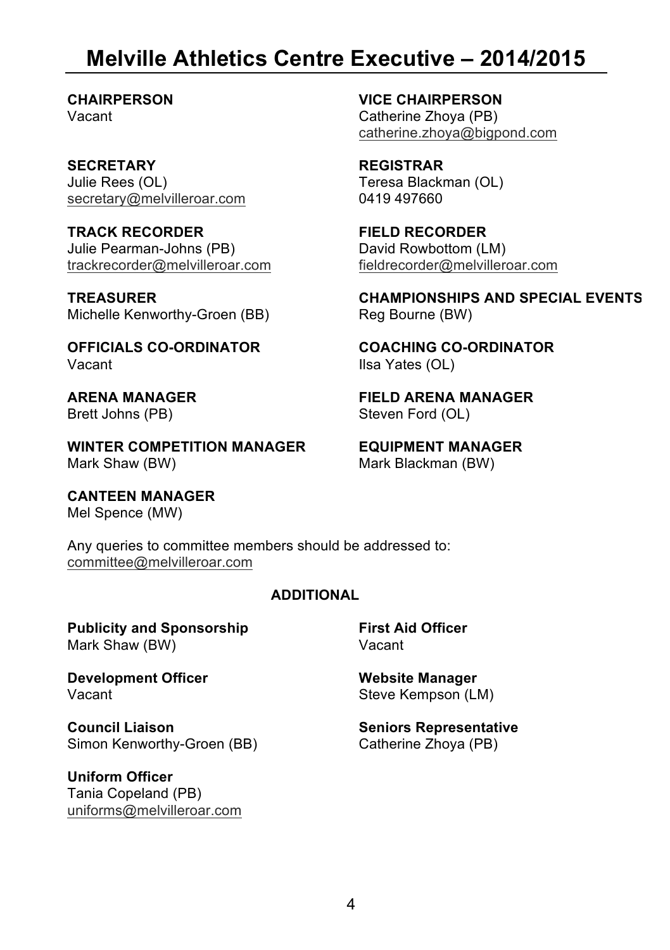### **Melville Athletics Centre Executive – 2014/2015**

**SECRETARY REGISTRAR** Julie Rees (OL) secretary@melvilleroar.com

**TRACK RECORDER FIELD RECORDER** Julie Pearman-Johns (PB) trackrecorder@melvilleroar.com

Michelle Kenworthy-Groen (BB)

**WINTER COMPETITION MANAGER EQUIPMENT MANAGER**

**CANTEEN MANAGER** Mel Spence (MW)

**CHAIRPERSON VICE CHAIRPERSON**  Catherine Zhoya (PB) catherine.zhoya@bigpond.com

> Teresa Blackman (OL) 0419 497660

David Rowbottom (LM) fieldrecorder@melvilleroar.com

**TREASURER CHAMPIONSHIPS AND SPECIAL EVENTS**

**OFFICIALS CO-ORDINATOR**<br>Vacant<br>Ilsa Yates (OL) Ilsa Yates (OL)

**ARENA MANAGER FIELD ARENA MANAGER** Steven Ford (OL)

Mark Blackman (BW)

Any queries to committee members should be addressed to: committee@melvilleroar.com

#### **ADDITIONAL**

**Publicity and Sponsorship First Aid Officer**<br>Mark Shaw (RW) **Mark Shaw** Mark Shaw (BW)

**Development Officer**<br>Vacant<br>Vacant<br>*News Kempson (I)* 

**Council Liaison**<br>
Simon Kenworthy-Groen (BB) Simon Kenworthy-Groen (BB) Catherine Zhova (PB) Simon Kenworthy-Groen (BB)

**Uniform Officer** Tania Copeland (PB) uniforms@melvilleroar.com

Steve Kempson (LM)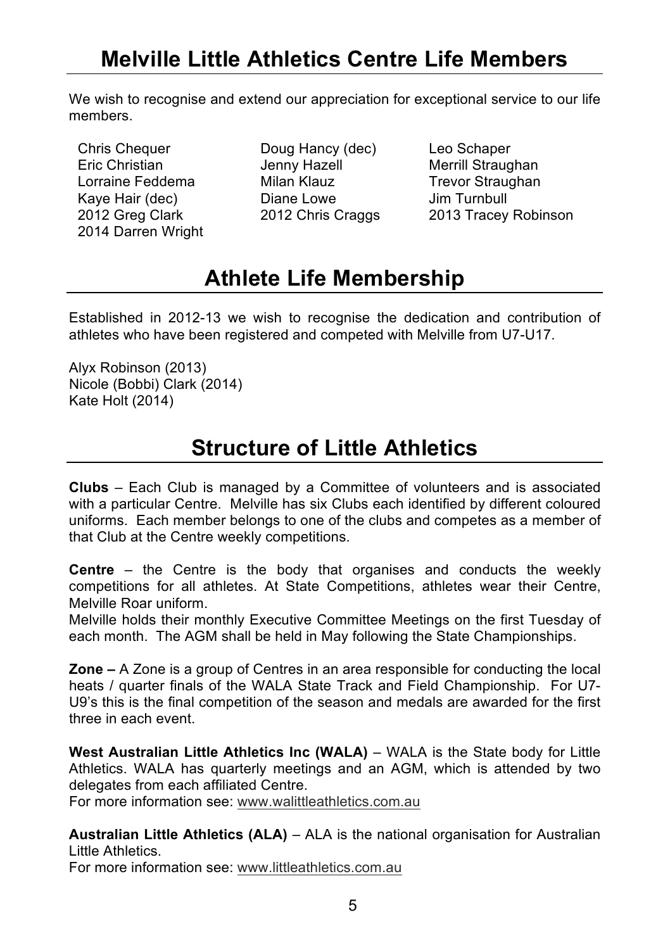### **Melville Little Athletics Centre Life Members**

We wish to recognise and extend our appreciation for exceptional service to our life members.

- 2014 Darren Wright
- Chris Chequer **Doug Hancy (dec)** Leo Schaper<br>
Eric Christian Jenny Hazell Merrill Straug Eric Christian **International Merrill Straughan**<br>1 orraine Feddema Milan Klauz Martin Trevor Straughan Milan Klauz **Trevor Straughan**<br>Diane Lowe Jim Turnbull Kaye Hair (dec) Canane Lowe<br>1992 Greg Clark Canan 2012 Chris Craggs

2013 Tracey Robinson

### **Athlete Life Membership**

Established in 2012-13 we wish to recognise the dedication and contribution of athletes who have been registered and competed with Melville from U7-U17.

Alyx Robinson (2013) Nicole (Bobbi) Clark (2014) Kate Holt (2014)

### **Structure of Little Athletics**

**Clubs** – Each Club is managed by a Committee of volunteers and is associated with a particular Centre. Melville has six Clubs each identified by different coloured uniforms. Each member belongs to one of the clubs and competes as a member of that Club at the Centre weekly competitions.

**Centre** – the Centre is the body that organises and conducts the weekly competitions for all athletes. At State Competitions, athletes wear their Centre, Melville Roar uniform.

Melville holds their monthly Executive Committee Meetings on the first Tuesday of each month. The AGM shall be held in May following the State Championships.

**Zone –** A Zone is a group of Centres in an area responsible for conducting the local heats / quarter finals of the WALA State Track and Field Championship. For U7- U9's this is the final competition of the season and medals are awarded for the first three in each event.

**West Australian Little Athletics Inc (WALA)** – WALA is the State body for Little Athletics. WALA has quarterly meetings and an AGM, which is attended by two delegates from each affiliated Centre.

For more information see: www.walittleathletics.com.au

**Australian Little Athletics (ALA)** – ALA is the national organisation for Australian Little Athletics.

For more information see: www.littleathletics.com.au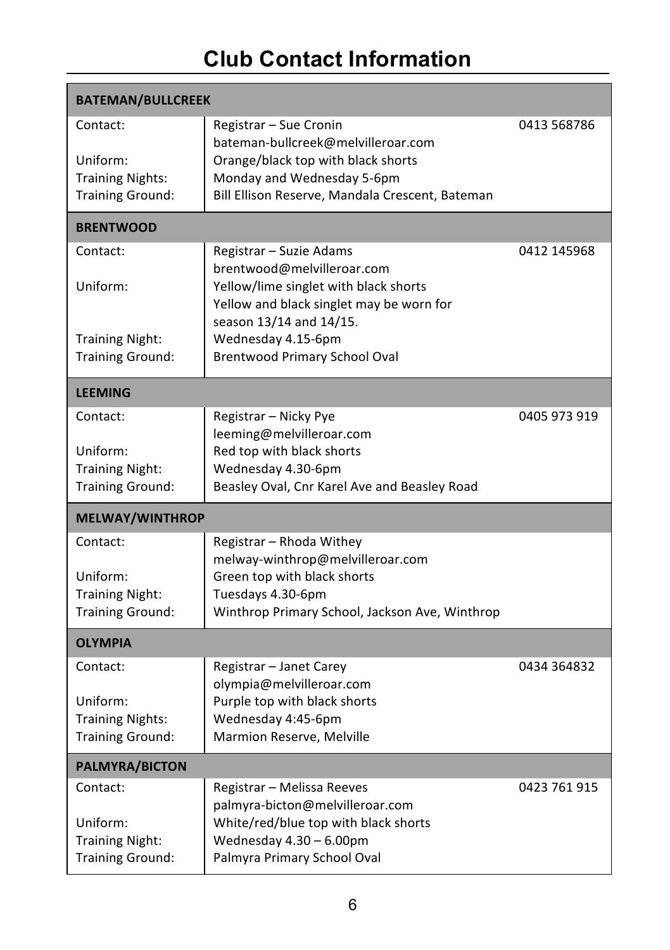### **Club Contact Information**

| <b>BATEMAN/BULLCREEK</b>            |                                                                     |              |  |  |  |  |  |  |
|-------------------------------------|---------------------------------------------------------------------|--------------|--|--|--|--|--|--|
| Contact:                            | Registrar - Sue Cronin<br>bateman-bullcreek@melvilleroar.com        | 0413 568786  |  |  |  |  |  |  |
| Uniform:                            | Orange/black top with black shorts                                  |              |  |  |  |  |  |  |
| <b>Training Nights:</b>             | Monday and Wednesday 5-6pm                                          |              |  |  |  |  |  |  |
| <b>Training Ground:</b>             | Bill Ellison Reserve, Mandala Crescent, Bateman                     |              |  |  |  |  |  |  |
| <b>BRENTWOOD</b>                    |                                                                     |              |  |  |  |  |  |  |
| Contact:                            | Registrar - Suzie Adams                                             | 0412 145968  |  |  |  |  |  |  |
| Uniform:                            | brentwood@melvilleroar.com<br>Yellow/lime singlet with black shorts |              |  |  |  |  |  |  |
|                                     | Yellow and black singlet may be worn for                            |              |  |  |  |  |  |  |
|                                     | season 13/14 and 14/15.                                             |              |  |  |  |  |  |  |
| <b>Training Night:</b>              | Wednesday 4.15-6pm                                                  |              |  |  |  |  |  |  |
| <b>Training Ground:</b>             | <b>Brentwood Primary School Oval</b>                                |              |  |  |  |  |  |  |
| <b>LEEMING</b>                      |                                                                     |              |  |  |  |  |  |  |
| Contact:                            | Registrar – Nicky Pye                                               | 0405 973 919 |  |  |  |  |  |  |
|                                     | leeming@melvilleroar.com                                            |              |  |  |  |  |  |  |
| Uniform:<br><b>Training Night:</b>  | Red top with black shorts<br>Wednesday 4.30-6pm                     |              |  |  |  |  |  |  |
| <b>Training Ground:</b>             | Beasley Oval, Cnr Karel Ave and Beasley Road                        |              |  |  |  |  |  |  |
|                                     |                                                                     |              |  |  |  |  |  |  |
| <b>MELWAY/WINTHROP</b>              |                                                                     |              |  |  |  |  |  |  |
| Contact:                            | Registrar - Rhoda Withey                                            |              |  |  |  |  |  |  |
| Uniform:                            | melway-winthrop@melvilleroar.com<br>Green top with black shorts     |              |  |  |  |  |  |  |
| <b>Training Night:</b>              | Tuesdays 4.30-6pm                                                   |              |  |  |  |  |  |  |
| <b>Training Ground:</b>             | Winthrop Primary School, Jackson Ave, Winthrop                      |              |  |  |  |  |  |  |
| <b>OLYMPIA</b>                      |                                                                     |              |  |  |  |  |  |  |
| Contact:                            | Registrar - Janet Carey                                             | 0434 364832  |  |  |  |  |  |  |
|                                     | olympia@melvilleroar.com                                            |              |  |  |  |  |  |  |
| Uniform:<br><b>Training Nights:</b> | Purple top with black shorts<br>Wednesday 4:45-6pm                  |              |  |  |  |  |  |  |
| <b>Training Ground:</b>             | Marmion Reserve, Melville                                           |              |  |  |  |  |  |  |
| <b>PALMYRA/BICTON</b>               |                                                                     |              |  |  |  |  |  |  |
| Contact:                            | Registrar - Melissa Reeves                                          | 0423 761 915 |  |  |  |  |  |  |
|                                     | palmyra-bicton@melvilleroar.com                                     |              |  |  |  |  |  |  |
| Uniform:                            | White/red/blue top with black shorts                                |              |  |  |  |  |  |  |
| <b>Training Night:</b>              | Wednesday $4.30 - 6.00$ pm                                          |              |  |  |  |  |  |  |
| <b>Training Ground:</b>             | Palmyra Primary School Oval                                         |              |  |  |  |  |  |  |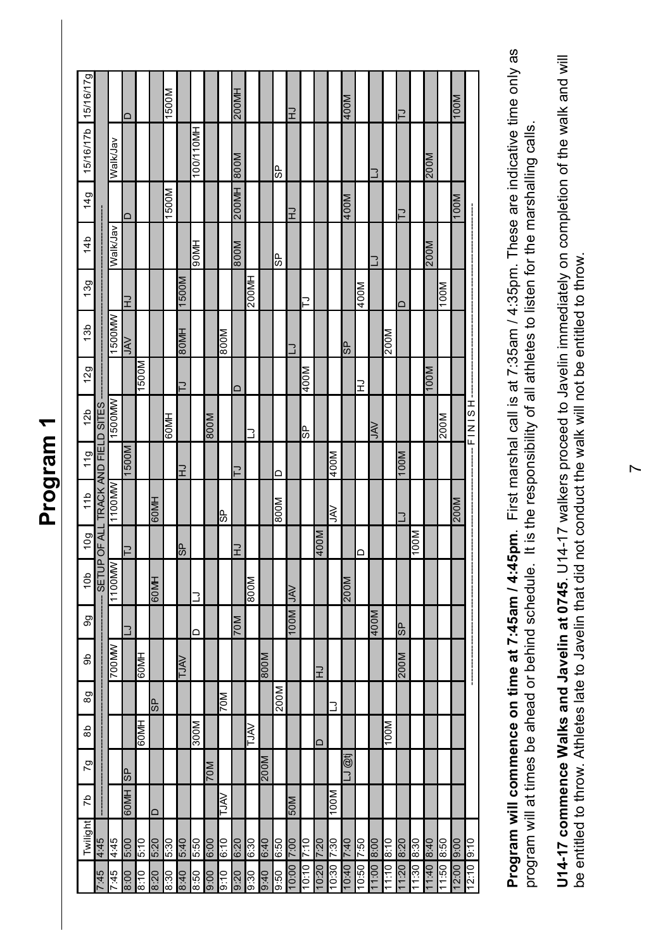|                     |                                    |                 | $\Box$         |             |        | 1500M        |                |          |             |             | 200MH       |             |                 |      | $\vec{r}$  |            |           |            | M00t           |            |              |            | $\overline{\phantom{a}}$ |            |           |           | 100M        |                              |
|---------------------|------------------------------------|-----------------|----------------|-------------|--------|--------------|----------------|----------|-------------|-------------|-------------|-------------|-----------------|------|------------|------------|-----------|------------|----------------|------------|--------------|------------|--------------------------|------------|-----------|-----------|-------------|------------------------------|
| 15/16/17b 15/16/17g |                                    | Walk/Jav        |                |             |        |              |                | 00/110MH |             |             | <b>M008</b> |             |                 | မ္တ  |            |            |           |            |                |            | $\exists$    |            |                          |            | 200M      |           |             |                              |
| 14g                 |                                    |                 | ∩              |             |        | 500M         |                |          |             |             | 200MH       |             |                 |      | $\vec{r}$  |            |           |            | 400M           |            |              |            | $\overline{ }$           |            |           |           | <b>M00L</b> |                              |
| 14b                 |                                    | <b>Walk/Jav</b> |                |             |        |              |                | 90MH     |             |             | <b>M008</b> |             |                 | မ္တ  |            |            |           |            |                |            | $\mathbf{r}$ |            |                          |            | 200M      |           |             |                              |
| 13g                 |                                    |                 | $\vec{r}$      |             |        |              | 1500M          |          |             |             |             | 200MH       |                 |      |            | ⊇          |           |            |                | 400M       |              |            | ≏                        |            |           | 100M      |             |                              |
| 13 <sub>b</sub>     |                                    | <b>WW0051</b>   | <b>NN</b>      |             |        |              | 80MH           |          |             | 800M        |             |             |                 |      | د          |            |           |            | 9S             |            |              | 200M       |                          |            |           |           |             |                              |
| 12g                 |                                    |                 |                | <b>N009</b> |        |              | $\overline{z}$ |          |             |             | $\Box$      |             |                 |      |            | M00/       |           |            |                | 궆          |              |            |                          |            | 100M      |           |             |                              |
| 12 <sub>b</sub>     |                                    | <b>WW0051</b>   |                |             |        | <b>HINO9</b> |                |          | <b>M008</b> |             |             | נ           |                 |      |            | 9S         |           |            |                |            | ŠΥ           |            |                          |            |           | 200M      |             | $-L$<br>$-L$<br>$-L$<br>$-L$ |
| 119                 |                                    |                 | <b>M009</b>    |             |        |              | ⊋              |          |             |             | $\supset$   |             |                 | ≏    |            |            |           | 400M       |                |            |              |            | M00                      |            |           |           |             |                              |
| 11b                 | SETUP OF ALL TRACK AND FIELD SITES | 1100MW          |                |             | 60MH   |              |                |          |             | မ္ပ         |             |             |                 | 800M |            |            |           | ₹          |                |            |              |            | د                        |            |           |           | 200M        |                              |
| 10g                 |                                    |                 | $\overline{z}$ |             |        |              | <b>AS</b>      |          |             |             | 궆           |             |                 |      |            |            | M00+      |            |                | $\Box$     |              |            |                          | 100M       |           |           |             |                              |
| 10 <sub>b</sub>     |                                    | <b>WW0011</b>   |                |             | 60MH   |              |                | נ        |             |             |             | 800M        |                 |      | <b>NAL</b> |            |           |            | <b>M00Z</b>    |            |              |            |                          |            |           |           |             |                              |
| 9g                  |                                    |                 | 3              |             |        |              |                | ≏        |             |             | <b>M02</b>  |             |                 |      | 100M       |            |           |            |                |            | 400M         |            | <b>GP</b>                |            |           |           |             |                              |
| ab                  |                                    | <b>VWN007</b>   |                | <b>HM09</b> |        |              | <b>VALT</b>    |          |             |             |             |             | <b>M008</b>     |      |            |            | $\vec{r}$ |            |                |            |              |            | 200M                     |            |           |           |             | j                            |
| 89                  |                                    |                 |                |             | 9S     |              |                |          |             | 70M         |             |             |                 | 200M |            |            |           | 3          |                |            |              |            |                          |            |           |           |             |                              |
| $\frac{6}{8}$       |                                    |                 |                | HW09        |        |              |                | 300M     |             |             |             | <b>NALT</b> |                 |      |            |            | ≏         |            |                |            |              | 100M       |                          |            |           |           |             |                              |
| o                   |                                    |                 | 4S             |             |        |              |                |          | 70M         |             |             |             | <b>MO</b><br>07 |      |            |            |           |            | <b>TO</b><br>∃ |            |              |            |                          |            |           |           |             |                              |
| <b>d</b>            |                                    |                 | 60MH           |             | $\Box$ |              |                |          |             | <b>NALT</b> |             |             |                 |      | 50M        |            |           | 100M       |                |            |              |            |                          |            |           |           |             |                              |
| Twilight            | 4:45                               | 97:7            | 00:9           | 01:9        | 5:20   | 5:30         | 07:9           | 5:50     | 00:9        | 6:10        | 07:9        | 03:0        | 07:9            | 6:50 |            |            | 02:2      |            |                |            | 1.00 8:00    |            | 1:20 8:20                |            | 07:8 07:1 |           |             |                              |
|                     | <b>St:2</b>                        | 7:45            | 00:8           | 01.8        | 8:20   | 8:30         | 8:40           | 09:8     | 00:6        | 9:10        | 07:6        | 06:6        | 0t:6            | 0.50 | 00:2 00:0  | 01:7 01:01 | 07:0      | 10:30 7:30 | 07:2 07:0      | 05:2 09:01 |              | 01:8 01:11 |                          | 09:8 09:11 |           | 09:8 09:1 | 00:6 00:21  | 12:10 9:10                   |

**Program will commence on time at 7:45am / 4:45pm**. First marshal call is at 7:35am / 4:35pm. These are indicative time only as the Program will commence on time at 7:45am / 4:45pm. First marshal call is at 7:35am / 4:35pm. These are indicative time only as program will at times be ahead or behind schedule. It is the responsibility of all athletes to listen for the marshalling calls. program will at times be ahead or behind schedule. It is the responsibility of all athletes to listen for the marshalling calls.

U14-17 commence Walks and Javelin at 0745. U14-17 walkers proceed to Javelin immediately on completion of the walk and will **U14-17 commence Walks and Javelin at 0745**. U14-17 walkers proceed to Javelin immediately on completion of the walk and will be entitled to throw. Athletes late to Javelin that did not conduct the walk will not be entitled to throw. be entitled to throw. Athletes late to Javelin that did not conduct the walk will not be entitled to throw.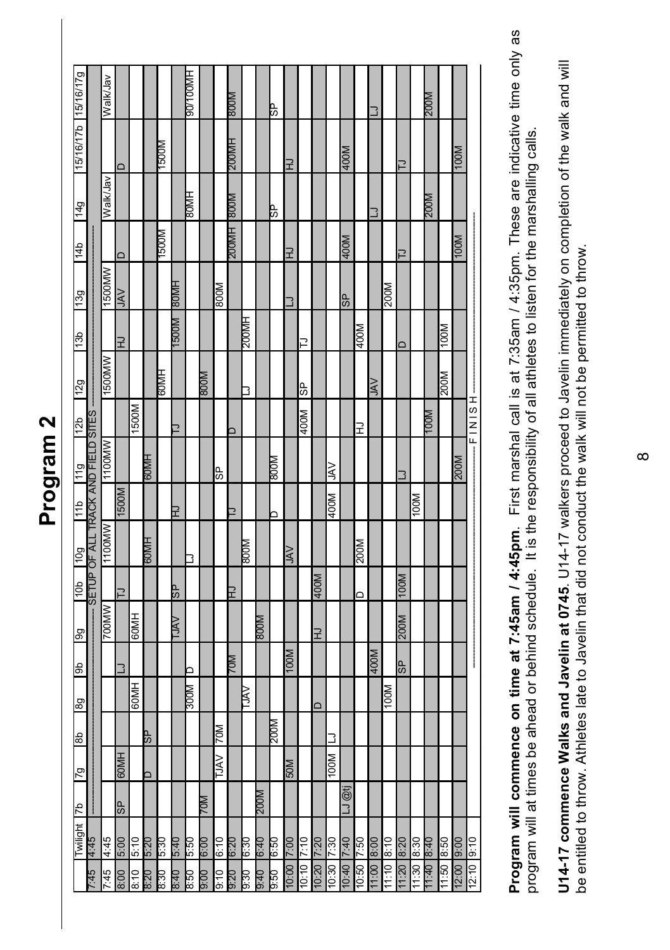| J<br>c |
|--------|
|        |
|        |
|        |
| ١      |
|        |
| ె      |
|        |
|        |
|        |

|                       |                                    | Walk/Jav      |                         |       |      |               |             | HM00L/06       |             |            | <b>MOO8</b>              |       |             | ΨR          |            |       |        |       |                   |       | ∃      |       |                         |       | 200M        |       |             |       |
|-----------------------|------------------------------------|---------------|-------------------------|-------|------|---------------|-------------|----------------|-------------|------------|--------------------------|-------|-------------|-------------|------------|-------|--------|-------|-------------------|-------|--------|-------|-------------------------|-------|-------------|-------|-------------|-------|
| 15/16/17b 15/16/17g   |                                    |               | $\overline{\mathsf{d}}$ |       |      | M0051         |             |                |             |            | 200MH                    |       |             |             | F          |       |        |       | 400M              |       |        |       | ₽                       |       |             |       | 100M        |       |
| 6 <sub>7</sub>        |                                    | Walk/Jav      |                         |       |      |               |             | <b>HMD8</b>    |             |            | <b>M008</b>              |       |             | 4S          |            |       |        |       |                   |       | ٦      |       |                         |       | <b>M00Z</b> |       |             |       |
| 4b                    |                                    |               | $\Box$                  |       |      | M00S          |             |                |             |            | <b>HM002</b>             |       |             |             | F          |       |        |       | 400M              |       |        |       | ₽                       |       |             |       | 100M        |       |
| <b>B<sub>C</sub>L</b> |                                    | 1500MW        | <b>NAL</b>              |       |      |               | HMO8        |                |             | 800M       |                          |       |             |             | $\exists$  |       |        |       | 9S                |       |        | 200M  |                         |       |             |       |             |       |
| <b>961</b>            |                                    |               | 궆                       |       |      |               | M0051       |                |             |            |                          | HW00Z |             |             |            | ⊇     |        |       |                   | 400M  |        |       | ≏                       |       |             | 100M  |             |       |
| 12g                   |                                    | 1500MW        |                         |       |      | <b>HIVID9</b> |             |                | <b>M008</b> |            |                          | כ     |             |             |            | 9S    |        |       |                   |       | $\leq$ |       |                         |       |             | 200M  |             |       |
| 12b                   |                                    |               |                         | M0091 |      |               | ∍           |                |             |            |                          |       |             |             |            | 400M  |        |       |                   | 궆     |        |       |                         |       | <b>MOOI</b> |       |             | $-L$  |
| 11g                   |                                    | <b>MW0011</b> |                         |       | HM09 |               |             |                |             | 9S         |                          |       |             | MOO8        |            |       |        | VY    |                   |       |        |       | נ                       |       |             |       | <b>M00Z</b> |       |
| qLL                   |                                    |               | 1500M                   |       |      |               | СH          |                |             |            | $\overline{\phantom{a}}$ |       |             | ⊐           |            |       |        | 400M  |                   |       |        |       |                         | 100M  |             |       |             |       |
| <b>60L</b>            | SETUP OF ALL TRACK AND FIELD SITES | 1100MW        |                         |       | HM09 |               |             | 3              |             |            |                          | MOO8  |             |             | <b>AVC</b> |       |        |       |                   | 200M  |        |       |                         |       |             |       |             |       |
| 40 <sub>b</sub>       |                                    |               | ご                       |       |      |               | ٩S          |                |             |            | 7                        |       |             |             |            |       | 400M   |       |                   | ≏     |        |       | 100M                    |       |             |       |             |       |
| 66                    |                                    | 700MW         |                         | HM09  |      |               | <u>AVCI</u> |                |             |            |                          |       | <b>MO08</b> |             |            |       | ⊋      |       |                   |       |        |       | 200M                    |       |             |       |             |       |
| æ                     |                                    |               | ٦                       |       |      |               |             |                |             |            | <u>мо.</u>               |       |             |             | M00L       |       |        |       |                   |       | 400M   |       | $\overline{\textbf{d}}$ |       |             |       |             |       |
| 8g                    |                                    |               |                         | HM09  |      |               |             | 300M           |             |            |                          | AVCI  |             |             |            |       | $\Box$ |       |                   |       |        | 100M  |                         |       |             |       |             |       |
| q8                    |                                    |               |                         |       | dS.  |               |             |                |             | <b>N0Z</b> |                          |       |             | <b>M00Z</b> |            |       |        | ∃     |                   |       |        |       |                         |       |             |       |             |       |
| 67                    |                                    |               | HNO9                    |       |      |               |             |                |             | ⋚          |                          |       |             |             | M0S        |       |        | 100M  |                   |       |        |       |                         |       |             |       |             |       |
| q                     |                                    |               | $\overline{dS}$         |       |      |               |             |                | <b>M07</b>  |            |                          |       | <b>M00Z</b> |             |            |       |        |       | T<br>$\mathbf{L}$ |       |        |       |                         |       |             |       |             |       |
| Twilight              | 57:7                               | 4:45          | 00:9                    | 01:9  | 0z:9 | 0.530         | $0+3$       | 0.5            | 00:9        | 01:9       | 0:20                     | 08:9  | $0+9$       | 0.30        | 00:2       | 01:2  | 7:20   | 06:2  | 7:40              | 09:2  | 8:00   | 8:10  | 07:8                    | 08:8  | $0 + 8$     | 8:50  | 00:6        | 9:10  |
|                       | 9 <sub>i</sub>                     | 7:45          | 8:00                    | 8:10  | 8:20 | 8:30          | $0 + 8$     | $\frac{26}{3}$ | 00:6        | 0:10       | 0.56                     | 0.30  | 0.40        | 9.50        | 10:00      | 10:10 | 10:20  | 10:30 | 10:40             | 10:50 | 11:00  | 11:10 | 11:20                   | 11:30 | 07:1        | 11:50 | 12:00       | 12:10 |

**Program will commence on time at 7:45am / 4:45pm**. First marshal call is at 7:35am / 4:35pm. These are indicative time only as the Program will commence on time at 7:45am / 4:45pm. First marshal call is at 7:35am / 4:35pm. These are indicative time only as program will at times be ahead or behind schedule. It is the responsibility of all athletes to listen for the marshalling calls. program will at times be ahead or behind schedule. It is the responsibility of all athletes to listen for the marshalling calls.

U14-17 commence Walks and Javelin at 0745. U14-17 walkers proceed to Javelin immediately on completion of the walk and will **U14-17 commence Walks and Javelin at 0745**. U14-17 walkers proceed to Javelin immediately on completion of the walk and will be entitled to throw. Athletes late to Javelin that did not conduct the walk will not be permitted to throw. be entitled to throw. Athletes late to Javelin that did not conduct the walk will not be permitted to throw.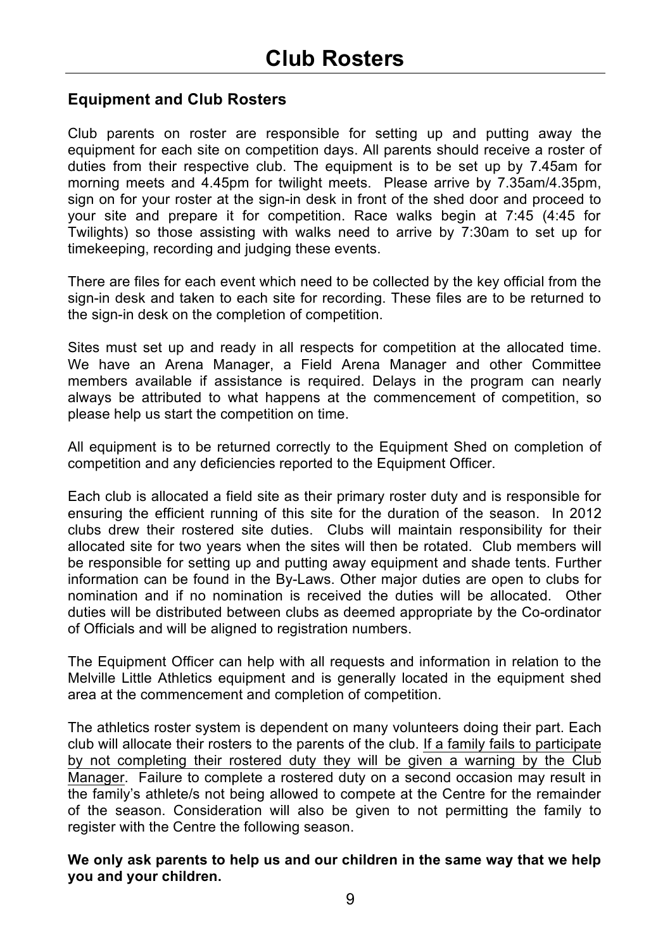### **Equipment and Club Rosters**

Club parents on roster are responsible for setting up and putting away the equipment for each site on competition days. All parents should receive a roster of duties from their respective club. The equipment is to be set up by 7.45am for morning meets and 4.45pm for twilight meets. Please arrive by 7.35am/4.35pm, sign on for your roster at the sign-in desk in front of the shed door and proceed to your site and prepare it for competition. Race walks begin at 7:45 (4:45 for Twilights) so those assisting with walks need to arrive by 7:30am to set up for timekeeping, recording and judging these events.

There are files for each event which need to be collected by the key official from the sign-in desk and taken to each site for recording. These files are to be returned to the sign-in desk on the completion of competition.

Sites must set up and ready in all respects for competition at the allocated time. We have an Arena Manager, a Field Arena Manager and other Committee members available if assistance is required. Delays in the program can nearly always be attributed to what happens at the commencement of competition, so please help us start the competition on time.

All equipment is to be returned correctly to the Equipment Shed on completion of competition and any deficiencies reported to the Equipment Officer.

Each club is allocated a field site as their primary roster duty and is responsible for ensuring the efficient running of this site for the duration of the season. In 2012 clubs drew their rostered site duties. Clubs will maintain responsibility for their allocated site for two years when the sites will then be rotated. Club members will be responsible for setting up and putting away equipment and shade tents. Further information can be found in the By-Laws. Other major duties are open to clubs for nomination and if no nomination is received the duties will be allocated. Other duties will be distributed between clubs as deemed appropriate by the Co-ordinator of Officials and will be aligned to registration numbers.

The Equipment Officer can help with all requests and information in relation to the Melville Little Athletics equipment and is generally located in the equipment shed area at the commencement and completion of competition.

The athletics roster system is dependent on many volunteers doing their part. Each club will allocate their rosters to the parents of the club. If a family fails to participate by not completing their rostered duty they will be given a warning by the Club Manager. Failure to complete a rostered duty on a second occasion may result in the family's athlete/s not being allowed to compete at the Centre for the remainder of the season. Consideration will also be given to not permitting the family to register with the Centre the following season.

**We only ask parents to help us and our children in the same way that we help you and your children.**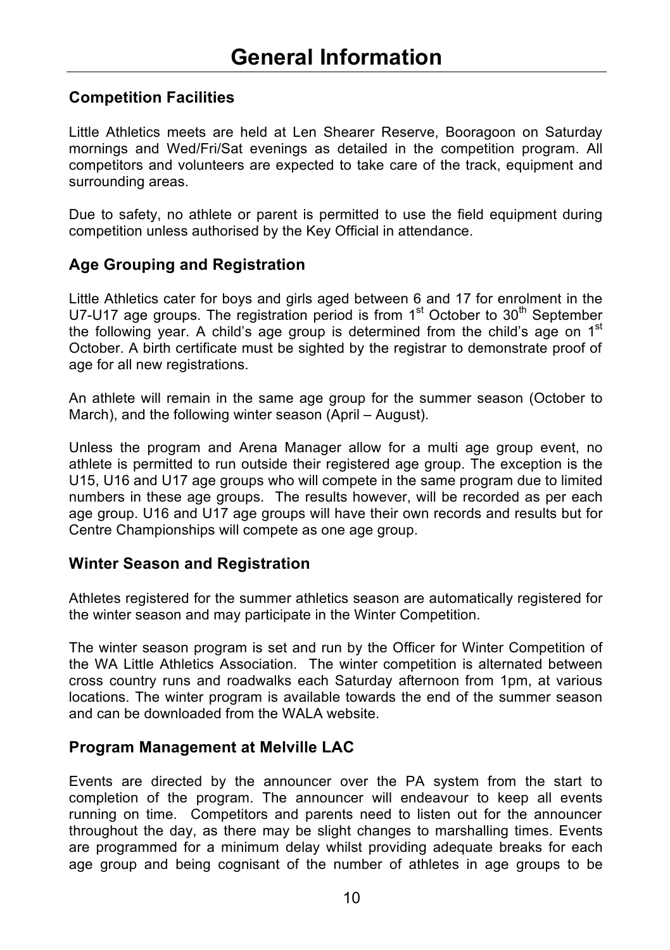### **Competition Facilities**

Little Athletics meets are held at Len Shearer Reserve, Booragoon on Saturday mornings and Wed/Fri/Sat evenings as detailed in the competition program. All competitors and volunteers are expected to take care of the track, equipment and surrounding areas.

Due to safety, no athlete or parent is permitted to use the field equipment during competition unless authorised by the Key Official in attendance.

### **Age Grouping and Registration**

Little Athletics cater for boys and girls aged between 6 and 17 for enrolment in the U7-U17 age groups. The registration period is from  $1<sup>st</sup>$  October to  $30<sup>th</sup>$  September the following year. A child's age group is determined from the child's age on  $1<sup>st</sup>$ October. A birth certificate must be sighted by the registrar to demonstrate proof of age for all new registrations.

An athlete will remain in the same age group for the summer season (October to March), and the following winter season (April – August).

Unless the program and Arena Manager allow for a multi age group event, no athlete is permitted to run outside their registered age group. The exception is the U15, U16 and U17 age groups who will compete in the same program due to limited numbers in these age groups. The results however, will be recorded as per each age group. U16 and U17 age groups will have their own records and results but for Centre Championships will compete as one age group.

### **Winter Season and Registration**

Athletes registered for the summer athletics season are automatically registered for the winter season and may participate in the Winter Competition.

The winter season program is set and run by the Officer for Winter Competition of the WA Little Athletics Association. The winter competition is alternated between cross country runs and roadwalks each Saturday afternoon from 1pm, at various locations. The winter program is available towards the end of the summer season and can be downloaded from the WALA website.

### **Program Management at Melville LAC**

Events are directed by the announcer over the PA system from the start to completion of the program. The announcer will endeavour to keep all events running on time. Competitors and parents need to listen out for the announcer throughout the day, as there may be slight changes to marshalling times. Events are programmed for a minimum delay whilst providing adequate breaks for each age group and being cognisant of the number of athletes in age groups to be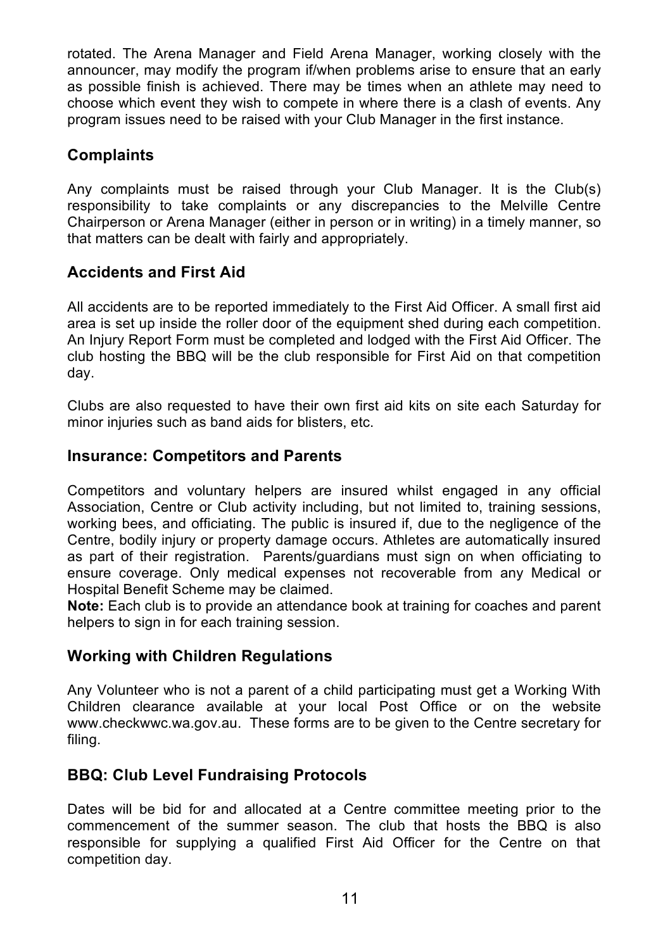rotated. The Arena Manager and Field Arena Manager, working closely with the announcer, may modify the program if/when problems arise to ensure that an early as possible finish is achieved. There may be times when an athlete may need to choose which event they wish to compete in where there is a clash of events. Any program issues need to be raised with your Club Manager in the first instance.

### **Complaints**

Any complaints must be raised through your Club Manager. It is the Club(s) responsibility to take complaints or any discrepancies to the Melville Centre Chairperson or Arena Manager (either in person or in writing) in a timely manner, so that matters can be dealt with fairly and appropriately.

### **Accidents and First Aid**

All accidents are to be reported immediately to the First Aid Officer. A small first aid area is set up inside the roller door of the equipment shed during each competition. An Injury Report Form must be completed and lodged with the First Aid Officer. The club hosting the BBQ will be the club responsible for First Aid on that competition day.

Clubs are also requested to have their own first aid kits on site each Saturday for minor injuries such as band aids for blisters, etc.

### **Insurance: Competitors and Parents**

Competitors and voluntary helpers are insured whilst engaged in any official Association, Centre or Club activity including, but not limited to, training sessions, working bees, and officiating. The public is insured if, due to the negligence of the Centre, bodily injury or property damage occurs. Athletes are automatically insured as part of their registration. Parents/guardians must sign on when officiating to ensure coverage. Only medical expenses not recoverable from any Medical or Hospital Benefit Scheme may be claimed.

**Note:** Each club is to provide an attendance book at training for coaches and parent helpers to sign in for each training session.

### **Working with Children Regulations**

Any Volunteer who is not a parent of a child participating must get a Working With Children clearance available at your local Post Office or on the website www.checkwwc.wa.gov.au. These forms are to be given to the Centre secretary for filing.

### **BBQ: Club Level Fundraising Protocols**

Dates will be bid for and allocated at a Centre committee meeting prior to the commencement of the summer season. The club that hosts the BBQ is also responsible for supplying a qualified First Aid Officer for the Centre on that competition day.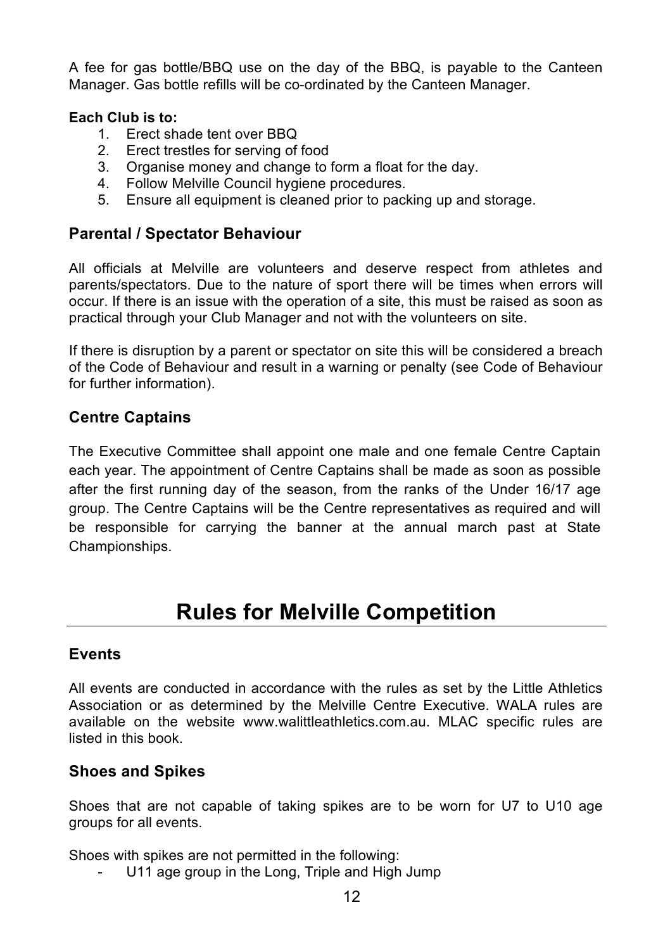A fee for gas bottle/BBQ use on the day of the BBQ, is payable to the Canteen Manager. Gas bottle refills will be co-ordinated by the Canteen Manager.

#### **Each Club is to:**

- 1. Erect shade tent over BBQ
- 2. Erect trestles for serving of food
- 3. Organise money and change to form a float for the day.<br>4. Eollow Melville Council bygiene procedures
- 4. Follow Melville Council hygiene procedures.<br>5. Ensure all equipment is cleaned prior to pack
- 5. Ensure all equipment is cleaned prior to packing up and storage.

### **Parental / Spectator Behaviour**

All officials at Melville are volunteers and deserve respect from athletes and parents/spectators. Due to the nature of sport there will be times when errors will occur. If there is an issue with the operation of a site, this must be raised as soon as practical through your Club Manager and not with the volunteers on site.

If there is disruption by a parent or spectator on site this will be considered a breach of the Code of Behaviour and result in a warning or penalty (see Code of Behaviour for further information).

### **Centre Captains**

The Executive Committee shall appoint one male and one female Centre Captain each year. The appointment of Centre Captains shall be made as soon as possible after the first running day of the season, from the ranks of the Under 16/17 age group. The Centre Captains will be the Centre representatives as required and will be responsible for carrying the banner at the annual march past at State Championships.

### **Rules for Melville Competition**

### **Events**

All events are conducted in accordance with the rules as set by the Little Athletics Association or as determined by the Melville Centre Executive. WALA rules are available on the website www.walittleathletics.com.au. MLAC specific rules are listed in this book.

### **Shoes and Spikes**

Shoes that are not capable of taking spikes are to be worn for U7 to U10 age groups for all events.

Shoes with spikes are not permitted in the following:

U11 age group in the Long, Triple and High Jump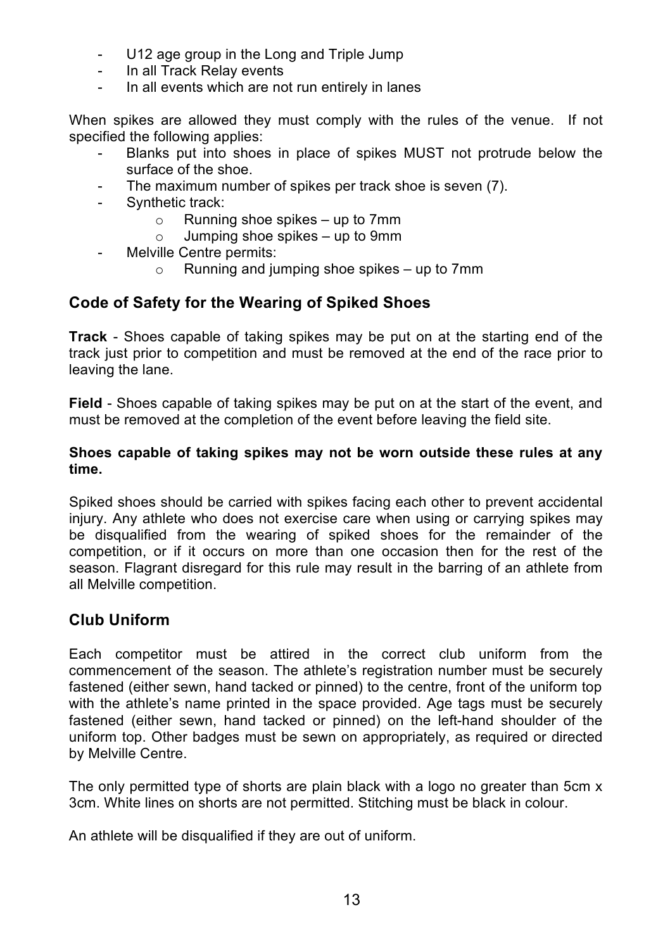- U12 age group in the Long and Triple Jump
- In all Track Relay events
- In all events which are not run entirely in lanes

When spikes are allowed they must comply with the rules of the venue. If not specified the following applies:

- Blanks put into shoes in place of spikes MUST not protrude below the surface of the shoe.
- The maximum number of spikes per track shoe is seven (7).
- Synthetic track:
	- o Running shoe spikes up to 7mm<br>o Jumping shoe spikes up to 9mm
	- Jumping shoe spikes up to 9mm
- Melville Centre permits:
	- $\circ$  Running and jumping shoe spikes up to 7mm

### **Code of Safety for the Wearing of Spiked Shoes**

**Track** - Shoes capable of taking spikes may be put on at the starting end of the track just prior to competition and must be removed at the end of the race prior to leaving the lane.

**Field** - Shoes capable of taking spikes may be put on at the start of the event, and must be removed at the completion of the event before leaving the field site.

#### **Shoes capable of taking spikes may not be worn outside these rules at any time.**

Spiked shoes should be carried with spikes facing each other to prevent accidental injury. Any athlete who does not exercise care when using or carrying spikes may be disqualified from the wearing of spiked shoes for the remainder of the competition, or if it occurs on more than one occasion then for the rest of the season. Flagrant disregard for this rule may result in the barring of an athlete from all Melville competition.

### **Club Uniform**

Each competitor must be attired in the correct club uniform from the commencement of the season. The athlete's registration number must be securely fastened (either sewn, hand tacked or pinned) to the centre, front of the uniform top with the athlete's name printed in the space provided. Age tags must be securely fastened (either sewn, hand tacked or pinned) on the left-hand shoulder of the uniform top. Other badges must be sewn on appropriately, as required or directed by Melville Centre.

The only permitted type of shorts are plain black with a logo no greater than 5cm x 3cm. White lines on shorts are not permitted. Stitching must be black in colour.

An athlete will be disqualified if they are out of uniform.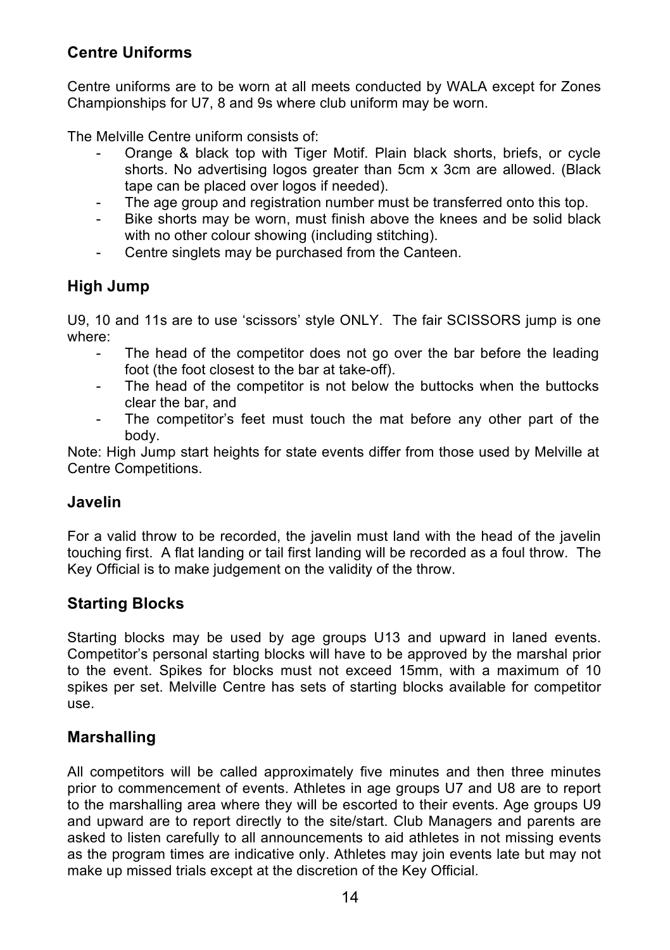### **Centre Uniforms**

Centre uniforms are to be worn at all meets conducted by WALA except for Zones Championships for U7, 8 and 9s where club uniform may be worn.

The Melville Centre uniform consists of:

- Orange & black top with Tiger Motif. Plain black shorts, briefs, or cycle shorts. No advertising logos greater than 5cm x 3cm are allowed. (Black tape can be placed over logos if needed).
- The age group and registration number must be transferred onto this top.
- Bike shorts may be worn, must finish above the knees and be solid black with no other colour showing (including stitching).
- Centre singlets may be purchased from the Canteen.

### **High Jump**

U9, 10 and 11s are to use 'scissors' style ONLY. The fair SCISSORS jump is one where:

- The head of the competitor does not go over the bar before the leading foot (the foot closest to the bar at take-off).
- The head of the competitor is not below the buttocks when the buttocks clear the bar, and
- The competitor's feet must touch the mat before any other part of the body.

Note: High Jump start heights for state events differ from those used by Melville at Centre Competitions.

### **Javelin**

For a valid throw to be recorded, the javelin must land with the head of the javelin touching first. A flat landing or tail first landing will be recorded as a foul throw. The Key Official is to make judgement on the validity of the throw.

### **Starting Blocks**

Starting blocks may be used by age groups U13 and upward in laned events. Competitor's personal starting blocks will have to be approved by the marshal prior to the event. Spikes for blocks must not exceed 15mm, with a maximum of 10 spikes per set. Melville Centre has sets of starting blocks available for competitor use.

### **Marshalling**

All competitors will be called approximately five minutes and then three minutes prior to commencement of events. Athletes in age groups U7 and U8 are to report to the marshalling area where they will be escorted to their events. Age groups U9 and upward are to report directly to the site/start. Club Managers and parents are asked to listen carefully to all announcements to aid athletes in not missing events as the program times are indicative only. Athletes may join events late but may not make up missed trials except at the discretion of the Key Official.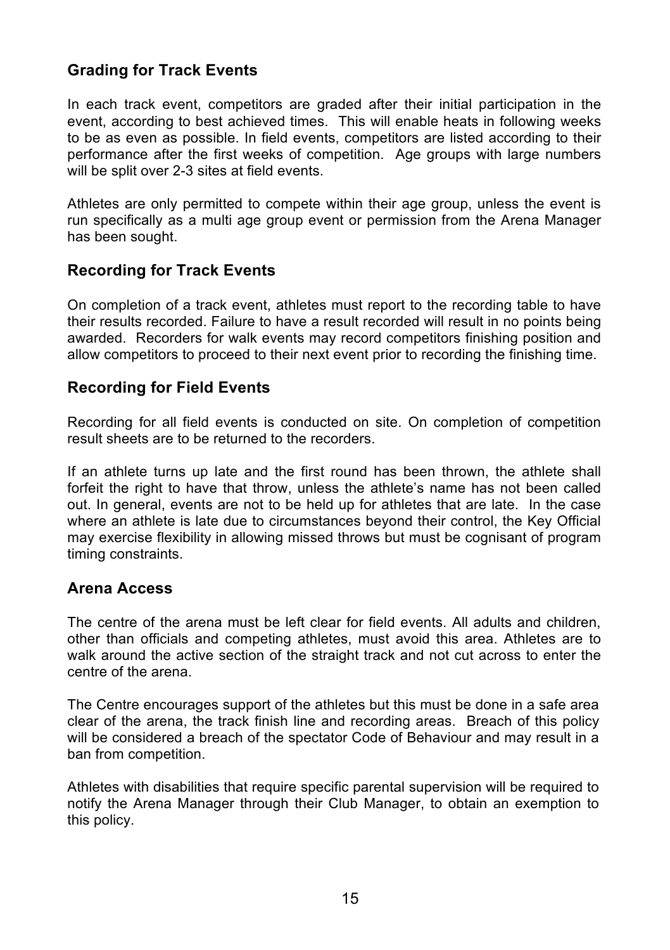### **Grading for Track Events**

In each track event, competitors are graded after their initial participation in the event, according to best achieved times. This will enable heats in following weeks to be as even as possible. In field events, competitors are listed according to their performance after the first weeks of competition. Age groups with large numbers will be split over 2-3 sites at field events.

Athletes are only permitted to compete within their age group, unless the event is run specifically as a multi age group event or permission from the Arena Manager has been sought.

### **Recording for Track Events**

On completion of a track event, athletes must report to the recording table to have their results recorded. Failure to have a result recorded will result in no points being awarded. Recorders for walk events may record competitors finishing position and allow competitors to proceed to their next event prior to recording the finishing time.

### **Recording for Field Events**

Recording for all field events is conducted on site. On completion of competition result sheets are to be returned to the recorders.

If an athlete turns up late and the first round has been thrown, the athlete shall forfeit the right to have that throw, unless the athlete's name has not been called out. In general, events are not to be held up for athletes that are late. In the case where an athlete is late due to circumstances beyond their control, the Key Official may exercise flexibility in allowing missed throws but must be cognisant of program timing constraints.

### **Arena Access**

The centre of the arena must be left clear for field events. All adults and children, other than officials and competing athletes, must avoid this area. Athletes are to walk around the active section of the straight track and not cut across to enter the centre of the arena.

The Centre encourages support of the athletes but this must be done in a safe area clear of the arena, the track finish line and recording areas. Breach of this policy will be considered a breach of the spectator Code of Behaviour and may result in a ban from competition.

Athletes with disabilities that require specific parental supervision will be required to notify the Arena Manager through their Club Manager, to obtain an exemption to this policy.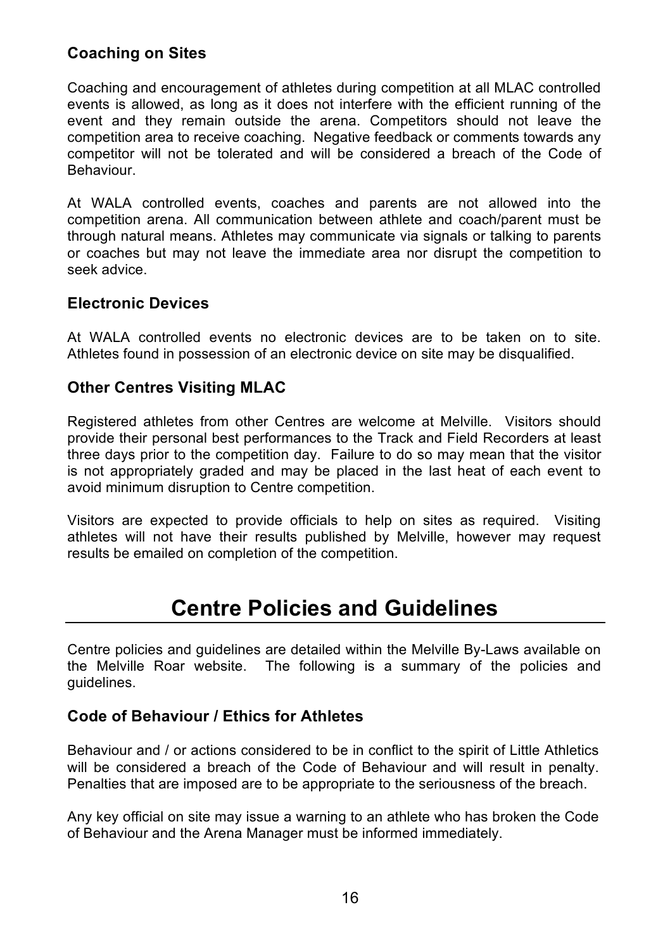### **Coaching on Sites**

Coaching and encouragement of athletes during competition at all MLAC controlled events is allowed, as long as it does not interfere with the efficient running of the event and they remain outside the arena. Competitors should not leave the competition area to receive coaching. Negative feedback or comments towards any competitor will not be tolerated and will be considered a breach of the Code of Behaviour.

At WALA controlled events, coaches and parents are not allowed into the competition arena. All communication between athlete and coach/parent must be through natural means. Athletes may communicate via signals or talking to parents or coaches but may not leave the immediate area nor disrupt the competition to seek advice.

### **Electronic Devices**

At WALA controlled events no electronic devices are to be taken on to site. Athletes found in possession of an electronic device on site may be disqualified.

### **Other Centres Visiting MLAC**

Registered athletes from other Centres are welcome at Melville. Visitors should provide their personal best performances to the Track and Field Recorders at least three days prior to the competition day. Failure to do so may mean that the visitor is not appropriately graded and may be placed in the last heat of each event to avoid minimum disruption to Centre competition.

Visitors are expected to provide officials to help on sites as required. Visiting athletes will not have their results published by Melville, however may request results be emailed on completion of the competition.

### **Centre Policies and Guidelines**

Centre policies and guidelines are detailed within the Melville By-Laws available on the Melville Roar website. The following is a summary of the policies and guidelines.

### **Code of Behaviour / Ethics for Athletes**

Behaviour and / or actions considered to be in conflict to the spirit of Little Athletics will be considered a breach of the Code of Behaviour and will result in penalty. Penalties that are imposed are to be appropriate to the seriousness of the breach.

Any key official on site may issue a warning to an athlete who has broken the Code of Behaviour and the Arena Manager must be informed immediately.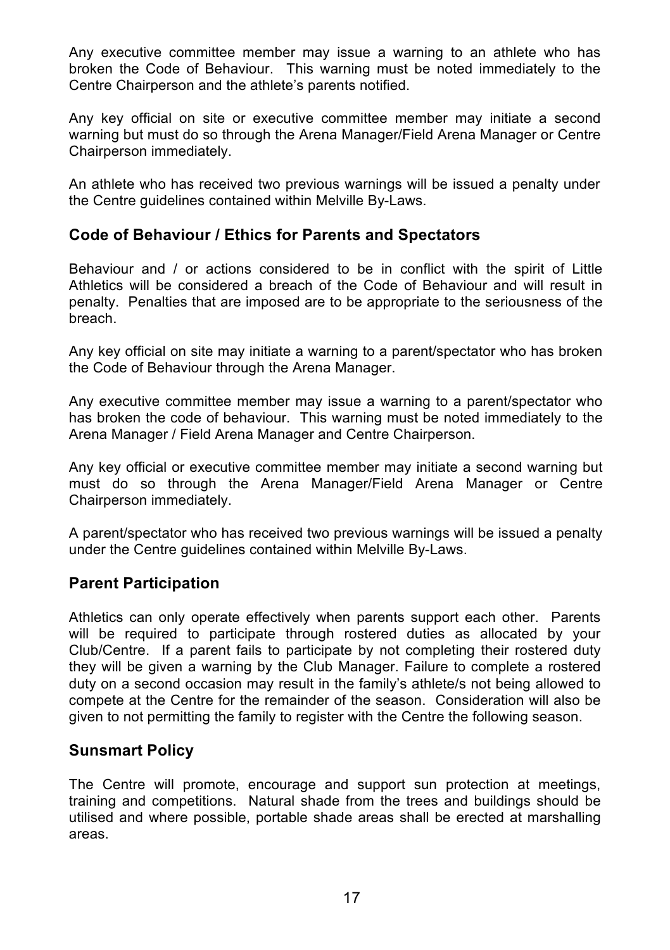Any executive committee member may issue a warning to an athlete who has broken the Code of Behaviour. This warning must be noted immediately to the Centre Chairperson and the athlete's parents notified.

Any key official on site or executive committee member may initiate a second warning but must do so through the Arena Manager/Field Arena Manager or Centre Chairperson immediately.

An athlete who has received two previous warnings will be issued a penalty under the Centre guidelines contained within Melville By-Laws.

### **Code of Behaviour / Ethics for Parents and Spectators**

Behaviour and / or actions considered to be in conflict with the spirit of Little Athletics will be considered a breach of the Code of Behaviour and will result in penalty. Penalties that are imposed are to be appropriate to the seriousness of the breach.

Any key official on site may initiate a warning to a parent/spectator who has broken the Code of Behaviour through the Arena Manager.

Any executive committee member may issue a warning to a parent/spectator who has broken the code of behaviour. This warning must be noted immediately to the Arena Manager / Field Arena Manager and Centre Chairperson.

Any key official or executive committee member may initiate a second warning but must do so through the Arena Manager/Field Arena Manager or Centre Chairperson immediately.

A parent/spectator who has received two previous warnings will be issued a penalty under the Centre guidelines contained within Melville By-Laws.

### **Parent Participation**

Athletics can only operate effectively when parents support each other. Parents will be required to participate through rostered duties as allocated by your Club/Centre. If a parent fails to participate by not completing their rostered duty they will be given a warning by the Club Manager. Failure to complete a rostered duty on a second occasion may result in the family's athlete/s not being allowed to compete at the Centre for the remainder of the season. Consideration will also be given to not permitting the family to register with the Centre the following season.

### **Sunsmart Policy**

The Centre will promote, encourage and support sun protection at meetings, training and competitions. Natural shade from the trees and buildings should be utilised and where possible, portable shade areas shall be erected at marshalling areas.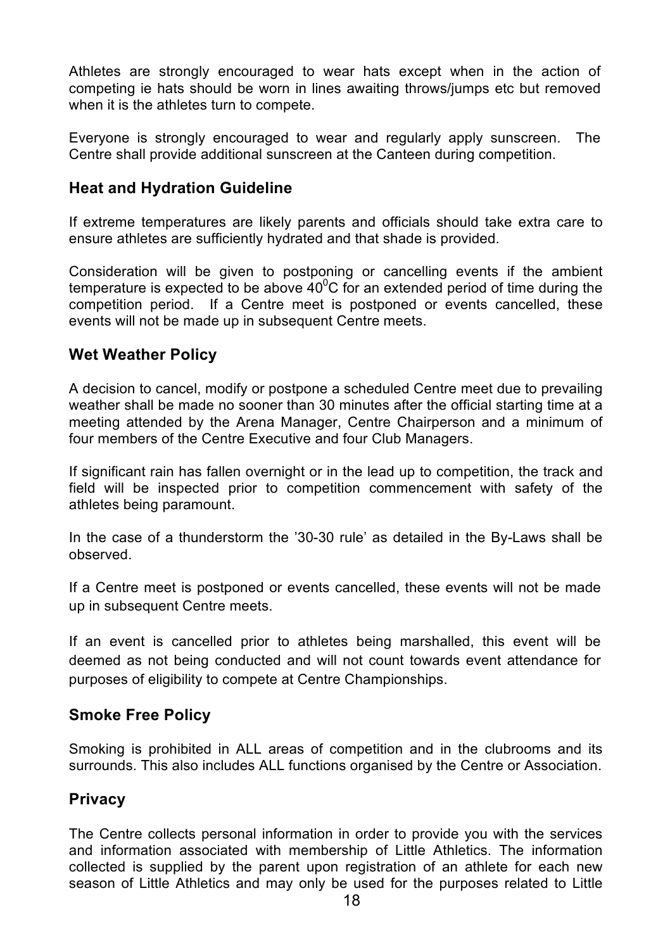Athletes are strongly encouraged to wear hats except when in the action of competing ie hats should be worn in lines awaiting throws/jumps etc but removed when it is the athletes turn to compete.

Everyone is strongly encouraged to wear and regularly apply sunscreen. The Centre shall provide additional sunscreen at the Canteen during competition.

### **Heat and Hydration Guideline**

If extreme temperatures are likely parents and officials should take extra care to ensure athletes are sufficiently hydrated and that shade is provided.

Consideration will be given to postponing or cancelling events if the ambient temperature is expected to be above  $40^{\circ}$ C for an extended period of time during the competition period. If a Centre meet is postponed or events cancelled, these events will not be made up in subsequent Centre meets.

### **Wet Weather Policy**

A decision to cancel, modify or postpone a scheduled Centre meet due to prevailing weather shall be made no sooner than 30 minutes after the official starting time at a meeting attended by the Arena Manager, Centre Chairperson and a minimum of four members of the Centre Executive and four Club Managers.

If significant rain has fallen overnight or in the lead up to competition, the track and field will be inspected prior to competition commencement with safety of the athletes being paramount.

In the case of a thunderstorm the '30-30 rule' as detailed in the By-Laws shall be observed.

If a Centre meet is postponed or events cancelled, these events will not be made up in subsequent Centre meets.

If an event is cancelled prior to athletes being marshalled, this event will be deemed as not being conducted and will not count towards event attendance for purposes of eligibility to compete at Centre Championships.

### **Smoke Free Policy**

Smoking is prohibited in ALL areas of competition and in the clubrooms and its surrounds. This also includes ALL functions organised by the Centre or Association.

### **Privacy**

The Centre collects personal information in order to provide you with the services and information associated with membership of Little Athletics. The information collected is supplied by the parent upon registration of an athlete for each new season of Little Athletics and may only be used for the purposes related to Little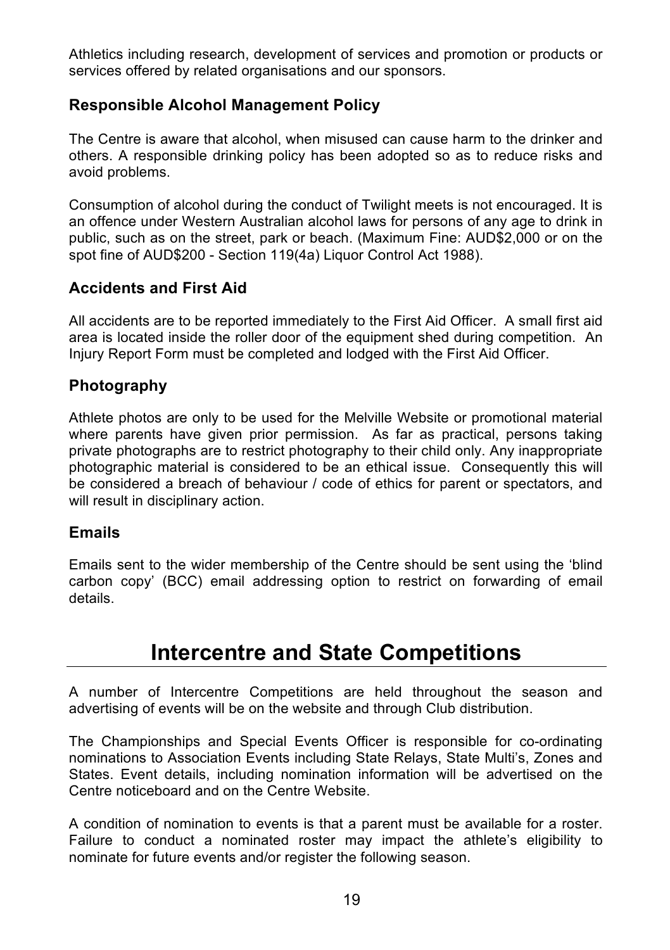Athletics including research, development of services and promotion or products or services offered by related organisations and our sponsors.

### **Responsible Alcohol Management Policy**

The Centre is aware that alcohol, when misused can cause harm to the drinker and others. A responsible drinking policy has been adopted so as to reduce risks and avoid problems.

Consumption of alcohol during the conduct of Twilight meets is not encouraged. It is an offence under Western Australian alcohol laws for persons of any age to drink in public, such as on the street, park or beach. (Maximum Fine: AUD\$2,000 or on the spot fine of AUD\$200 - Section 119(4a) Liquor Control Act 1988).

### **Accidents and First Aid**

All accidents are to be reported immediately to the First Aid Officer. A small first aid area is located inside the roller door of the equipment shed during competition. An Injury Report Form must be completed and lodged with the First Aid Officer.

### **Photography**

Athlete photos are only to be used for the Melville Website or promotional material where parents have given prior permission. As far as practical, persons taking private photographs are to restrict photography to their child only. Any inappropriate photographic material is considered to be an ethical issue. Consequently this will be considered a breach of behaviour / code of ethics for parent or spectators, and will result in disciplinary action.

### **Emails**

Emails sent to the wider membership of the Centre should be sent using the 'blind carbon copy' (BCC) email addressing option to restrict on forwarding of email details.

### **Intercentre and State Competitions**

A number of Intercentre Competitions are held throughout the season and advertising of events will be on the website and through Club distribution.

The Championships and Special Events Officer is responsible for co-ordinating nominations to Association Events including State Relays, State Multi's, Zones and States. Event details, including nomination information will be advertised on the Centre noticeboard and on the Centre Website.

A condition of nomination to events is that a parent must be available for a roster. Failure to conduct a nominated roster may impact the athlete's eligibility to nominate for future events and/or register the following season.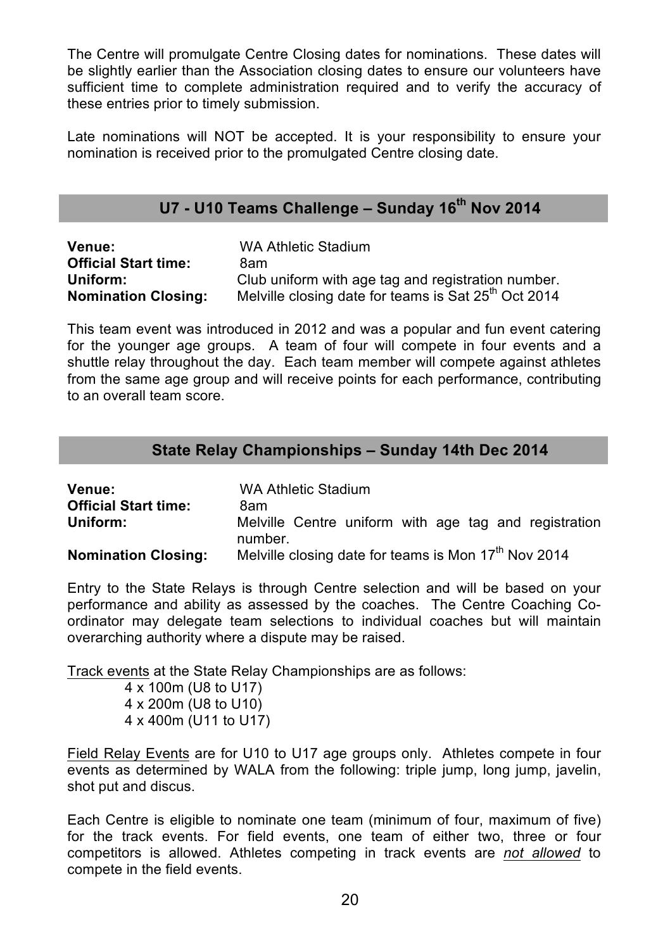The Centre will promulgate Centre Closing dates for nominations. These dates will be slightly earlier than the Association closing dates to ensure our volunteers have sufficient time to complete administration required and to verify the accuracy of these entries prior to timely submission.

Late nominations will NOT be accepted. It is your responsibility to ensure your nomination is received prior to the promulgated Centre closing date.

### **U7 - U10 Teams Challenge – Sunday 16th Nov 2014**

| <b>Venue:</b>               | WA Athletic Stadium                                              |
|-----------------------------|------------------------------------------------------------------|
| <b>Official Start time:</b> | 8am                                                              |
| Uniform:                    | Club uniform with age tag and registration number.               |
| <b>Nomination Closing:</b>  | Melville closing date for teams is Sat 25 <sup>th</sup> Oct 2014 |

This team event was introduced in 2012 and was a popular and fun event catering for the younger age groups. A team of four will compete in four events and a shuttle relay throughout the day. Each team member will compete against athletes from the same age group and will receive points for each performance, contributing to an overall team score.

### **State Relay Championships – Sunday 14th Dec 2014**

| <b>Venue:</b>               | WA Athletic Stadium                                              |  |  |  |  |  |  |
|-----------------------------|------------------------------------------------------------------|--|--|--|--|--|--|
| <b>Official Start time:</b> | 8am                                                              |  |  |  |  |  |  |
| Uniform:                    | Melville Centre uniform with age tag and registration<br>number. |  |  |  |  |  |  |
| <b>Nomination Closing:</b>  | Melville closing date for teams is Mon 17 <sup>th</sup> Nov 2014 |  |  |  |  |  |  |

Entry to the State Relays is through Centre selection and will be based on your performance and ability as assessed by the coaches. The Centre Coaching Coordinator may delegate team selections to individual coaches but will maintain overarching authority where a dispute may be raised.

Track events at the State Relay Championships are as follows:

4 x 100m (U8 to U17) 4 x 200m (U8 to U10) 4 x 400m (U11 to U17)

Field Relay Events are for U10 to U17 age groups only. Athletes compete in four events as determined by WALA from the following: triple jump, long jump, javelin, shot put and discus.

Each Centre is eligible to nominate one team (minimum of four, maximum of five) for the track events. For field events, one team of either two, three or four competitors is allowed. Athletes competing in track events are *not allowed* to compete in the field events.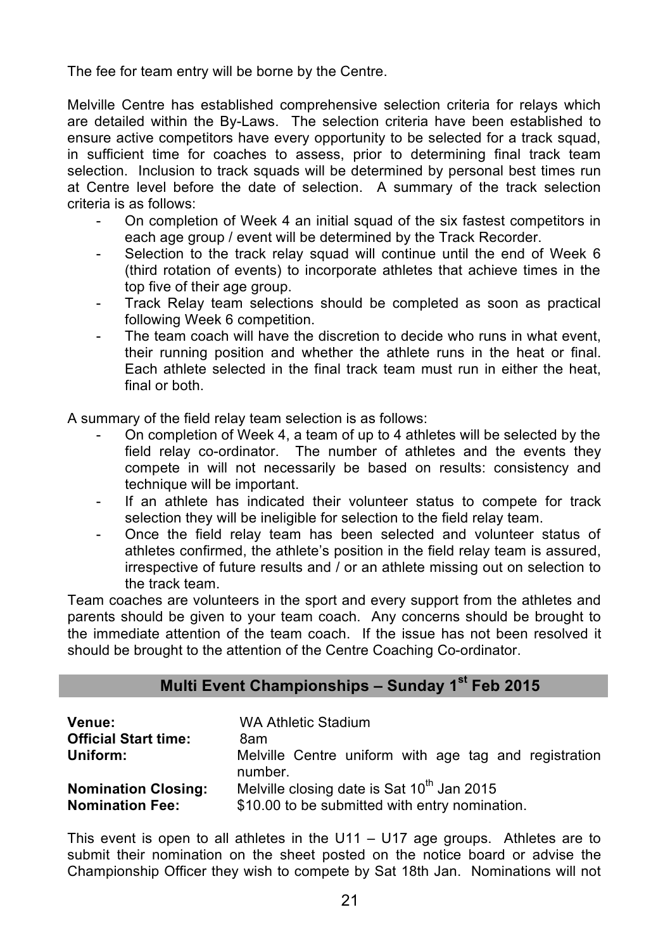The fee for team entry will be borne by the Centre.

Melville Centre has established comprehensive selection criteria for relays which are detailed within the By-Laws. The selection criteria have been established to ensure active competitors have every opportunity to be selected for a track squad, in sufficient time for coaches to assess, prior to determining final track team selection. Inclusion to track squads will be determined by personal best times run at Centre level before the date of selection. A summary of the track selection criteria is as follows:

- On completion of Week 4 an initial squad of the six fastest competitors in each age group / event will be determined by the Track Recorder.
- Selection to the track relay squad will continue until the end of Week 6 (third rotation of events) to incorporate athletes that achieve times in the top five of their age group.
- Track Relay team selections should be completed as soon as practical following Week 6 competition.
- The team coach will have the discretion to decide who runs in what event, their running position and whether the athlete runs in the heat or final. Each athlete selected in the final track team must run in either the heat, final or both

A summary of the field relay team selection is as follows:

- On completion of Week 4, a team of up to 4 athletes will be selected by the field relay co-ordinator. The number of athletes and the events they compete in will not necessarily be based on results: consistency and technique will be important.
- If an athlete has indicated their volunteer status to compete for track selection they will be ineligible for selection to the field relay team.
- Once the field relay team has been selected and volunteer status of athletes confirmed, the athlete's position in the field relay team is assured, irrespective of future results and / or an athlete missing out on selection to the track team.

Team coaches are volunteers in the sport and every support from the athletes and parents should be given to your team coach. Any concerns should be brought to the immediate attention of the team coach. If the issue has not been resolved it should be brought to the attention of the Centre Coaching Co-ordinator.

### **Multi Event Championships – Sunday 1st Feb 2015**

| Venue:                      | WA Athletic Stadium                                              |
|-----------------------------|------------------------------------------------------------------|
| <b>Official Start time:</b> | 8am                                                              |
| Uniform:                    | Melville Centre uniform with age tag and registration<br>number. |
| <b>Nomination Closing:</b>  | Melville closing date is Sat 10 <sup>th</sup> Jan 2015           |
| <b>Nomination Fee:</b>      | \$10.00 to be submitted with entry nomination.                   |

This event is open to all athletes in the U11 – U17 age groups. Athletes are to submit their nomination on the sheet posted on the notice board or advise the Championship Officer they wish to compete by Sat 18th Jan. Nominations will not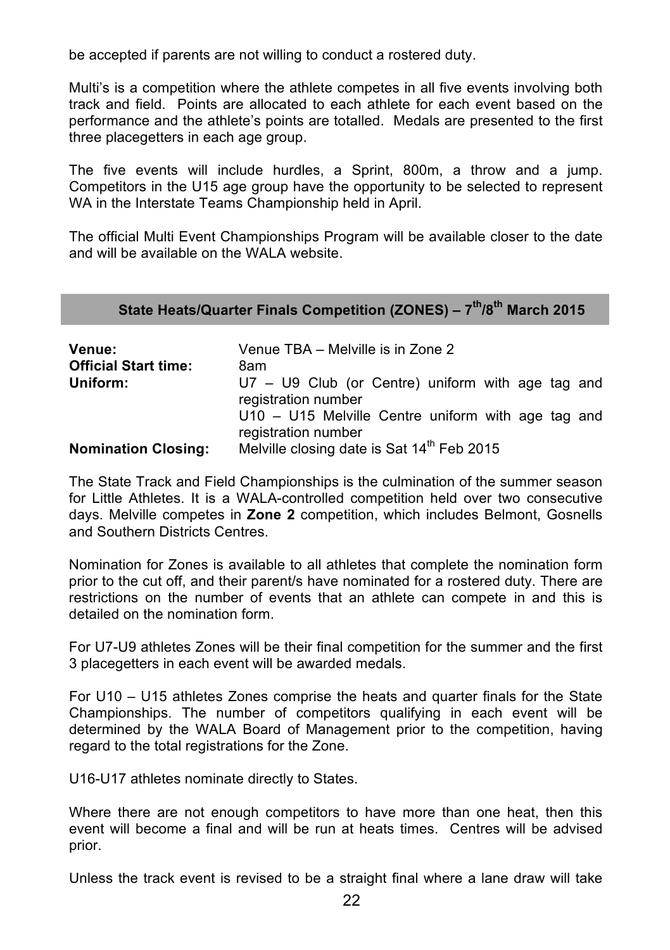be accepted if parents are not willing to conduct a rostered duty.

Multi's is a competition where the athlete competes in all five events involving both track and field. Points are allocated to each athlete for each event based on the performance and the athlete's points are totalled. Medals are presented to the first three placegetters in each age group.

The five events will include hurdles, a Sprint, 800m, a throw and a jump. Competitors in the U15 age group have the opportunity to be selected to represent WA in the Interstate Teams Championship held in April.

The official Multi Event Championships Program will be available closer to the date and will be available on the WALA website.

| State Heats/Quarter Finals Competition (ZONES) - 7 <sup>th</sup> /8 <sup>th</sup> March 2015 |  |  |  |
|----------------------------------------------------------------------------------------------|--|--|--|
|----------------------------------------------------------------------------------------------|--|--|--|

| Venue:<br><b>Official Start time:</b> | Venue TBA – Melville is in Zone 2<br>8am                                   |  |  |  |  |
|---------------------------------------|----------------------------------------------------------------------------|--|--|--|--|
| Uniform:                              | $U7 - U9$ Club (or Centre) uniform with age tag and<br>registration number |  |  |  |  |
|                                       | U10 - U15 Melville Centre uniform with age tag and<br>registration number  |  |  |  |  |
| <b>Nomination Closing:</b>            | Melville closing date is Sat 14 <sup>th</sup> Feb 2015                     |  |  |  |  |

The State Track and Field Championships is the culmination of the summer season for Little Athletes. It is a WALA-controlled competition held over two consecutive days. Melville competes in **Zone 2** competition, which includes Belmont, Gosnells and Southern Districts Centres.

Nomination for Zones is available to all athletes that complete the nomination form prior to the cut off, and their parent/s have nominated for a rostered duty. There are restrictions on the number of events that an athlete can compete in and this is detailed on the nomination form.

For U7-U9 athletes Zones will be their final competition for the summer and the first 3 placegetters in each event will be awarded medals.

For U10 – U15 athletes Zones comprise the heats and quarter finals for the State Championships. The number of competitors qualifying in each event will be determined by the WALA Board of Management prior to the competition, having regard to the total registrations for the Zone.

U16-U17 athletes nominate directly to States.

Where there are not enough competitors to have more than one heat, then this event will become a final and will be run at heats times. Centres will be advised prior.

Unless the track event is revised to be a straight final where a lane draw will take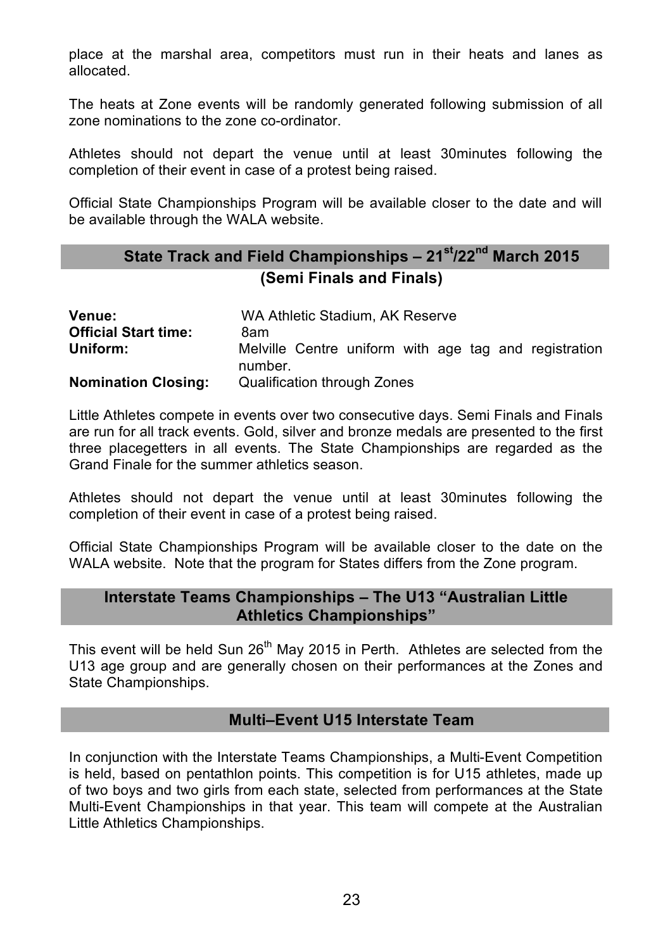place at the marshal area, competitors must run in their heats and lanes as allocated.

The heats at Zone events will be randomly generated following submission of all zone nominations to the zone co-ordinator.

Athletes should not depart the venue until at least 30minutes following the completion of their event in case of a protest being raised.

Official State Championships Program will be available closer to the date and will be available through the WALA website.

### **State Track and Field Championships – 21st/22nd March 2015 (Semi Finals and Finals)**

| Venue:                      | WA Athletic Stadium, AK Reserve                                  |  |  |  |  |
|-----------------------------|------------------------------------------------------------------|--|--|--|--|
| <b>Official Start time:</b> | 8am                                                              |  |  |  |  |
| Uniform:                    | Melville Centre uniform with age tag and registration<br>number. |  |  |  |  |
| <b>Nomination Closing:</b>  | <b>Qualification through Zones</b>                               |  |  |  |  |

Little Athletes compete in events over two consecutive days. Semi Finals and Finals are run for all track events. Gold, silver and bronze medals are presented to the first three placegetters in all events. The State Championships are regarded as the Grand Finale for the summer athletics season.

Athletes should not depart the venue until at least 30minutes following the completion of their event in case of a protest being raised.

Official State Championships Program will be available closer to the date on the WALA website. Note that the program for States differs from the Zone program.

#### **Interstate Teams Championships – The U13 "Australian Little Athletics Championships"**

This event will be held Sun 26<sup>th</sup> May 2015 in Perth. Athletes are selected from the U13 age group and are generally chosen on their performances at the Zones and State Championships.

### **Multi–Event U15 Interstate Team**

In conjunction with the Interstate Teams Championships, a Multi-Event Competition is held, based on pentathlon points. This competition is for U15 athletes, made up of two boys and two girls from each state, selected from performances at the State Multi-Event Championships in that year. This team will compete at the Australian Little Athletics Championships.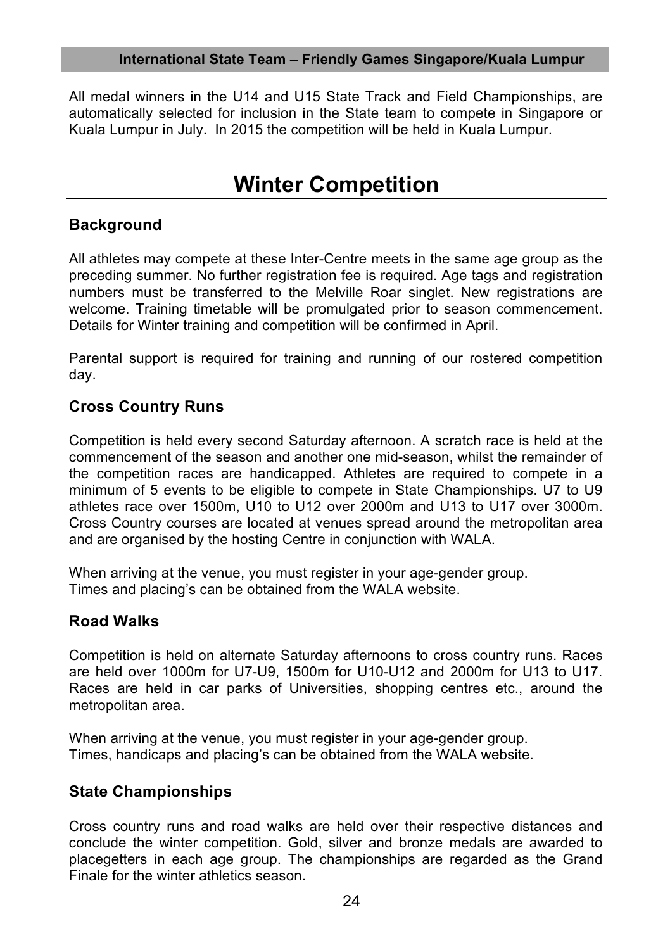#### **International State Team – Friendly Games Singapore/Kuala Lumpur**

All medal winners in the U14 and U15 State Track and Field Championships, are automatically selected for inclusion in the State team to compete in Singapore or Kuala Lumpur in July. In 2015 the competition will be held in Kuala Lumpur.

### **Winter Competition**

### **Background**

All athletes may compete at these Inter-Centre meets in the same age group as the preceding summer. No further registration fee is required. Age tags and registration numbers must be transferred to the Melville Roar singlet. New registrations are welcome. Training timetable will be promulgated prior to season commencement. Details for Winter training and competition will be confirmed in April.

Parental support is required for training and running of our rostered competition day.

### **Cross Country Runs**

Competition is held every second Saturday afternoon. A scratch race is held at the commencement of the season and another one mid-season, whilst the remainder of the competition races are handicapped. Athletes are required to compete in a minimum of 5 events to be eligible to compete in State Championships. U7 to U9 athletes race over 1500m, U10 to U12 over 2000m and U13 to U17 over 3000m. Cross Country courses are located at venues spread around the metropolitan area and are organised by the hosting Centre in conjunction with WALA.

When arriving at the venue, you must register in your age-gender group. Times and placing's can be obtained from the WALA website.

### **Road Walks**

Competition is held on alternate Saturday afternoons to cross country runs. Races are held over 1000m for U7-U9, 1500m for U10-U12 and 2000m for U13 to U17. Races are held in car parks of Universities, shopping centres etc., around the metropolitan area.

When arriving at the venue, you must register in your age-gender group. Times, handicaps and placing's can be obtained from the WALA website.

### **State Championships**

Cross country runs and road walks are held over their respective distances and conclude the winter competition. Gold, silver and bronze medals are awarded to placegetters in each age group. The championships are regarded as the Grand Finale for the winter athletics season.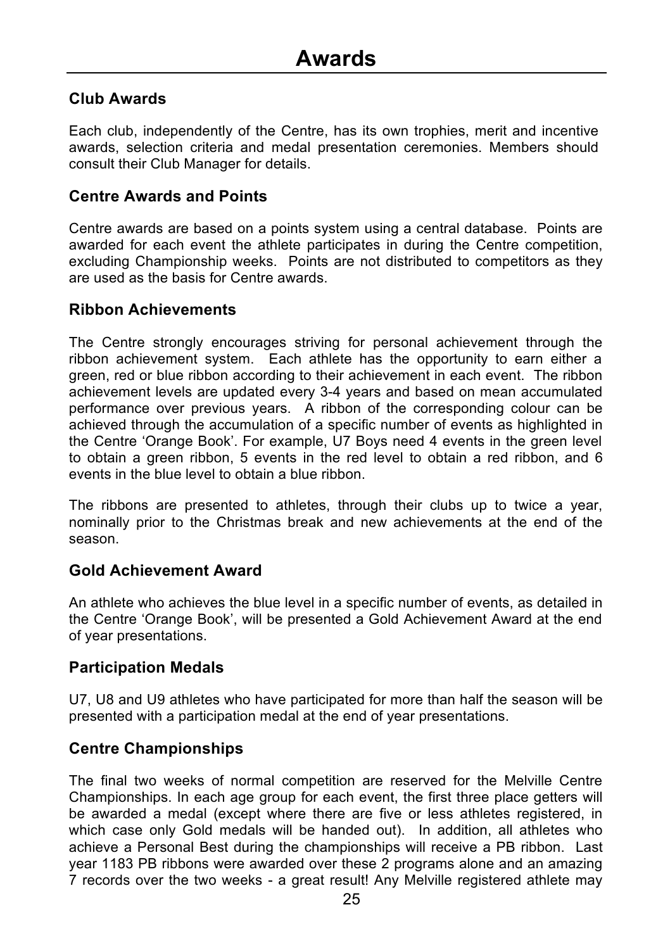### **Club Awards**

Each club, independently of the Centre, has its own trophies, merit and incentive awards, selection criteria and medal presentation ceremonies. Members should consult their Club Manager for details.

#### **Centre Awards and Points**

Centre awards are based on a points system using a central database. Points are awarded for each event the athlete participates in during the Centre competition, excluding Championship weeks. Points are not distributed to competitors as they are used as the basis for Centre awards.

#### **Ribbon Achievements**

The Centre strongly encourages striving for personal achievement through the ribbon achievement system. Each athlete has the opportunity to earn either a green, red or blue ribbon according to their achievement in each event. The ribbon achievement levels are updated every 3-4 years and based on mean accumulated performance over previous years. A ribbon of the corresponding colour can be achieved through the accumulation of a specific number of events as highlighted in the Centre 'Orange Book'. For example, U7 Boys need 4 events in the green level to obtain a green ribbon, 5 events in the red level to obtain a red ribbon, and 6 events in the blue level to obtain a blue ribbon.

The ribbons are presented to athletes, through their clubs up to twice a year, nominally prior to the Christmas break and new achievements at the end of the season.

### **Gold Achievement Award**

An athlete who achieves the blue level in a specific number of events, as detailed in the Centre 'Orange Book', will be presented a Gold Achievement Award at the end of year presentations.

### **Participation Medals**

U7, U8 and U9 athletes who have participated for more than half the season will be presented with a participation medal at the end of year presentations.

### **Centre Championships**

The final two weeks of normal competition are reserved for the Melville Centre Championships. In each age group for each event, the first three place getters will be awarded a medal (except where there are five or less athletes registered, in which case only Gold medals will be handed out). In addition, all athletes who achieve a Personal Best during the championships will receive a PB ribbon. Last year 1183 PB ribbons were awarded over these 2 programs alone and an amazing 7 records over the two weeks - a great result! Any Melville registered athlete may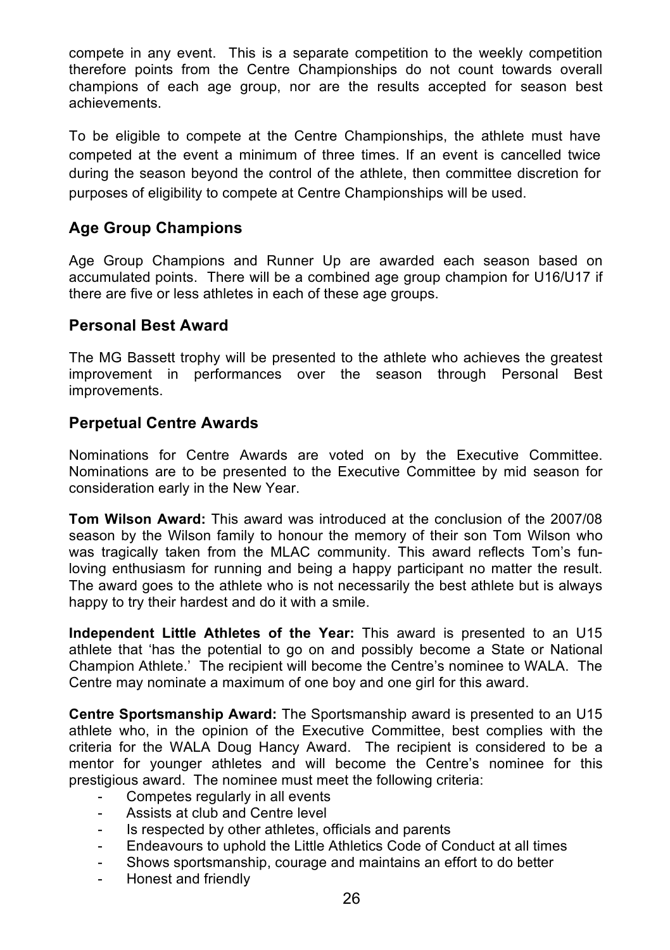compete in any event. This is a separate competition to the weekly competition therefore points from the Centre Championships do not count towards overall champions of each age group, nor are the results accepted for season best achievements.

To be eligible to compete at the Centre Championships, the athlete must have competed at the event a minimum of three times. If an event is cancelled twice during the season beyond the control of the athlete, then committee discretion for purposes of eligibility to compete at Centre Championships will be used.

### **Age Group Champions**

Age Group Champions and Runner Up are awarded each season based on accumulated points. There will be a combined age group champion for U16/U17 if there are five or less athletes in each of these age groups.

### **Personal Best Award**

The MG Bassett trophy will be presented to the athlete who achieves the greatest improvement in performances over the season through Personal Best improvements.

### **Perpetual Centre Awards**

Nominations for Centre Awards are voted on by the Executive Committee. Nominations are to be presented to the Executive Committee by mid season for consideration early in the New Year.

**Tom Wilson Award:** This award was introduced at the conclusion of the 2007/08 season by the Wilson family to honour the memory of their son Tom Wilson who was tragically taken from the MLAC community. This award reflects Tom's funloving enthusiasm for running and being a happy participant no matter the result. The award goes to the athlete who is not necessarily the best athlete but is always happy to try their hardest and do it with a smile.

**Independent Little Athletes of the Year:** This award is presented to an U15 athlete that 'has the potential to go on and possibly become a State or National Champion Athlete.' The recipient will become the Centre's nominee to WALA. The Centre may nominate a maximum of one boy and one girl for this award.

**Centre Sportsmanship Award:** The Sportsmanship award is presented to an U15 athlete who, in the opinion of the Executive Committee, best complies with the criteria for the WALA Doug Hancy Award. The recipient is considered to be a mentor for younger athletes and will become the Centre's nominee for this prestigious award. The nominee must meet the following criteria:

- Competes regularly in all events
- Assists at club and Centre level
- Is respected by other athletes, officials and parents
- Endeavours to uphold the Little Athletics Code of Conduct at all times
- Shows sportsmanship, courage and maintains an effort to do better
- Honest and friendly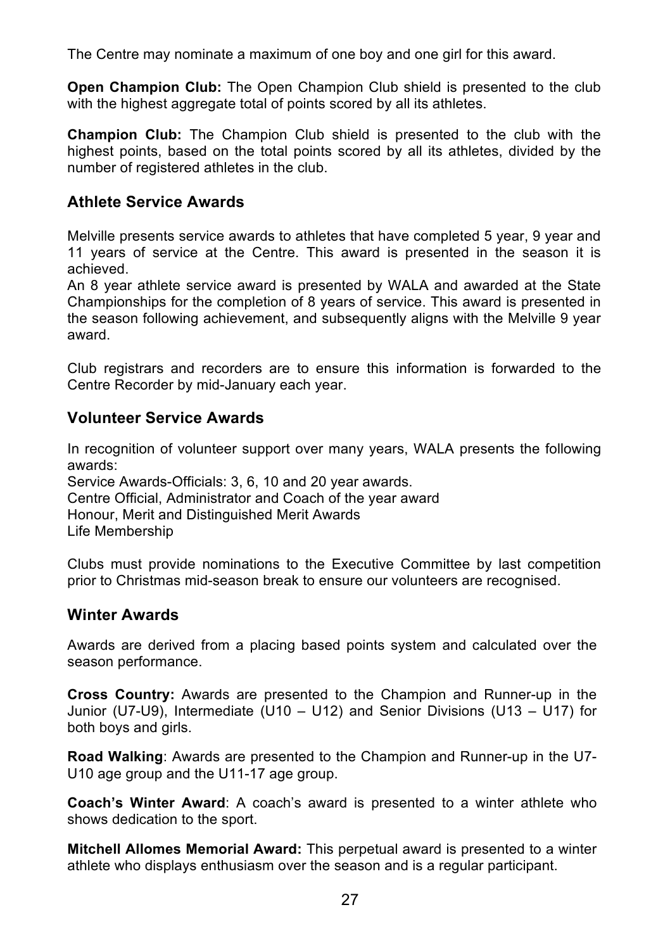The Centre may nominate a maximum of one boy and one girl for this award.

**Open Champion Club:** The Open Champion Club shield is presented to the club with the highest aggregate total of points scored by all its athletes.

**Champion Club:** The Champion Club shield is presented to the club with the highest points, based on the total points scored by all its athletes, divided by the number of registered athletes in the club.

### **Athlete Service Awards**

Melville presents service awards to athletes that have completed 5 year, 9 year and 11 years of service at the Centre. This award is presented in the season it is achieved.

An 8 year athlete service award is presented by WALA and awarded at the State Championships for the completion of 8 years of service. This award is presented in the season following achievement, and subsequently aligns with the Melville 9 year award.

Club registrars and recorders are to ensure this information is forwarded to the Centre Recorder by mid-January each year.

### **Volunteer Service Awards**

In recognition of volunteer support over many years, WALA presents the following awards:

Service Awards-Officials: 3, 6, 10 and 20 year awards. Centre Official, Administrator and Coach of the year award Honour, Merit and Distinguished Merit Awards Life Membership

Clubs must provide nominations to the Executive Committee by last competition prior to Christmas mid-season break to ensure our volunteers are recognised.

### **Winter Awards**

Awards are derived from a placing based points system and calculated over the season performance.

**Cross Country:** Awards are presented to the Champion and Runner-up in the Junior (U7-U9), Intermediate (U10 – U12) and Senior Divisions (U13 – U17) for both boys and girls.

**Road Walking**: Awards are presented to the Champion and Runner-up in the U7- U10 age group and the U11-17 age group.

**Coach's Winter Award**: A coach's award is presented to a winter athlete who shows dedication to the sport.

**Mitchell Allomes Memorial Award:** This perpetual award is presented to a winter athlete who displays enthusiasm over the season and is a regular participant.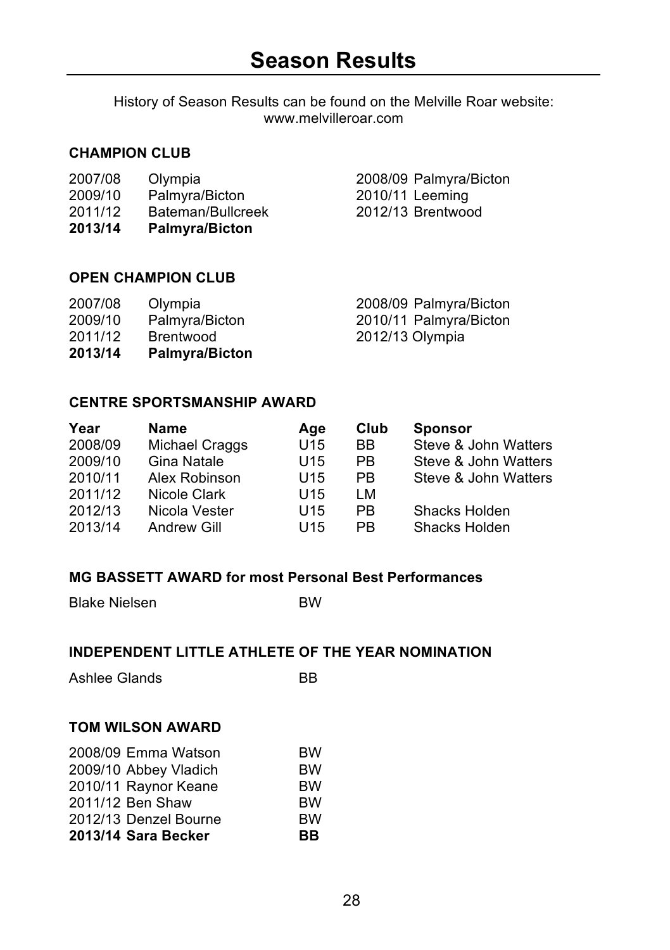History of Season Results can be found on the Melville Roar website: www.melvilleroar.com

#### **CHAMPION CLUB**

| 2007/08 | Olympia |
|---------|---------|
|         |         |

- 
- 2011/12 Bateman/Bullcreek<br>2013/14 Palmyra/Bicton
- **2013/14 Palmyra/Bicton**

2007/08 Olympia 2008/09 Palmyra/Bicton 2009/10 Palmyra/Bicton 2010/11 Leeming

### **OPEN CHAMPION CLUB**

| 2007/08<br>2009/10<br>2011/12 | Olympia<br>Palmyra/Bicton<br>Brentwood | 2012/13 Olympia | 2008/09 Palmyra/Bicton<br>2010/11 Palmyra/Bicton |
|-------------------------------|----------------------------------------|-----------------|--------------------------------------------------|
| 2013/14                       | <b>Palmyra/Bicton</b>                  |                 |                                                  |

### **CENTRE SPORTSMANSHIP AWARD**

| Year    | <b>Name</b>    | Age             | Club      | <b>Sponsor</b>       |
|---------|----------------|-----------------|-----------|----------------------|
| 2008/09 | Michael Craggs | U <sub>15</sub> | BB.       | Steve & John Watters |
| 2009/10 | Gina Natale    | U <sub>15</sub> | <b>PB</b> | Steve & John Watters |
| 2010/11 | Alex Robinson  | U <sub>15</sub> | <b>PB</b> | Steve & John Watters |
| 2011/12 | Nicole Clark   | U <sub>15</sub> | LM        |                      |
| 2012/13 | Nicola Vester  | U <sub>15</sub> | PB        | Shacks Holden        |
| 2013/14 | Andrew Gill    | U <sub>15</sub> | <b>PB</b> | Shacks Holden        |

### **MG BASSETT AWARD for most Personal Best Performances**

Blake Nielsen BW

### **INDEPENDENT LITTLE ATHLETE OF THE YEAR NOMINATION**

Ashlee Glands BB

### **TOM WILSON AWARD**

| 2008/09 Emma Watson   | <b>BW</b> |
|-----------------------|-----------|
| 2009/10 Abbey Vladich | <b>BW</b> |
| 2010/11 Raynor Keane  | <b>BW</b> |
| 2011/12 Ben Shaw      | <b>BW</b> |
| 2012/13 Denzel Bourne | <b>BW</b> |
| 2013/14 Sara Becker   | BВ        |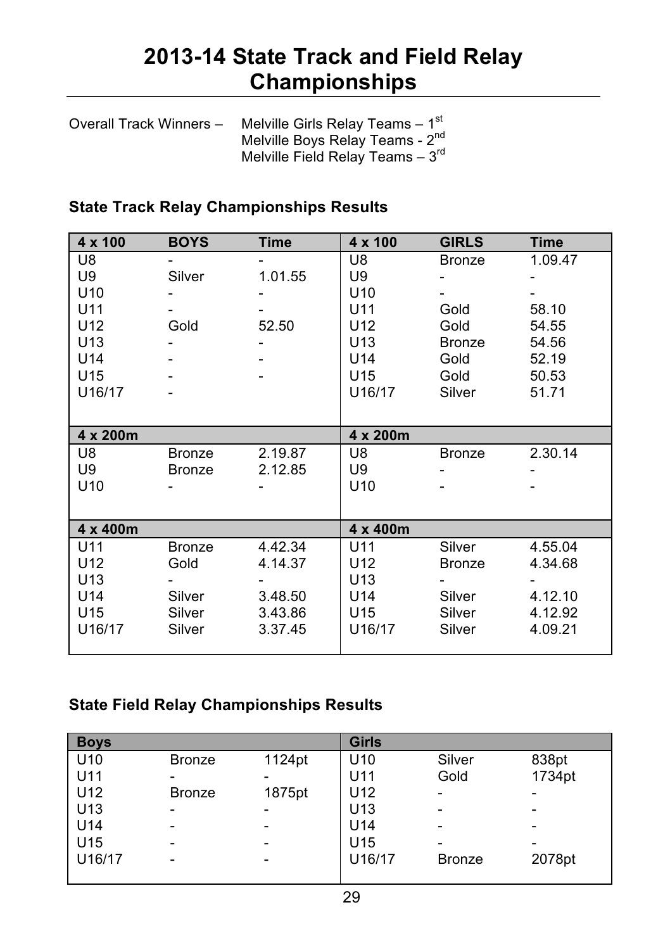### **2013-14 State Track and Field Relay Championships**

| Overall Track Winners - | Melville Girls Relay Teams - 1 <sup>st</sup> |
|-------------------------|----------------------------------------------|
|                         | Melville Boys Relay Teams - 2 <sup>nd</sup>  |
|                         | Melville Field Relay Teams $-3^{\text{rd}}$  |

### **State Track Relay Championships Results**

| $4 \times 100$  | <b>BOYS</b>   | <b>Time</b> | $4 \times 100$  | <b>GIRLS</b>  | <b>Time</b> |
|-----------------|---------------|-------------|-----------------|---------------|-------------|
| U8              |               |             | U8              | <b>Bronze</b> | 1.09.47     |
| U9              | Silver        | 1.01.55     | U9              |               |             |
| U <sub>10</sub> |               |             | U <sub>10</sub> |               |             |
| U11             |               |             | U11             | Gold          | 58.10       |
| U <sub>12</sub> | Gold          | 52.50       | U <sub>12</sub> | Gold          | 54.55       |
| U <sub>13</sub> |               |             | U <sub>13</sub> | <b>Bronze</b> | 54.56       |
| U14             |               |             | U <sub>14</sub> | Gold          | 52.19       |
| U <sub>15</sub> |               |             | U15             | Gold          | 50.53       |
| U16/17          |               |             | U16/17          | Silver        | 51.71       |
|                 |               |             |                 |               |             |
| 4 x 200m        |               |             | 4 x 200m        |               |             |
| U8              | <b>Bronze</b> | 2.19.87     | U8              | <b>Bronze</b> | 2.30.14     |
| U9              | <b>Bronze</b> | 2.12.85     | U9              |               |             |
| U <sub>10</sub> |               |             | U <sub>10</sub> |               |             |
|                 |               |             |                 |               |             |
| 4 x 400m        |               |             | 4 x 400m        |               |             |
| U11             | <b>Bronze</b> | 4.42.34     | U11             | Silver        | 4.55.04     |
| U <sub>12</sub> | Gold          | 4.14.37     | U <sub>12</sub> | <b>Bronze</b> | 4.34.68     |
| U <sub>13</sub> |               |             | U <sub>13</sub> |               |             |
| U14             | Silver        | 3.48.50     | U14             | Silver        | 4.12.10     |
| U <sub>15</sub> | Silver        | 3.43.86     | U15             | Silver        | 4.12.92     |
| U16/17          | Silver        | 3.37.45     | U16/17          | Silver        | 4.09.21     |
|                 |               |             |                 |               |             |

### **State Field Relay Championships Results**

| <b>Boys</b>     |               |        | <b>Girls</b>    |               |        |
|-----------------|---------------|--------|-----------------|---------------|--------|
| U <sub>10</sub> | <b>Bronze</b> | 1124pt | U <sub>10</sub> | Silver        | 838pt  |
| U11             | -             |        | U11             | Gold          | 1734pt |
| U12             | <b>Bronze</b> | 1875pt | U <sub>12</sub> |               |        |
| U13             | -             |        | U <sub>13</sub> | -             | -      |
| U14             | -             |        | U <sub>14</sub> | -             | -      |
| U15             | -             |        | U <sub>15</sub> |               |        |
| U16/17          | -             |        | U16/17          | <b>Bronze</b> | 2078pt |
|                 |               |        |                 |               |        |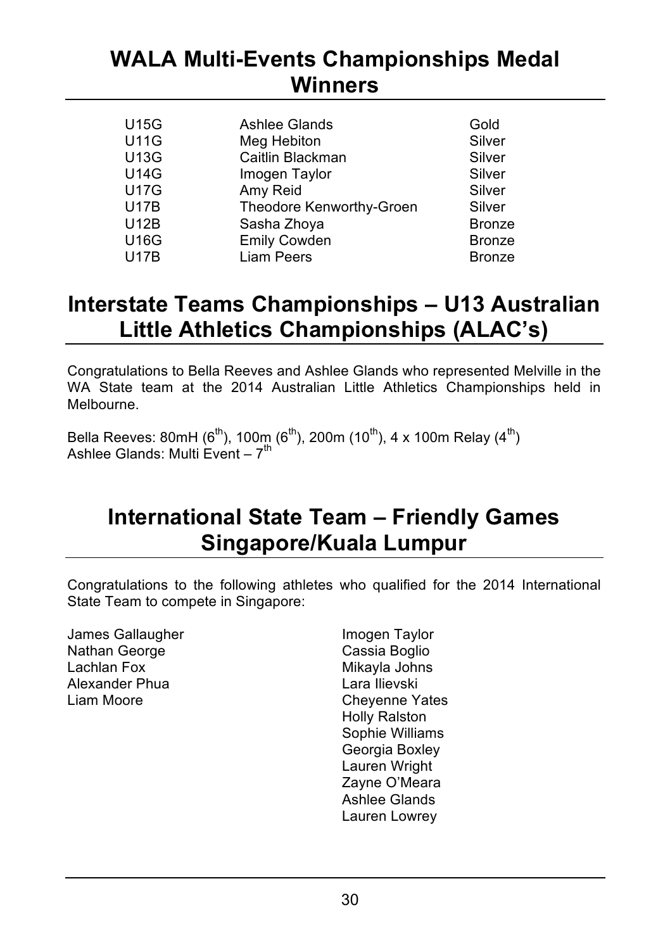### **WALA Multi-Events Championships Medal Winners**

| <b>U15G</b> | Ashlee Glands            | Gold          |
|-------------|--------------------------|---------------|
| <b>U11G</b> | Meg Hebiton              | Silver        |
| <b>U13G</b> | Caitlin Blackman         | Silver        |
| <b>U14G</b> | Imogen Taylor            | Silver        |
| <b>U17G</b> | Amy Reid                 | Silver        |
| <b>U17B</b> | Theodore Kenworthy-Groen | Silver        |
| <b>U12B</b> | Sasha Zhoya              | <b>Bronze</b> |
| <b>U16G</b> | <b>Emily Cowden</b>      | <b>Bronze</b> |
| <b>U17B</b> | Liam Peers               | <b>Bronze</b> |
|             |                          |               |

### **Interstate Teams Championships – U13 Australian Little Athletics Championships (ALAC's)**

Congratulations to Bella Reeves and Ashlee Glands who represented Melville in the WA State team at the 2014 Australian Little Athletics Championships held in Melbourne.

Bella Reeves: 80mH ( $6<sup>th</sup>$ ), 100m ( $6<sup>th</sup>$ ), 200m (10<sup>th</sup>), 4 x 100m Relay (4<sup>th</sup>) Ashlee Glands: Multi Event –  $7^{th}$ 

### **International State Team – Friendly Games Singapore/Kuala Lumpur**

Congratulations to the following athletes who qualified for the 2014 International State Team to compete in Singapore:

James Gallaugher **Imogen** Taylor Nathan George **Cassia Boglio**<br>
Lachlan Fox **Cassia Boglio**<br>
Mikavla Johns Alexander Phua<br>Liam Moore

Mikayla Johns<br>Lara Ilievski Chevenne Yates Holly Ralston Sophie Williams Georgia Boxley Lauren Wright Zayne O'Meara Ashlee Glands Lauren Lowrey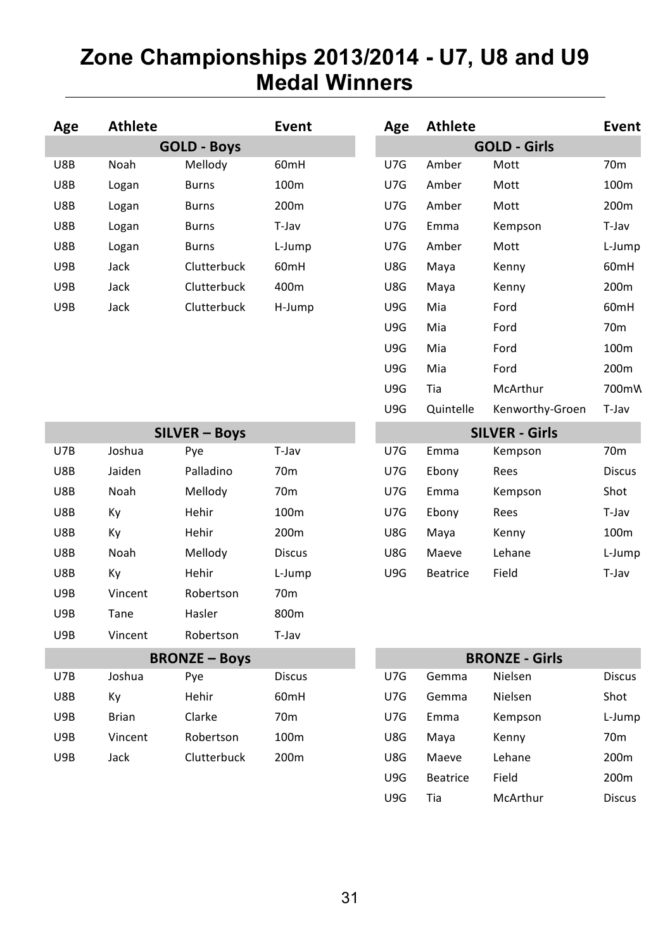### **Zone Championships 2013/2014 - U7, U8 and U9 Medal Winners**

| Age | <b>Athlete</b>       |                      | Event            | Age | <b>Athlete</b>  |                       | Event            |
|-----|----------------------|----------------------|------------------|-----|-----------------|-----------------------|------------------|
|     |                      | <b>GOLD - Boys</b>   |                  |     |                 | <b>GOLD - Girls</b>   |                  |
| U8B | Noah                 | Mellody              | 60mH             | U7G | Amber           | Mott                  | 70 <sub>m</sub>  |
| U8B | Logan                | <b>Burns</b>         | 100m             | U7G | Amber           | Mott                  | 100 <sub>m</sub> |
| U8B | Logan                | <b>Burns</b>         | 200 <sub>m</sub> | U7G | Amber           | Mott                  | 200 <sub>m</sub> |
| U8B | Logan                | <b>Burns</b>         | T-Jav            | U7G | Emma            | Kempson               | T-Jav            |
| U8B | Logan                | <b>Burns</b>         | L-Jump           | U7G | Amber           | Mott                  | L-Jump           |
| U9B | Jack                 | Clutterbuck          | 60mH             | U8G | Maya            | Kenny                 | 60 <sub>mH</sub> |
| U9B | Jack                 | Clutterbuck          | 400m             | U8G | Maya            | Kenny                 | 200 <sub>m</sub> |
| U9B | Jack                 | Clutterbuck          | H-Jump           | U9G | Mia             | Ford                  | 60 <sub>mH</sub> |
|     |                      |                      |                  | U9G | Mia             | Ford                  | 70 <sub>m</sub>  |
|     |                      |                      |                  | U9G | Mia             | Ford                  | 100m             |
|     |                      |                      |                  | U9G | Mia             | Ford                  | 200m             |
|     |                      |                      |                  | U9G | Tia             | McArthur              | 700mW            |
|     |                      |                      |                  | U9G | Quintelle       | Kenworthy-Groen       | T-Jav            |
|     | <b>SILVER - Boys</b> |                      |                  |     |                 | <b>SILVER - Girls</b> |                  |
| U7B | Joshua               | Pye                  | T-Jav            | U7G | Emma            | Kempson               | 70 <sub>m</sub>  |
| U8B | Jaiden               | Palladino            | 70 <sub>m</sub>  | U7G | Ebony           | Rees                  | <b>Discus</b>    |
| U8B | Noah                 | Mellody              | 70 <sub>m</sub>  | U7G | Emma            | Kempson               | Shot             |
| U8B | Кy                   | Hehir                | 100m             | U7G | Ebony           | Rees                  | T-Jav            |
| U8B | Кy                   | Hehir                | 200m             | U8G | Maya            | Kenny                 | 100m             |
| U8B | Noah                 | Mellody              | <b>Discus</b>    | U8G | Maeve           | Lehane                | L-Jump           |
| U8B | Ky                   | Hehir                | L-Jump           | U9G | Beatrice        | Field                 | T-Jav            |
| U9B | Vincent              | Robertson            | 70 <sub>m</sub>  |     |                 |                       |                  |
| U9B | Tane                 | Hasler               | 800m             |     |                 |                       |                  |
| U9B | Vincent              | Robertson            | T-Jav            |     |                 |                       |                  |
|     |                      | <b>BRONZE - Boys</b> |                  |     |                 | <b>BRONZE - Girls</b> |                  |
| U7B | Joshua               | Pye                  | <b>Discus</b>    | U7G | Gemma           | Nielsen               | <b>Discus</b>    |
| U8B | Кy                   | Hehir                | 60 <sub>mH</sub> | U7G | Gemma           | Nielsen               | Shot             |
| U9B | <b>Brian</b>         | Clarke               | 70 <sub>m</sub>  | U7G | Emma            | Kempson               | L-Jump           |
| U9B | Vincent              | Robertson            | 100 <sub>m</sub> | U8G | Maya            | Kenny                 | 70 <sub>m</sub>  |
| U9B | Jack                 | Clutterbuck          | 200 <sub>m</sub> | U8G | Maeve           | Lehane                | 200 <sub>m</sub> |
|     |                      |                      |                  | U9G | <b>Beatrice</b> | Field                 | 200m             |

 

 U9G Tia McArthur Discus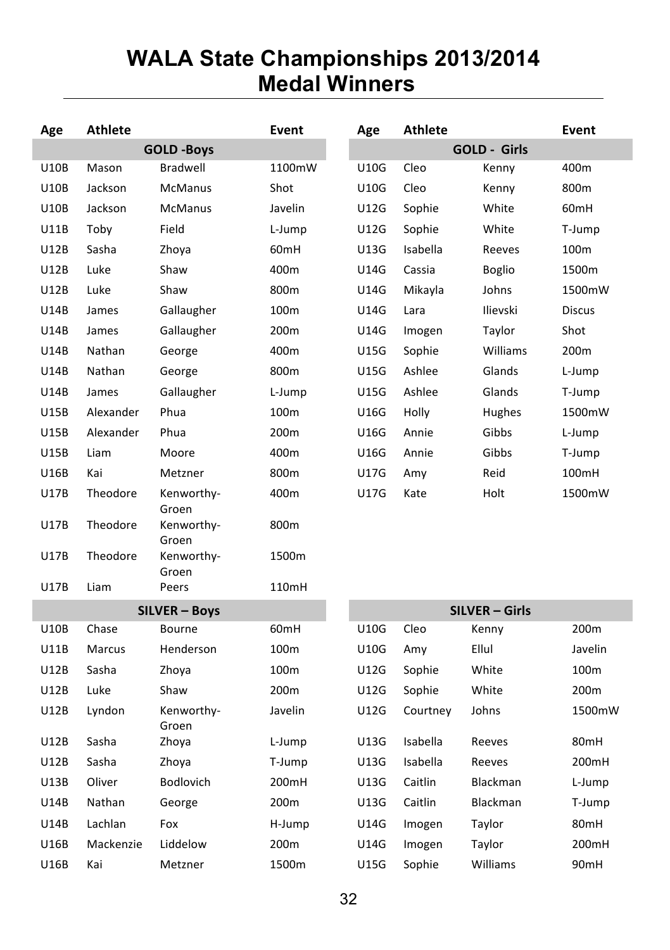### **WALA State Championships 2013/2014 Medal Winners**

| Athlete<br>Age |           |                      | Event            | Age         | <b>Athlete</b> |                       | Event            |
|----------------|-----------|----------------------|------------------|-------------|----------------|-----------------------|------------------|
|                |           | <b>GOLD -Boys</b>    |                  |             |                | <b>GOLD - Girls</b>   |                  |
| <b>U10B</b>    | Mason     | Bradwell             | 1100mW           | U10G        | Cleo           | Kenny                 | 400m             |
| <b>U10B</b>    | Jackson   | <b>McManus</b>       | Shot             | <b>U10G</b> | Cleo           | Kenny                 | 800m             |
| U10B           | Jackson   | <b>McManus</b>       | Javelin          | U12G        | Sophie         | White                 | 60mH             |
| U11B           | Toby      | Field                | L-Jump           | U12G        | Sophie         | White                 | T-Jump           |
| U12B           | Sasha     | Zhoya                | 60 <sub>mH</sub> | U13G        | Isabella       | Reeves                | 100m             |
| U12B           | Luke      | Shaw                 | 400m             | U14G        | Cassia         | <b>Boglio</b>         | 1500m            |
| U12B           | Luke      | Shaw                 | 800m             | U14G        | Mikayla        | Johns                 | 1500mW           |
| <b>U14B</b>    | James     | Gallaugher           | 100m             | U14G        | Lara           | Ilievski              | <b>Discus</b>    |
| U14B           | James     | Gallaugher           | 200m             | U14G        | Imogen         | Taylor                | Shot             |
| <b>U14B</b>    | Nathan    | George               | 400m             | U15G        | Sophie         | Williams              | 200 <sub>m</sub> |
| <b>U14B</b>    | Nathan    | George               | 800m             | U15G        | Ashlee         | Glands                | L-Jump           |
| U14B           | James     | Gallaugher           | L-Jump           | U15G        | Ashlee         | Glands                | T-Jump           |
| <b>U15B</b>    | Alexander | Phua                 | 100m             | U16G        | Holly          | Hughes                | 1500mW           |
| U15B           | Alexander | Phua                 | 200m             | U16G        | Annie          | Gibbs                 | L-Jump           |
| U15B           | Liam      | Moore                | 400m             | U16G        | Annie          | Gibbs                 | T-Jump           |
| U16B           | Kai       | Metzner              | 800m             | U17G        | Amy            | Reid                  | 100mH            |
| U17B           | Theodore  | Kenworthy-           | 400m             | U17G        | Kate           | Holt                  | 1500mW           |
| <b>U17B</b>    | Theodore  | Groen                | 800m             |             |                |                       |                  |
|                |           | Kenworthy-<br>Groen  |                  |             |                |                       |                  |
| U17B           | Theodore  | Kenworthy-           | 1500m            |             |                |                       |                  |
|                |           | Groen                |                  |             |                |                       |                  |
| <b>U17B</b>    | Liam      | Peers                | 110mH            |             |                |                       |                  |
|                |           | <b>SILVER - Boys</b> |                  |             |                | <b>SILVER - Girls</b> |                  |
| U10B           | Chase     | Bourne               | 60mH             | U10G        | Cleo           | Kenny                 | 200m             |
| U11B           | Marcus    | Henderson            | 100m             | U10G        | Amy            | Ellul                 | Javelin          |
| U12B           | Sasha     | Zhoya                | 100m             | U12G        | Sophie         | White                 | 100m             |
| U12B           | Luke      | Shaw                 | 200m             | U12G        | Sophie         | White                 | 200m             |
| <b>U12B</b>    | Lyndon    | Kenworthy-<br>Groen  | Javelin          | U12G        | Courtney       | Johns                 | 1500mW           |
| U12B           | Sasha     | Zhoya                | L-Jump           | U13G        | Isabella       | Reeves                | 80 <sub>mH</sub> |
| U12B           | Sasha     | Zhoya                | T-Jump           | U13G        | Isabella       | Reeves                | 200mH            |
| U13B           | Oliver    | Bodlovich            | 200mH            | U13G        | Caitlin        | Blackman              | L-Jump           |
| U14B           | Nathan    | George               | 200m             | U13G        | Caitlin        | Blackman              | T-Jump           |
| <b>U14B</b>    | Lachlan   | Fox                  | H-Jump           | U14G        | Imogen         | Taylor                | 80mH             |
| U16B           | Mackenzie | Liddelow             | 200m             | U14G        | Imogen         | Taylor                | 200mH            |
| U16B           | Kai       | Metzner              | 1500m            | U15G        | Sophie         | Williams              | 90mH             |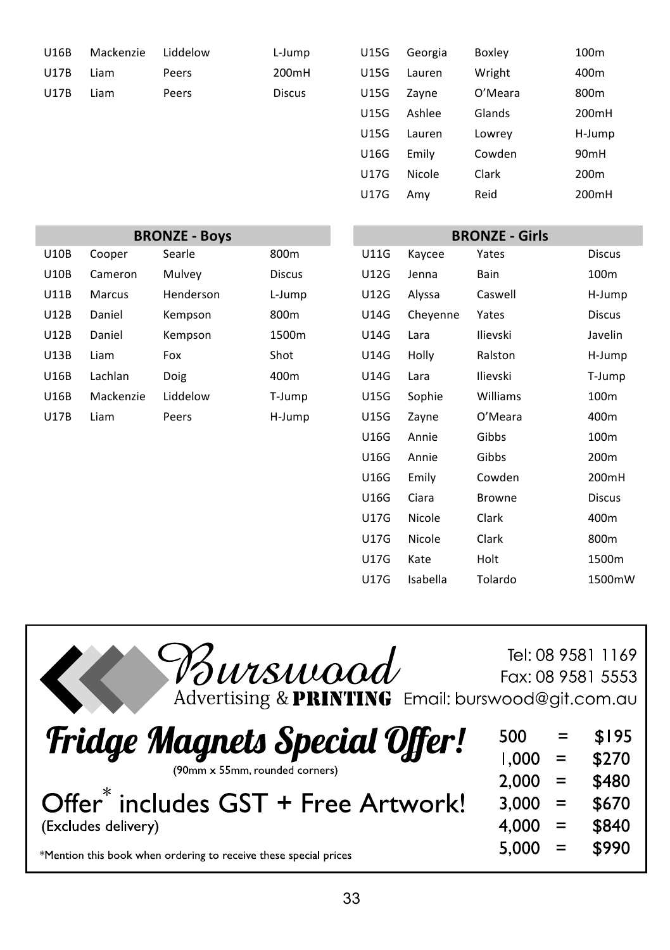| U16B        | Mackenzie | Liddelow | L-Jump        | <b>U15G</b> | Georgia | <b>Boxley</b> | 100m             |
|-------------|-----------|----------|---------------|-------------|---------|---------------|------------------|
| <b>U17B</b> | Liam      | Peers    | 200mH         | U15G        | Lauren  | Wright        | 400m             |
| <b>U17B</b> | Liam      | Peers    | <b>Discus</b> | <b>U15G</b> | Zavne   | O'Meara       | 800m             |
|             |           |          |               | <b>U15G</b> | Ashlee  | Glands        | 200 <sub>m</sub> |
|             |           |          |               | <b>U15G</b> | Lauren  | Lowrey        | H-Jun            |

| U16B | Mackenzie | Liddelow | L-Jump        | U15G        | Georgia | Boxley  | 100 <sub>m</sub> |
|------|-----------|----------|---------------|-------------|---------|---------|------------------|
| U17B | Liam      | Peers    | 200mH         | <b>U15G</b> | Lauren  | Wright  | 400m             |
| U17B | Liam      | Peers    | <b>Discus</b> | <b>U15G</b> | Zayne   | O'Meara | 800 <sub>m</sub> |
|      |           |          |               | <b>U15G</b> | Ashlee  | Glands  | 200mH            |
|      |           |          |               | <b>U15G</b> | Lauren  | Lowrey  | H-Jump           |
|      |           |          |               | U16G        | Emily   | Cowden  | 90 <sub>mH</sub> |
|      |           |          |               | U17G        | Nicole  | Clark   | 200 <sub>m</sub> |
|      |           |          |               | U17G        | Amy     | Reid    | 200mH            |
|      |           |          |               |             |         |         |                  |

| <b>BRONZE - Boys</b> |           |           |               | <b>BRONZE - Girls</b> |          |          |               |
|----------------------|-----------|-----------|---------------|-----------------------|----------|----------|---------------|
| U10B                 | Cooper    | Searle    | 800m          | U11G                  | Kaycee   | Yates    | <b>Discus</b> |
| <b>U10B</b>          | Cameron   | Mulvey    | <b>Discus</b> | U12G                  | Jenna    | Bain     | 100m          |
| U11B                 | Marcus    | Henderson | L-Jump        | U12G                  | Alyssa   | Caswell  | H-Jump        |
| U12B                 | Daniel    | Kempson   | 800m          | U14G                  | Cheyenne | Yates    | <b>Discus</b> |
| U12B                 | Daniel    | Kempson   | 1500m         | <b>U14G</b>           | Lara     | Ilievski | Javelin       |
| U13B                 | Liam      | Fox       | Shot          | U14G                  | Holly    | Ralston  | H-Jump        |
| U16B                 | Lachlan   | Doig      | 400m          | U14G                  | Lara     | Ilievski | T-Jump        |
| U16B                 | Mackenzie | Liddelow  | T-Jump        | U15G                  | Sophie   | Williams | 100m          |
| U17B                 | Liam      | Peers     | H-Jump        | U15G                  | Zayne    | O'Meara  | 400m          |
|                      |           |           |               | U16G                  | Annie    | Gibbs    | 100m          |
|                      |           |           |               | U16G                  | Annie    | Gibbs    | 200m          |
|                      |           |           |               | U16G                  | Emily    | Cowden   | 200mH         |
|                      |           |           |               | U16G                  | Ciara    | Browne   | <b>Discus</b> |
|                      |           |           |               | U17G                  | Nicole   | Clark    | 400m          |
|                      |           |           |               | U17G                  | Nicole   | Clark    | 800m          |
|                      |           |           |               | U17G                  | Kate     | Holt     | 1500m         |
|                      |           |           |               | U17G                  | Isabella | Tolardo  | 1500mW        |

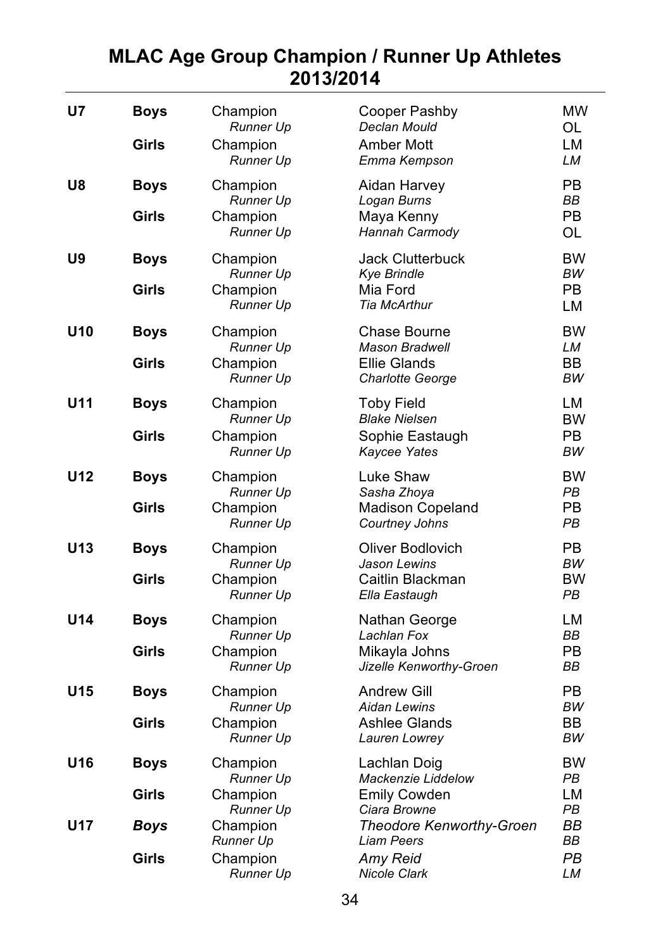### **MLAC Age Group Champion / Runner Up Athletes 2013/2014**

| U7              | <b>Boys</b><br>Girls | Champion<br><b>Runner Up</b><br>Champion<br><b>Runner Up</b> | Cooper Pashby<br>Declan Mould<br>Amber Mott<br>Emma Kempson                      | MW<br>OL<br>LM<br>LM                           |
|-----------------|----------------------|--------------------------------------------------------------|----------------------------------------------------------------------------------|------------------------------------------------|
| U8              | <b>Boys</b><br>Girls | Champion<br><b>Runner Up</b><br>Champion<br><b>Runner Up</b> | Aidan Harvey<br>Logan Burns<br>Maya Kenny<br>Hannah Carmody                      | PB.<br><b>BB</b><br><b>PB</b><br>OL            |
| U9              | <b>Boys</b><br>Girls | Champion<br><b>Runner Up</b><br>Champion<br>Runner Up        | Jack Clutterbuck<br><b>Kye Brindle</b><br>Mia Ford<br><b>Tia McArthur</b>        | <b>BW</b><br><b>BW</b><br><b>PB</b><br>LM      |
| U <sub>10</sub> | <b>Boys</b><br>Girls | Champion<br>Runner Up<br>Champion<br>Runner Up               | Chase Bourne<br><b>Mason Bradwell</b><br><b>Ellie Glands</b><br>Charlotte George | <b>BW</b><br>LM<br>BB<br>BW                    |
| U <sub>11</sub> | <b>Boys</b><br>Girls | Champion<br>Runner Up<br>Champion<br><b>Runner Up</b>        | <b>Toby Field</b><br><b>Blake Nielsen</b><br>Sophie Eastaugh<br>Kaycee Yates     | LM<br><b>BW</b><br>PB.<br><b>BW</b>            |
| U <sub>12</sub> | <b>Boys</b><br>Girls | Champion<br><b>Runner Up</b><br>Champion<br>Runner Up        | Luke Shaw<br>Sasha Zhoya<br>Madison Copeland<br>Courtney Johns                   | <b>BW</b><br><b>PB</b><br>PB.<br>PB            |
| U <sub>13</sub> | <b>Boys</b><br>Girls | Champion<br>Runner Up<br>Champion<br><b>Runner Up</b>        | Oliver Bodlovich<br>Jason Lewins<br>Caitlin Blackman<br>Ella Eastaugh            | P <sub>B</sub><br>BW<br><b>BW</b><br><b>PB</b> |
| U <sub>14</sub> | <b>Boys</b><br>Girls | Champion<br><b>Runner Up</b><br>Champion<br>Runner Up        | Nathan George<br>Lachlan Fox<br>Mikayla Johns<br>Jizelle Kenworthy-Groen         | LM<br><b>BB</b><br>P <sub>B</sub><br>BB        |
| U15             | <b>Boys</b><br>Girls | Champion<br>Runner Up<br>Champion<br><b>Runner Up</b>        | Andrew Gill<br><b>Aidan Lewins</b><br>Ashlee Glands<br>Lauren Lowrey             | PB.<br><b>BW</b><br>BB<br>BW                   |
| U <sub>16</sub> | <b>Boys</b><br>Girls | Champion<br><b>Runner Up</b><br>Champion                     | Lachlan Doig<br>Mackenzie Liddelow<br><b>Emily Cowden</b>                        | <b>BW</b><br>PB<br>LM                          |
| U17             | <b>Boys</b>          | Runner Up<br>Champion<br>Runner Up                           | Ciara Browne<br>Theodore Kenworthy-Groen<br><b>Liam Peers</b>                    | <b>PB</b><br>BВ<br>BB                          |
|                 | Girls                | Champion<br>Runner Up                                        | Amy Reid<br><b>Nicole Clark</b>                                                  | PB<br>LM                                       |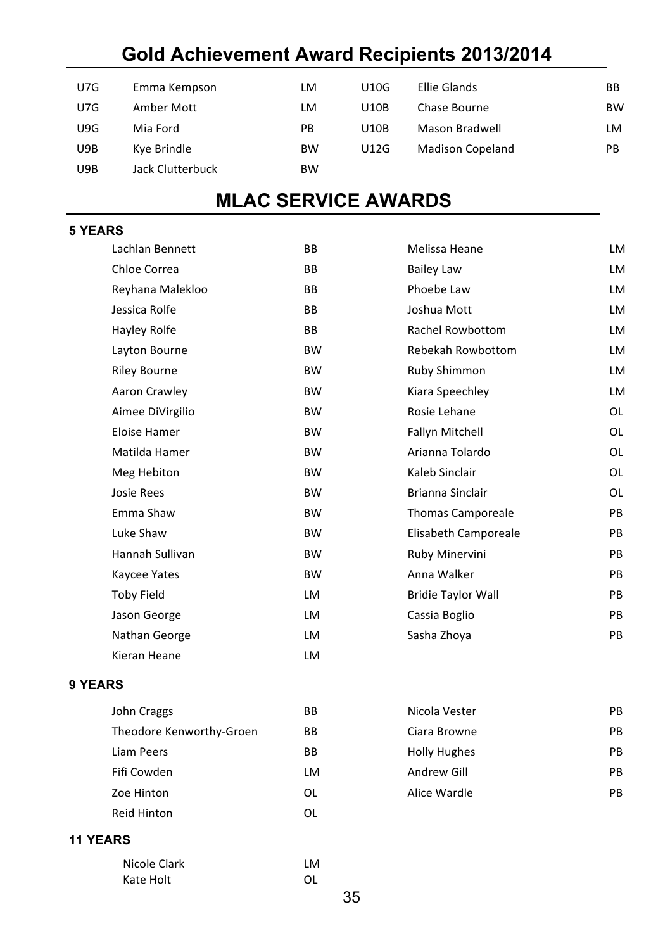### **Gold Achievement Award Recipients 2013/2014**

| U7G | Emma Kempson     | LM        | U10G        | Ellie Glands            | BB        |
|-----|------------------|-----------|-------------|-------------------------|-----------|
| U7G | Amber Mott       | LM        | U10B        | Chase Bourne            | <b>BW</b> |
| U9G | Mia Ford         | PB        | U10B        | Mason Bradwell          | LM        |
| U9B | Kye Brindle      | <b>BW</b> | <b>U12G</b> | <b>Madison Copeland</b> | PB        |
| U9B | Jack Clutterbuck | <b>BW</b> |             |                         |           |

### **MLAC SERVICE AWARDS**

#### **5 YEARS**

| Lachlan Bennett     | <b>BB</b> | Melissa Heane             | LM        |
|---------------------|-----------|---------------------------|-----------|
| Chloe Correa        | <b>BB</b> | <b>Bailey Law</b>         | LM        |
| Reyhana Malekloo    | BB        | Phoebe Law                | LM        |
| Jessica Rolfe       | <b>BB</b> | Joshua Mott               | LM        |
| Hayley Rolfe        | BB        | <b>Rachel Rowbottom</b>   | LM        |
| Layton Bourne       | <b>BW</b> | Rebekah Rowbottom         | LM        |
| <b>Riley Bourne</b> | <b>BW</b> | Ruby Shimmon              | LM        |
| Aaron Crawley       | <b>BW</b> | Kiara Speechley           | LM        |
| Aimee DiVirgilio    | <b>BW</b> | Rosie Lehane              | <b>OL</b> |
| Eloise Hamer        | <b>BW</b> | <b>Fallyn Mitchell</b>    | <b>OL</b> |
| Matilda Hamer       | <b>BW</b> | Arianna Tolardo           | <b>OL</b> |
| Meg Hebiton         | <b>BW</b> | Kaleb Sinclair            | <b>OL</b> |
| Josie Rees          | <b>BW</b> | <b>Brianna Sinclair</b>   | <b>OL</b> |
| Emma Shaw           | <b>BW</b> | <b>Thomas Camporeale</b>  | PB        |
| Luke Shaw           | <b>BW</b> | Elisabeth Camporeale      | <b>PB</b> |
| Hannah Sullivan     | <b>BW</b> | Ruby Minervini            | PB        |
| Kaycee Yates        | <b>BW</b> | Anna Walker               | <b>PB</b> |
| <b>Toby Field</b>   | LM        | <b>Bridie Taylor Wall</b> | PB        |
| Jason George        | LM        | Cassia Boglio             | PB        |
| Nathan George       | LM        | Sasha Zhoya               | PB        |
| Kieran Heane        | LM        |                           |           |
|                     |           |                           |           |

#### **9 YEARS**

| John Craggs              | ВB        |
|--------------------------|-----------|
| Theodore Kenworthy-Groen | ВB        |
| Liam Peers               | <b>BB</b> |
| Fifi Cowden              | I M       |
| Zoe Hinton               | ΩL        |
| <b>Reid Hinton</b>       | ΩL        |

#### **11 YEARS**

| Nicole Clark | I M |
|--------------|-----|
| Kate Holt    | ΩI  |

**B Nicola Vester** PB B Ciara Browne PB B B Holly Hughes PB Fifi 
 Cowden LM 

 Andrew 
 Gill PB L Alice Wardle **Communist Communist Communist Communist Communist Communist Communist Communist Communist Communist Communist Communist PB**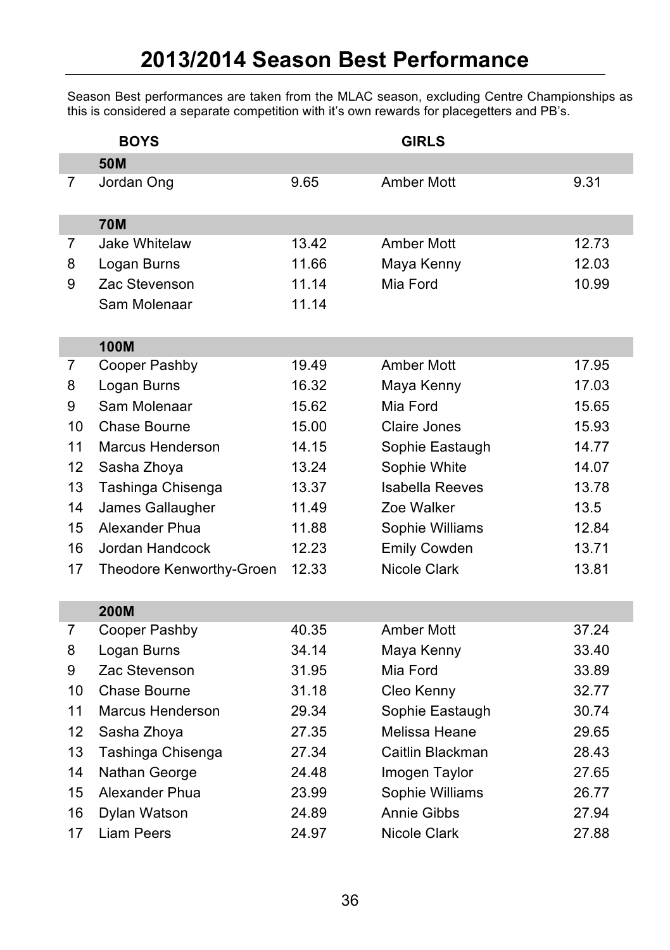Season Best performances are taken from the MLAC season, excluding Centre Championships as this is considered a separate competition with it's own rewards for placegetters and PB's.

|    | <b>BOYS</b>              |       | <b>GIRLS</b>        |       |
|----|--------------------------|-------|---------------------|-------|
|    | <b>50M</b>               |       |                     |       |
| 7  | Jordan Ong               | 9.65  | Amber Mott          | 9.31  |
|    | <b>70M</b>               |       |                     |       |
| 7  | Jake Whitelaw            | 13.42 | Amber Mott          | 12.73 |
| 8  | Logan Burns              | 11.66 | Maya Kenny          | 12.03 |
| 9  | Zac Stevenson            | 11.14 | Mia Ford            | 10.99 |
|    | Sam Molenaar             | 11.14 |                     |       |
|    | <b>100M</b>              |       |                     |       |
| 7  | Cooper Pashby            | 19.49 | Amber Mott          | 17.95 |
| 8  | Logan Burns              | 16.32 | Maya Kenny          | 17.03 |
| 9  | Sam Molenaar             | 15.62 | Mia Ford            | 15.65 |
| 10 | Chase Bourne             | 15.00 | Claire Jones        | 15.93 |
| 11 | Marcus Henderson         | 14.15 | Sophie Eastaugh     | 14.77 |
| 12 | Sasha Zhoya              | 13.24 | Sophie White        | 14.07 |
| 13 | Tashinga Chisenga        | 13.37 | Isabella Reeves     | 13.78 |
| 14 | James Gallaugher         | 11.49 | Zoe Walker          | 13.5  |
| 15 | Alexander Phua           | 11.88 | Sophie Williams     | 12.84 |
| 16 | Jordan Handcock          | 12.23 | <b>Emily Cowden</b> | 13.71 |
| 17 | Theodore Kenworthy-Groen | 12.33 | Nicole Clark        | 13.81 |
|    | <b>200M</b>              |       |                     |       |
| 7  | Cooper Pashby            | 40.35 | Amber Mott          | 37.24 |
| 8  | Logan Burns              | 34.14 | Maya Kenny          | 33.40 |
| 9  | Zac Stevenson            | 31.95 | Mia Ford            | 33.89 |
| 10 | Chase Bourne             | 31.18 | Cleo Kenny          | 32.77 |
| 11 | Marcus Henderson         | 29.34 | Sophie Eastaugh     | 30.74 |
| 12 | Sasha Zhoya              | 27.35 | Melissa Heane       | 29.65 |
| 13 | Tashinga Chisenga        | 27.34 | Caitlin Blackman    | 28.43 |
| 14 | Nathan George            | 24.48 | Imogen Taylor       | 27.65 |
| 15 | Alexander Phua           | 23.99 | Sophie Williams     | 26.77 |
| 16 | Dylan Watson             | 24.89 | Annie Gibbs         | 27.94 |
| 17 | Liam Peers               | 24.97 | Nicole Clark        | 27.88 |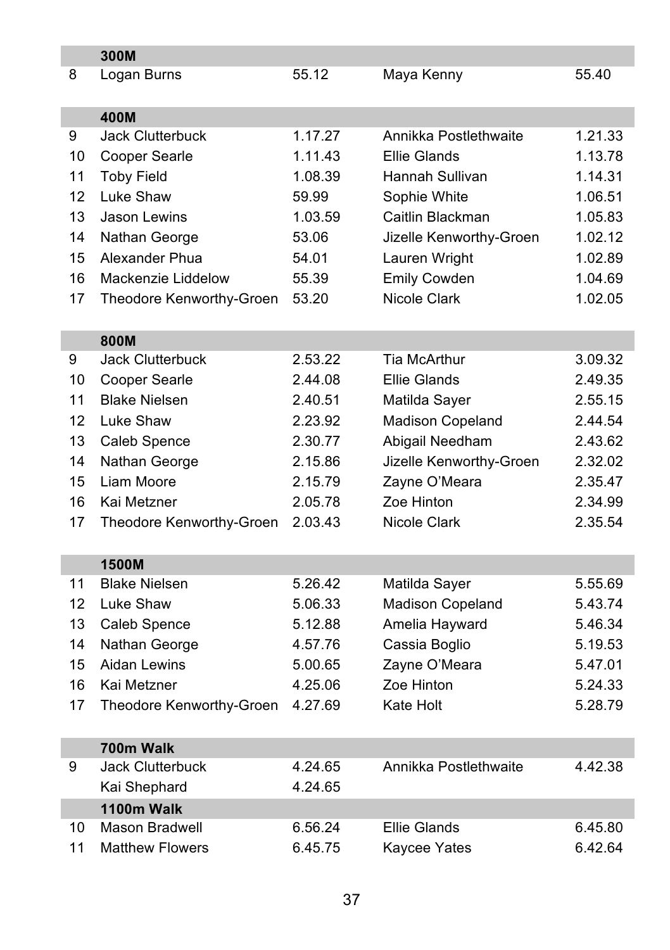|    | 300M                     |         |                         |         |
|----|--------------------------|---------|-------------------------|---------|
| 8  | Logan Burns              | 55.12   | Maya Kenny              | 55.40   |
|    |                          |         |                         |         |
|    | 400M                     |         |                         |         |
| 9  | <b>Jack Clutterbuck</b>  | 1.17.27 | Annikka Postlethwaite   | 1.21.33 |
| 10 | Cooper Searle            | 1.11.43 | Ellie Glands            | 1.13.78 |
| 11 | <b>Toby Field</b>        | 1.08.39 | Hannah Sullivan         | 1.14.31 |
| 12 | Luke Shaw                | 59.99   | Sophie White            | 1.06.51 |
| 13 | Jason Lewins             | 1.03.59 | Caitlin Blackman        | 1.05.83 |
| 14 | Nathan George            | 53.06   | Jizelle Kenworthy-Groen | 1.02.12 |
| 15 | Alexander Phua           | 54.01   | Lauren Wright           | 1.02.89 |
| 16 | Mackenzie Liddelow       | 55.39   | Emily Cowden            | 1.04.69 |
| 17 | Theodore Kenworthy-Groen | 53.20   | Nicole Clark            | 1.02.05 |
|    |                          |         |                         |         |
|    | 800M                     |         |                         |         |
| 9  | Jack Clutterbuck         | 2.53.22 | <b>Tia McArthur</b>     | 3.09.32 |
| 10 | Cooper Searle            | 2.44.08 | Ellie Glands            | 2.49.35 |
| 11 | <b>Blake Nielsen</b>     | 2.40.51 | Matilda Sayer           | 2.55.15 |
| 12 | Luke Shaw                | 2.23.92 | Madison Copeland        | 2.44.54 |
| 13 | Caleb Spence             | 2.30.77 | Abigail Needham         | 2.43.62 |
| 14 | Nathan George            | 2.15.86 | Jizelle Kenworthy-Groen | 2.32.02 |
| 15 | Liam Moore               | 2.15.79 | Zayne O'Meara           | 2.35.47 |
| 16 | Kai Metzner              | 2.05.78 | Zoe Hinton              | 2.34.99 |
| 17 | Theodore Kenworthy-Groen | 2.03.43 | Nicole Clark            | 2.35.54 |
|    |                          |         |                         |         |
|    | <b>1500M</b>             |         |                         |         |
| 11 | <b>Blake Nielsen</b>     | 5.26.42 | Matilda Sayer           | 5.55.69 |
| 12 | Luke Shaw                | 5.06.33 | Madison Copeland        | 5.43.74 |
| 13 | Caleb Spence             | 5.12.88 | Amelia Hayward          | 5.46.34 |
| 14 | Nathan George            | 4.57.76 | Cassia Boglio           | 5.19.53 |
| 15 | Aidan Lewins             | 5.00.65 | Zayne O'Meara           | 5.47.01 |
| 16 | Kai Metzner              | 4.25.06 | Zoe Hinton              | 5.24.33 |
| 17 | Theodore Kenworthy-Groen | 4.27.69 | Kate Holt               | 5.28.79 |
|    |                          |         |                         |         |
|    | 700m Walk                |         |                         |         |
| 9  | <b>Jack Clutterbuck</b>  | 4.24.65 | Annikka Postlethwaite   | 4.42.38 |
|    | Kai Shephard             | 4.24.65 |                         |         |
|    | 1100m Walk               |         |                         |         |
| 10 | <b>Mason Bradwell</b>    | 6.56.24 | <b>Ellie Glands</b>     | 6.45.80 |
| 11 | <b>Matthew Flowers</b>   | 6.45.75 | Kaycee Yates            | 6.42.64 |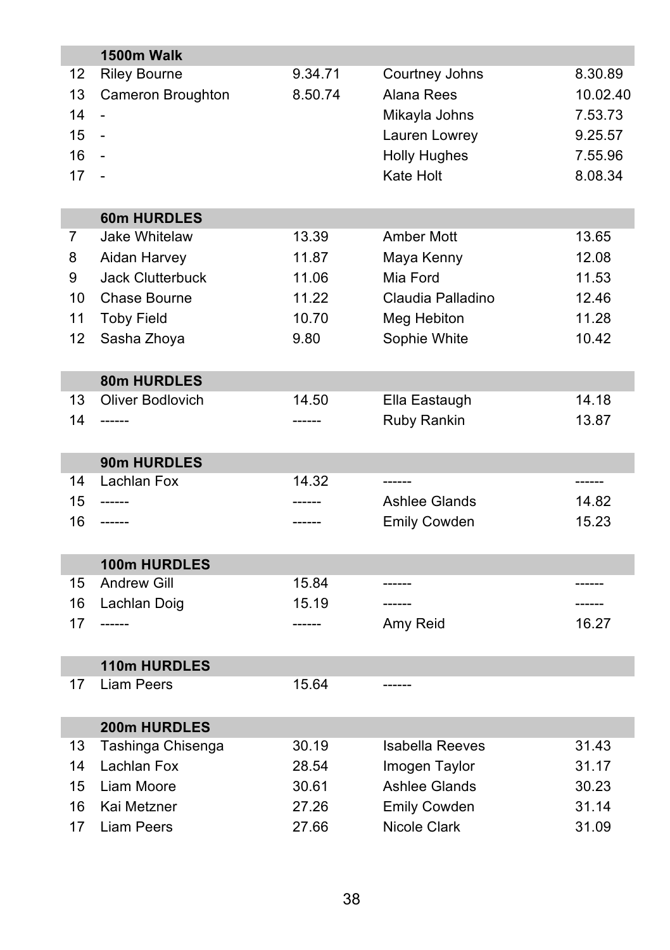|    | 1500m Walk                        |         |                        |          |
|----|-----------------------------------|---------|------------------------|----------|
| 12 | <b>Riley Bourne</b>               | 9.34.71 | Courtney Johns         | 8.30.89  |
| 13 | Cameron Broughton                 | 8.50.74 | Alana Rees             | 10.02.40 |
| 14 |                                   |         | Mikayla Johns          | 7.53.73  |
| 15 | $\blacksquare$                    |         | Lauren Lowrey          | 9.25.57  |
| 16 |                                   |         | <b>Holly Hughes</b>    | 7.55.96  |
| 17 |                                   |         | Kate Holt              | 8.08.34  |
|    |                                   |         |                        |          |
|    | 60m HURDLES                       |         |                        |          |
| 7  | Jake Whitelaw                     | 13.39   | Amber Mott             | 13.65    |
| 8  | Aidan Harvey                      | 11.87   | Maya Kenny             | 12.08    |
| 9  | <b>Jack Clutterbuck</b>           | 11.06   | Mia Ford               | 11.53    |
| 10 | Chase Bourne                      | 11.22   | Claudia Palladino      | 12.46    |
| 11 | <b>Toby Field</b>                 | 10.70   | Meg Hebiton            | 11.28    |
| 12 | Sasha Zhoya                       | 9.80    | Sophie White           | 10.42    |
|    |                                   |         |                        |          |
|    | 80m HURDLES                       |         |                        |          |
| 13 | Oliver Bodlovich                  | 14.50   | Ella Eastaugh          | 14.18    |
| 14 | ------                            | ------  | Ruby Rankin            | 13.87    |
|    |                                   |         |                        |          |
|    | 90m HURDLES                       |         |                        |          |
| 14 | Lachlan Fox                       | 14.32   |                        |          |
| 15 | ------                            | -----   | Ashlee Glands          | 14.82    |
| 16 | ------                            |         | Emily Cowden           | 15.23    |
|    |                                   |         |                        |          |
|    | <b>100m HURDLES</b>               |         |                        |          |
| 15 | <b>Andrew Gill</b>                | 15.84   |                        |          |
| 16 | Lachlan Doig                      | 15.19   | -------                | -------  |
| 17 | ------                            |         | Amy Reid               | 16.27    |
|    |                                   |         |                        |          |
| 17 | 110m HURDLES<br><b>Liam Peers</b> | 15.64   |                        |          |
|    |                                   |         |                        |          |
|    | 200m HURDLES                      |         |                        |          |
| 13 | Tashinga Chisenga                 | 30.19   | <b>Isabella Reeves</b> | 31.43    |
| 14 | Lachlan Fox                       | 28.54   | Imogen Taylor          | 31.17    |
| 15 | Liam Moore                        | 30.61   | <b>Ashlee Glands</b>   | 30.23    |
| 16 | Kai Metzner                       | 27.26   | <b>Emily Cowden</b>    | 31.14    |
|    |                                   |         |                        |          |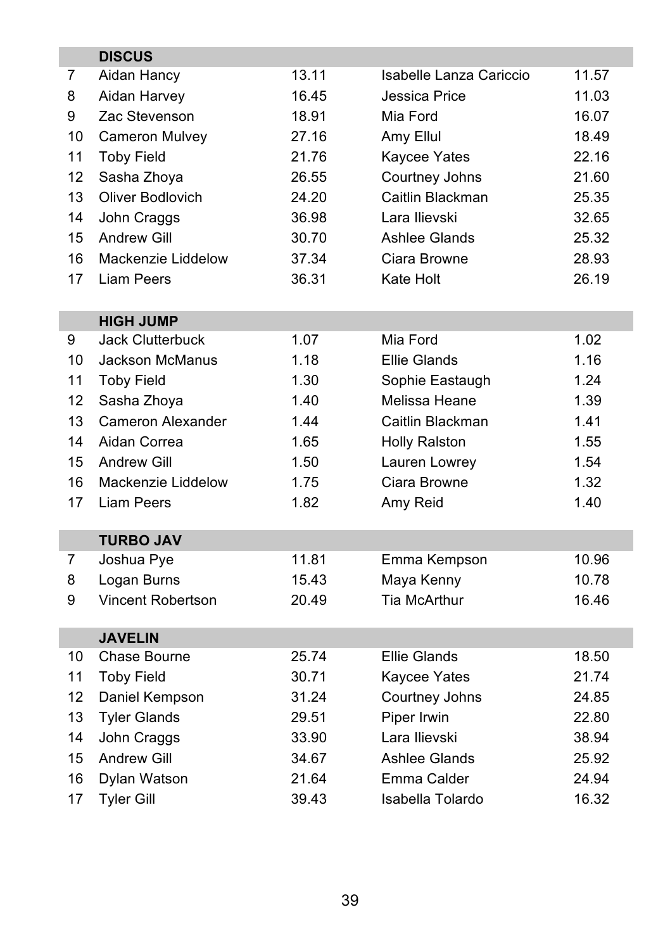|    | <b>DISCUS</b>                  |       |                         |       |
|----|--------------------------------|-------|-------------------------|-------|
| 7  | Aidan Hancy                    | 13.11 | Isabelle Lanza Cariccio | 11.57 |
| 8  | Aidan Harvey                   | 16.45 | Jessica Price           | 11.03 |
| 9  | Zac Stevenson                  | 18.91 | Mia Ford                | 16.07 |
| 10 | Cameron Mulvey                 | 27.16 | Amy Ellul               | 18.49 |
| 11 | <b>Toby Field</b>              | 21.76 | Kaycee Yates            | 22.16 |
| 12 | Sasha Zhoya                    | 26.55 | Courtney Johns          | 21.60 |
| 13 | Oliver Bodlovich               | 24.20 | Caitlin Blackman        | 25.35 |
| 14 | John Craggs                    | 36.98 | Lara Ilievski           | 32.65 |
| 15 | <b>Andrew Gill</b>             | 30.70 | <b>Ashlee Glands</b>    | 25.32 |
| 16 | Mackenzie Liddelow             | 37.34 | Ciara Browne            | 28.93 |
| 17 | Liam Peers                     | 36.31 | Kate Holt               | 26.19 |
|    |                                |       |                         |       |
|    | <b>HIGH JUMP</b>               |       |                         |       |
| 9  | Jack Clutterbuck               | 1.07  | Mia Ford                | 1.02  |
| 10 | Jackson McManus                | 1.18  | <b>Ellie Glands</b>     | 1.16  |
| 11 | <b>Toby Field</b>              | 1.30  | Sophie Eastaugh         | 1.24  |
| 12 | Sasha Zhoya                    | 1.40  | Melissa Heane           | 1.39  |
| 13 | Cameron Alexander              | 1.44  | Caitlin Blackman        | 1.41  |
| 14 | Aidan Correa                   | 1.65  | <b>Holly Ralston</b>    | 1.55  |
| 15 | <b>Andrew Gill</b>             | 1.50  | Lauren Lowrey           | 1.54  |
| 16 | Mackenzie Liddelow             | 1.75  | Ciara Browne            | 1.32  |
| 17 | <b>Liam Peers</b>              | 1.82  | Amy Reid                | 1.40  |
|    |                                |       |                         |       |
| 7  | <b>TURBO JAV</b><br>Joshua Pye | 11.81 | Emma Kempson            | 10.96 |
| 8  | Logan Burns                    | 15.43 | Maya Kenny              | 10.78 |
| 9  | Vincent Robertson              | 20.49 | <b>Tia McArthur</b>     | 16.46 |
|    |                                |       |                         |       |
|    | <b>JAVELIN</b>                 |       |                         |       |
| 10 | Chase Bourne                   | 25.74 | <b>Ellie Glands</b>     | 18.50 |
| 11 | <b>Toby Field</b>              | 30.71 | Kaycee Yates            | 21.74 |
| 12 | Daniel Kempson                 | 31.24 | Courtney Johns          | 24.85 |
| 13 | <b>Tyler Glands</b>            | 29.51 | Piper Irwin             | 22.80 |
| 14 | John Craggs                    | 33.90 | Lara Ilievski           | 38.94 |
| 15 | <b>Andrew Gill</b>             | 34.67 | Ashlee Glands           | 25.92 |
| 16 | Dylan Watson                   | 21.64 | Emma Calder             | 24.94 |
| 17 | <b>Tyler Gill</b>              | 39.43 | Isabella Tolardo        | 16.32 |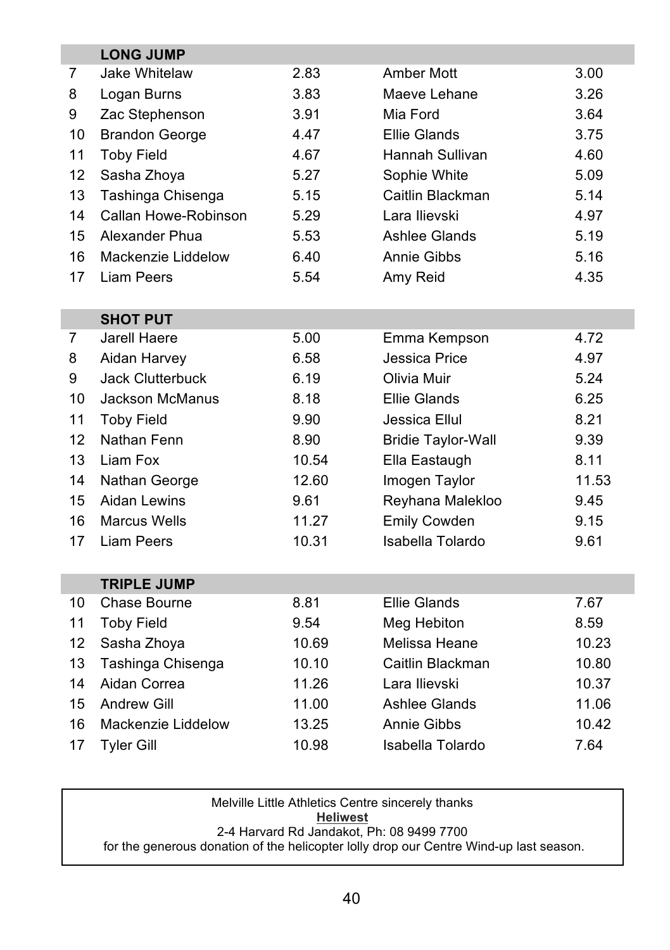|    | <b>LONG JUMP</b>        |       |                           |       |
|----|-------------------------|-------|---------------------------|-------|
| 7  | Jake Whitelaw           | 2.83  | Amber Mott                | 3.00  |
| 8  | Logan Burns             | 3.83  | Maeve Lehane              | 3.26  |
| 9  | Zac Stephenson          | 3.91  | Mia Ford                  | 3.64  |
| 10 | <b>Brandon George</b>   | 4.47  | <b>Ellie Glands</b>       | 3.75  |
| 11 | <b>Toby Field</b>       | 4.67  | Hannah Sullivan           | 4.60  |
| 12 | Sasha Zhoya             | 5.27  | Sophie White              | 5.09  |
| 13 | Tashinga Chisenga       | 5.15  | Caitlin Blackman          | 5.14  |
| 14 | Callan Howe-Robinson    | 5.29  | Lara Ilievski             | 4.97  |
| 15 | Alexander Phua          | 5.53  | Ashlee Glands             | 5.19  |
| 16 | Mackenzie Liddelow      | 6.40  | Annie Gibbs               | 5.16  |
| 17 | <b>Liam Peers</b>       | 5.54  | Amy Reid                  | 4.35  |
|    |                         |       |                           |       |
|    | <b>SHOT PUT</b>         |       |                           |       |
| 7  | Jarell Haere            | 5.00  | Emma Kempson              | 4.72  |
| 8  | Aidan Harvey            | 6.58  | Jessica Price             | 4.97  |
| 9  | <b>Jack Clutterbuck</b> | 6.19  | Olivia Muir               | 5.24  |
| 10 | <b>Jackson McManus</b>  | 8.18  | <b>Ellie Glands</b>       | 6.25  |
| 11 | <b>Toby Field</b>       | 9.90  | Jessica Ellul             | 8.21  |
| 12 | Nathan Fenn             | 8.90  | <b>Bridie Taylor-Wall</b> | 9.39  |
| 13 | Liam Fox                | 10.54 | Ella Eastaugh             | 8.11  |
| 14 | Nathan George           | 12.60 | Imogen Taylor             | 11.53 |
| 15 | Aidan Lewins            | 9.61  | Reyhana Malekloo          | 9.45  |
| 16 | Marcus Wells            | 11.27 | Emily Cowden              | 9.15  |
| 17 | <b>Liam Peers</b>       | 10.31 | Isabella Tolardo          | 9.61  |
|    |                         |       |                           |       |
|    | <b>TRIPLE JUMP</b>      |       |                           |       |
| 10 | Chase Bourne            | 8.81  | <b>Ellie Glands</b>       | 7.67  |
| 11 | <b>Toby Field</b>       | 9.54  | Meg Hebiton               | 8.59  |
| 12 | Sasha Zhoya             | 10.69 | Melissa Heane             | 10.23 |
| 13 | Tashinga Chisenga       | 10.10 | Caitlin Blackman          | 10.80 |
| 14 | Aidan Correa            | 11.26 | Lara Ilievski             | 10.37 |
| 15 | <b>Andrew Gill</b>      | 11.00 | Ashlee Glands             | 11.06 |
| 16 | Mackenzie Liddelow      | 13.25 | Annie Gibbs               | 10.42 |
| 17 | <b>Tyler Gill</b>       | 10.98 | Isabella Tolardo          | 7.64  |

Melville Little Athletics Centre sincerely thanks **Heliwest** 2-4 Harvard Rd Jandakot, Ph: 08 9499 7700 for the generous donation of the helicopter lolly drop our Centre Wind-up last season.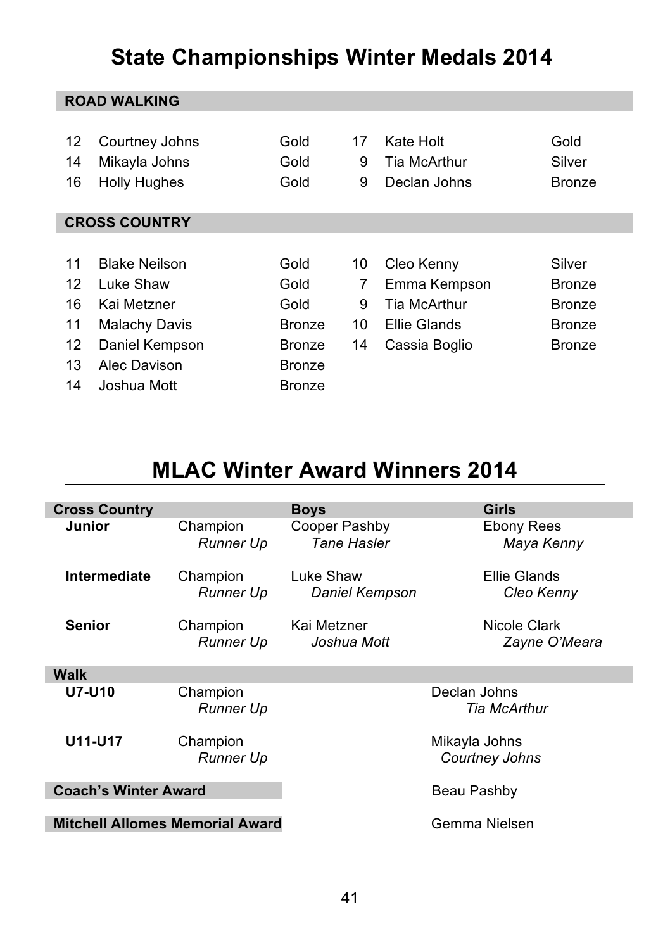### **State Championships Winter Medals 2014**

|    | <b>ROAD WALKING</b>  |               |    |               |               |  |  |  |  |  |  |
|----|----------------------|---------------|----|---------------|---------------|--|--|--|--|--|--|
|    |                      |               |    |               |               |  |  |  |  |  |  |
| 12 | Courtney Johns       | Gold          | 17 | Kate Holt     | Gold          |  |  |  |  |  |  |
| 14 | Mikayla Johns        | Gold          | 9  | Tia McArthur  | Silver        |  |  |  |  |  |  |
| 16 | <b>Holly Hughes</b>  | Gold          | 9  | Declan Johns  | <b>Bronze</b> |  |  |  |  |  |  |
|    |                      |               |    |               |               |  |  |  |  |  |  |
|    | <b>CROSS COUNTRY</b> |               |    |               |               |  |  |  |  |  |  |
|    |                      |               |    |               |               |  |  |  |  |  |  |
| 11 | <b>Blake Neilson</b> | Gold          | 10 | Cleo Kenny    | Silver        |  |  |  |  |  |  |
| 12 | Luke Shaw            | Gold          | 7  | Emma Kempson  | <b>Bronze</b> |  |  |  |  |  |  |
| 16 | Kai Metzner          | Gold          | 9  | Tia McArthur  | <b>Bronze</b> |  |  |  |  |  |  |
| 11 | <b>Malachy Davis</b> | <b>Bronze</b> | 10 | Ellie Glands  | <b>Bronze</b> |  |  |  |  |  |  |
| 12 | Daniel Kempson       | <b>Bronze</b> | 14 | Cassia Boglio | Bronze        |  |  |  |  |  |  |
| 13 | Alec Davison         | <b>Bronze</b> |    |               |               |  |  |  |  |  |  |
| 14 | Joshua Mott          | <b>Bronze</b> |    |               |               |  |  |  |  |  |  |

### **MLAC Winter Award Winners 2014**

| <b>Cross Country</b>                   |                              | <b>Boys</b>                            | Girls                         |  |  |
|----------------------------------------|------------------------------|----------------------------------------|-------------------------------|--|--|
| Junior                                 | Champion<br>Runner Up        | Cooper Pashby<br><b>Tane Hasler</b>    | Ebony Rees<br>Maya Kenny      |  |  |
| Intermediate                           | Champion<br>Runner Up        | Luke Shaw<br>Daniel Kempson            | Ellie Glands<br>Cleo Kenny    |  |  |
| <b>Senior</b>                          | Champion<br>Runner Up        | Kai Metzner<br>Joshua Mott             | Nicole Clark<br>Zayne O'Meara |  |  |
| Walk                                   |                              |                                        |                               |  |  |
| <b>U7-U10</b>                          | Champion<br><b>Runner Up</b> |                                        | Declan Johns<br>Tia McArthur  |  |  |
| U11-U17                                | Champion<br>Runner Up        | Mikayla Johns<br><b>Courtney Johns</b> |                               |  |  |
| <b>Coach's Winter Award</b>            |                              | Beau Pashby                            |                               |  |  |
| <b>Mitchell Allomes Memorial Award</b> |                              | Gemma Nielsen                          |                               |  |  |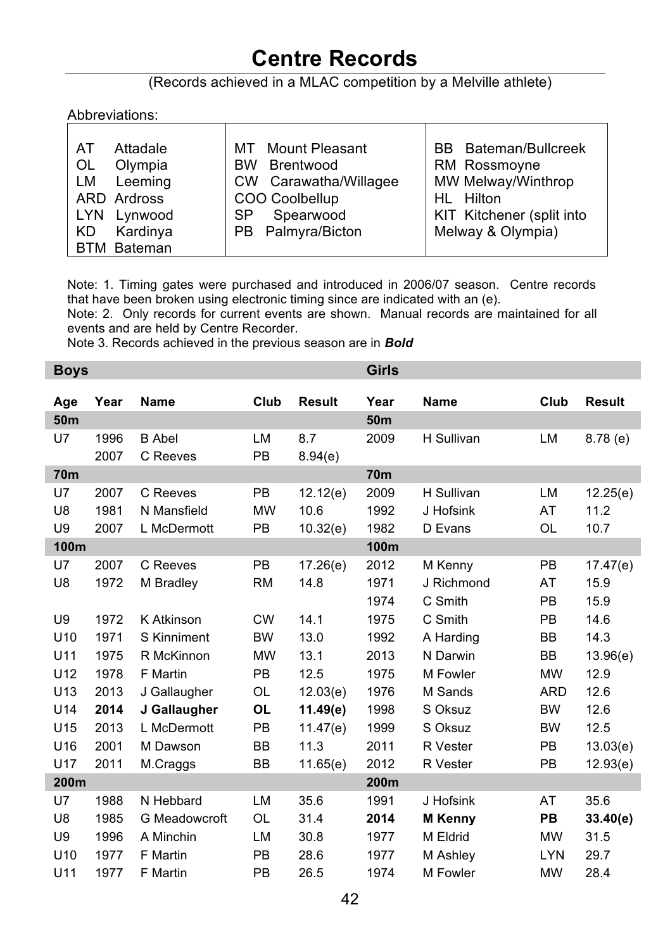### **Centre Records**

### (Records achieved in a MLAC competition by a Melville athlete)

#### Abbreviations:

| Attadale<br>AT<br>Olympia<br>0L<br>Leeming<br>LM<br>ARD Ardross | MT Mount Pleasant<br>Brentwood<br><b>BW</b><br>CW Carawatha/Willagee<br>COO Coolbellup | <b>BB</b> Bateman/Bullcreek<br>RM Rossmoyne<br>MW Melway/Winthrop<br>HL Hilton |
|-----------------------------------------------------------------|----------------------------------------------------------------------------------------|--------------------------------------------------------------------------------|
| Lynwood<br><b>LYN</b><br>Kardinya<br>KD<br><b>BTM Bateman</b>   | Spearwood<br>SP<br>PB Palmyra/Bicton                                                   | KIT Kitchener (split into<br>Melway & Olympia)                                 |

Note: 1. Timing gates were purchased and introduced in 2006/07 season. Centre records that have been broken using electronic timing since are indicated with an (e).

Note: 2. Only records for current events are shown. Manual records are maintained for all events and are held by Centre Recorder.

Note 3. Records achieved in the previous season are in *Bold*

| <b>Boys</b>     |      |               |           |               | <b>Girls</b>    |                |            |               |
|-----------------|------|---------------|-----------|---------------|-----------------|----------------|------------|---------------|
| Age             | Year | <b>Name</b>   | Club      | <b>Result</b> | Year            | Name           | Club       | <b>Result</b> |
| 50 <sub>m</sub> |      |               |           |               | 50 <sub>m</sub> |                |            |               |
| U7              | 1996 | <b>B</b> Abel | <b>LM</b> | 8.7           | 2009            | H Sullivan     | <b>LM</b>  | 8.78(e)       |
|                 | 2007 | C Reeves      | <b>PB</b> | 8.94(e)       |                 |                |            |               |
| 70m             |      |               |           |               | 70m             |                |            |               |
| U7              | 2007 | C Reeves      | <b>PB</b> | 12.12(e)      | 2009            | H Sullivan     | <b>LM</b>  | 12.25(e)      |
| U8              | 1981 | N Mansfield   | <b>MW</b> | 10.6          | 1992            | J Hofsink      | AT         | 11.2          |
| U9              | 2007 | L McDermott   | PB        | 10.32(e)      | 1982            | D Evans        | OL         | 10.7          |
| 100m            |      |               |           |               | 100m            |                |            |               |
| U7              | 2007 | C Reeves      | PB        | 17.26(e)      | 2012            | M Kenny        | PB         | 17.47(e)      |
| U8              | 1972 | M Bradley     | <b>RM</b> | 14.8          | 1971            | J Richmond     | AT         | 15.9          |
|                 |      |               |           |               | 1974            | C Smith        | <b>PB</b>  | 15.9          |
| U9              | 1972 | K Atkinson    | <b>CW</b> | 14.1          | 1975            | C Smith        | <b>PB</b>  | 14.6          |
| U <sub>10</sub> | 1971 | S Kinniment   | <b>BW</b> | 13.0          | 1992            | A Harding      | <b>BB</b>  | 14.3          |
| U11             | 1975 | R McKinnon    | <b>MW</b> | 13.1          | 2013            | N Darwin       | <b>BB</b>  | 13.96(e)      |
| U12             | 1978 | F Martin      | <b>PB</b> | 12.5          | 1975            | M Fowler       | <b>MW</b>  | 12.9          |
| U <sub>13</sub> | 2013 | J Gallaugher  | <b>OL</b> | 12.03(e)      | 1976            | M Sands        | <b>ARD</b> | 12.6          |
| U14             | 2014 | J Gallaugher  | <b>OL</b> | 11.49(e)      | 1998            | S Oksuz        | <b>BW</b>  | 12.6          |
| U15             | 2013 | L McDermott   | <b>PB</b> | 11.47(e)      | 1999            | S Oksuz        | <b>BW</b>  | 12.5          |
| U16             | 2001 | M Dawson      | <b>BB</b> | 11.3          | 2011            | R Vester       | <b>PB</b>  | 13.03(e)      |
| U17             | 2011 | M.Craggs      | ВB        | 11.65(e)      | 2012            | R Vester       | PB         | 12.93(e)      |
| 200m            |      |               |           |               | 200m            |                |            |               |
| U7              | 1988 | N Hebbard     | LM        | 35.6          | 1991            | J Hofsink      | AT         | 35.6          |
| U8              | 1985 | G Meadowcroft | <b>OL</b> | 31.4          | 2014            | <b>M</b> Kenny | PВ         | 33.40(e)      |
| U9              | 1996 | A Minchin     | LM        | 30.8          | 1977            | M Eldrid       | <b>MW</b>  | 31.5          |
| U10             | 1977 | F Martin      | <b>PB</b> | 28.6          | 1977            | M Ashley       | <b>LYN</b> | 29.7          |
| U11             | 1977 | F Martin      | <b>PB</b> | 26.5          | 1974            | M Fowler       | <b>MW</b>  | 28.4          |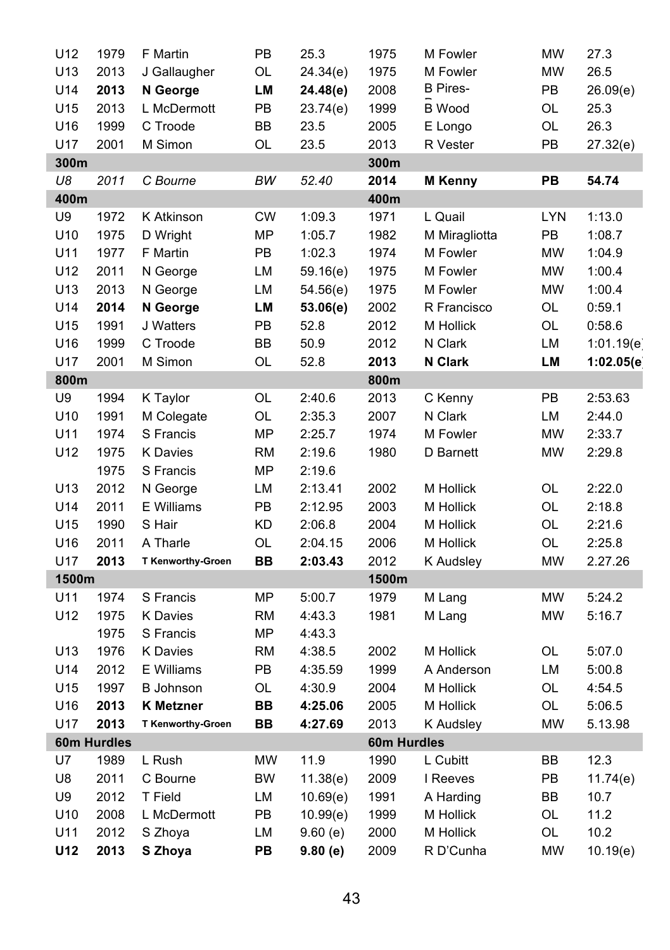| U12   | 1979        | F Martin                 | PB        | 25.3     | 1975        | M Fowler        | <b>MW</b>  | 27.3       |
|-------|-------------|--------------------------|-----------|----------|-------------|-----------------|------------|------------|
| U13   | 2013        | J Gallaugher             | OL        | 24.34(e) | 1975        | M Fowler        | <b>MW</b>  | 26.5       |
| U14   | 2013        | N George                 | LМ        | 24.48(e) | 2008        | <b>B</b> Pires- | PB         | 26.09(e)   |
| U15   | 2013        | L McDermott              | PB        | 23.74(e) | 1999        | <b>B</b> Wood   | OL         | 25.3       |
| U16   | 1999        | C Troode                 | BB        | 23.5     | 2005        | E Longo         | OL         | 26.3       |
| U17   | 2001        | M Simon                  | OL        | 23.5     | 2013        | R Vester        | PB         | 27.32(e)   |
| 300m  |             |                          |           |          | 300m        |                 |            |            |
| U8    | 2011        | C Bourne                 | BW        | 52.40    | 2014        | <b>M</b> Kenny  | PB         | 54.74      |
| 400m  |             |                          |           |          | 400m        |                 |            |            |
| U9    | 1972        | K Atkinson               | <b>CW</b> | 1:09.3   | 1971        | L Quail         | <b>LYN</b> | 1:13.0     |
| U10   | 1975        | D Wright                 | MP        | 1:05.7   | 1982        | M Miragliotta   | PB         | 1:08.7     |
| U11   | 1977        | F Martin                 | PB        | 1:02.3   | 1974        | M Fowler        | <b>MW</b>  | 1:04.9     |
| U12   | 2011        | N George                 | LM        | 59.16(e) | 1975        | M Fowler        | <b>MW</b>  | 1:00.4     |
| U13   | 2013        | N George                 | LM        | 54.56(e) | 1975        | M Fowler        | <b>MW</b>  | 1:00.4     |
| U14   | 2014        | N George                 | LМ        | 53.06(e) | 2002        | R Francisco     | OL         | 0:59.1     |
| U15   | 1991        | J Watters                | PB        | 52.8     | 2012        | M Hollick       | OL         | 0:58.6     |
| U16   | 1999        | C Troode                 | BB        | 50.9     | 2012        | N Clark         | LM         | 1:01.19(e) |
| U17   | 2001        | M Simon                  | OL        | 52.8     | 2013        | N Clark         | LM         | 1:02.05(e) |
| 800m  |             |                          |           |          | 800m        |                 |            |            |
| U9    | 1994        | K Taylor                 | OL        | 2:40.6   | 2013        | C Kenny         | PB         | 2:53.63    |
| U10   | 1991        | M Colegate               | OL        | 2:35.3   | 2007        | N Clark         | LM         | 2:44.0     |
| U11   | 1974        | S Francis                | <b>MP</b> | 2:25.7   | 1974        | M Fowler        | <b>MW</b>  | 2:33.7     |
| U12   | 1975        | <b>K</b> Davies          | <b>RM</b> | 2:19.6   | 1980        | D Barnett       | <b>MW</b>  | 2:29.8     |
|       | 1975        | S Francis                | MP        | 2:19.6   |             |                 |            |            |
| U13   | 2012        | N George                 | LM        | 2:13.41  | 2002        | M Hollick       | OL         | 2:22.0     |
| U14   | 2011        | E Williams               | PB        | 2:12.95  | 2003        | M Hollick       | OL         | 2:18.8     |
| U15   | 1990        | S Hair                   | KD        | 2:06.8   | 2004        | M Hollick       | OL         | 2:21.6     |
| U16   | 2011        | A Tharle                 | OL        | 2:04.15  | 2006        | M Hollick       | OL         | 2:25.8     |
| U17   | 2013        | T Kenworthy-Groen        | BВ        | 2:03.43  | 2012        | K Audsley       | MW         | 2.27.26    |
| 1500m |             |                          |           |          | 1500m       |                 |            |            |
| U11   | 1974        | S Francis                | <b>MP</b> | 5:00.7   | 1979        | M Lang          | <b>MW</b>  | 5:24.2     |
| U12   | 1975        | K Davies                 | <b>RM</b> | 4:43.3   | 1981        | M Lang          | <b>MW</b>  | 5:16.7     |
|       | 1975        | S Francis                | MP        | 4:43.3   |             |                 |            |            |
| U13   | 1976        | <b>K</b> Davies          | <b>RM</b> | 4:38.5   | 2002        | M Hollick       | OL         | 5:07.0     |
| U14   | 2012        | E Williams               | PB        | 4:35.59  | 1999        | A Anderson      | LM         | 5:00.8     |
| U15   | 1997        | <b>B</b> Johnson         | OL        | 4:30.9   | 2004        | M Hollick       | OL         | 4:54.5     |
| U16   | 2013        | <b>K</b> Metzner         | BB        | 4:25.06  | 2005        | M Hollick       | OL         | 5:06.5     |
| U17   | 2013        | <b>T Kenworthy-Groen</b> | BВ        | 4:27.69  | 2013        | K Audsley       | <b>MW</b>  | 5.13.98    |
|       | 60m Hurdles |                          |           |          | 60m Hurdles |                 |            |            |
| U7    | 1989        | L Rush                   | <b>MW</b> | 11.9     | 1990        | L Cubitt        | BB         | 12.3       |
| U8    | 2011        | C Bourne                 | BW        | 11.38(e) | 2009        | I Reeves        | PB         | 11.74(e)   |
| U9    | 2012        | T Field                  | LM        | 10.69(e) | 1991        | A Harding       | BB         | 10.7       |
| U10   | 2008        | L McDermott              | PB        | 10.99(e) | 1999        | M Hollick       | OL         | 11.2       |
| U11   | 2012        | S Zhoya                  | LM        | 9.60(e)  | 2000        | M Hollick       | OL         | 10.2       |
| U12   | 2013        | S Zhoya                  | <b>PB</b> | 9.80(e)  | 2009        | R D'Cunha       | <b>MW</b>  | 10.19(e)   |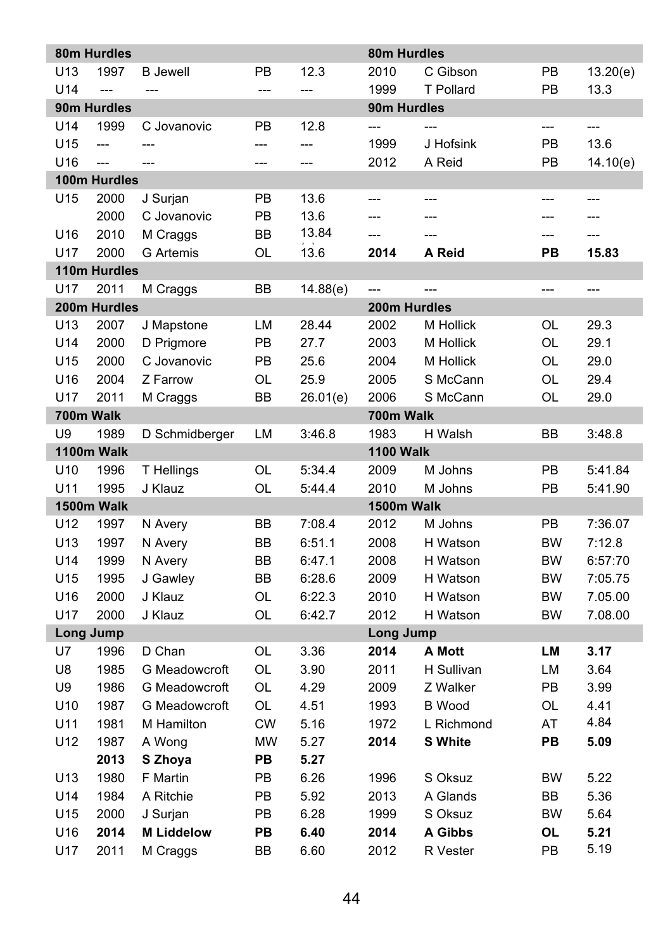|                 | 80m Hurdles              |                   |           |          | 80m Hurdles      |                |           |                |
|-----------------|--------------------------|-------------------|-----------|----------|------------------|----------------|-----------|----------------|
| U <sub>13</sub> | 1997                     | <b>B</b> Jewell   | PB        | 12.3     | 2010             | C Gibson       | PB        | 13.20(e)       |
| U14             | $\overline{a}$           | $\overline{a}$    | $---$     | ---      | 1999             | T Pollard      | PB        | 13.3           |
|                 | 90m Hurdles              |                   |           |          | 90m Hurdles      |                |           |                |
| U14             | 1999                     | C Jovanovic       | PB        | 12.8     | $\overline{a}$   |                | ---       | $\overline{a}$ |
| U15             | $\overline{a}$           |                   | $---$     | ---      | 1999             | J Hofsink      | PB        | 13.6           |
| U <sub>16</sub> | $\overline{\phantom{a}}$ | ---               | ---       | ---      | 2012             | A Reid         | PB        | 14.10(e)       |
|                 | 100m Hurdles             |                   |           |          |                  |                |           |                |
| U15             | 2000                     | J Surjan          | PB        | 13.6     | $\overline{a}$   | ---            | $---$     | ---            |
|                 | 2000                     | C Jovanovic       | PB        | 13.6     | $\overline{a}$   | $---$          | ---       | ---            |
| U16             | 2010                     | M Craggs          | <b>BB</b> | 13.84    | $\overline{a}$   |                | ---       | $\overline{a}$ |
| U17             | 2000                     | <b>G</b> Artemis  | OL        | 13.6     | 2014             | A Reid         | PВ        | 15.83          |
|                 | 110m Hurdles             |                   |           |          |                  |                |           |                |
| U <sub>17</sub> | 2011                     | M Craggs          | BB        | 14.88(e) | ---              |                | ---       | ---            |
|                 | 200m Hurdles             |                   |           |          | 200m Hurdles     |                |           |                |
| U <sub>13</sub> | 2007                     | J Mapstone        | LM        | 28.44    | 2002             | M Hollick      | OL        | 29.3           |
| U14             | 2000                     | D Prigmore        | PB        | 27.7     | 2003             | M Hollick      | OL        | 29.1           |
| U15             | 2000                     | C Jovanovic       | PB        | 25.6     | 2004             | M Hollick      | OL        | 29.0           |
| U16             | 2004                     | Z Farrow          | OL        | 25.9     | 2005             | S McCann       | OL        | 29.4           |
| U17             | 2011                     | M Craggs          | BB        | 26.01(e) | 2006             | S McCann       | OL        | 29.0           |
|                 | 700m Walk                |                   |           |          | 700m Walk        |                |           |                |
| U9              | 1989                     | D Schmidberger    | LM        | 3:46.8   | 1983             | H Walsh        | <b>BB</b> | 3:48.8         |
|                 | 1100m Walk               |                   |           |          | <b>1100 Walk</b> |                |           |                |
| U <sub>10</sub> | 1996                     | T Hellings        | OL        | 5:34.4   | 2009             | M Johns        | PB        | 5:41.84        |
| U11             | 1995                     | J Klauz           | OL        | 5:44.4   | 2010             | M Johns        | PB        | 5:41.90        |
|                 | 1500m Walk               |                   |           |          | 1500m Walk       |                |           |                |
| U12             | 1997                     | N Avery           | BB        | 7:08.4   | 2012             | M Johns        | PB        | 7:36.07        |
| U <sub>13</sub> | 1997                     | N Avery           | <b>BB</b> | 6:51.1   | 2008             | H Watson       | <b>BW</b> | 7:12.8         |
| U14             | 1999                     | N Avery           | BB        | 6:47.1   | 2008             | H Watson       | <b>BW</b> | 6:57:70        |
| U15             | 1995                     | J Gawley          | BB        | 6:28.6   | 2009             | H Watson       | <b>BW</b> | 7:05.75        |
| U16             | 2000                     | J Klauz           | OL        | 6:22.3   | 2010             | H Watson       | BW        | 7.05.00        |
| U17             | 2000                     | J Klauz           | OL        | 6:42.7   | 2012             | H Watson       | <b>BW</b> | 7.08.00        |
| U7              | Long Jump                |                   |           |          | Long Jump        |                |           | 3.17           |
|                 | 1996                     | D Chan            | OL        | 3.36     | 2014             | A Mott         | LM        |                |
| U8              | 1985                     | G Meadowcroft     | OL        | 3.90     | 2011             | H Sullivan     | LM        | 3.64           |
| U9              | 1986                     | G Meadowcroft     | OL        | 4.29     | 2009             | Z Walker       | PB        | 3.99           |
| U <sub>10</sub> | 1987                     | G Meadowcroft     | OL        | 4.51     | 1993             | <b>B</b> Wood  | OL        | 4.41<br>4.84   |
| U11             | 1981                     | M Hamilton        | <b>CW</b> | 5.16     | 1972             | L Richmond     | AT        |                |
| U12             | 1987                     | A Wong            | <b>MW</b> | 5.27     | 2014             | <b>S</b> White | PB        | 5.09           |
|                 | 2013                     | S Zhoya           | PB        | 5.27     |                  |                |           |                |
| U13             | 1980                     | F Martin          | PB        | 6.26     | 1996             | S Oksuz        | <b>BW</b> | 5.22           |
| U14             | 1984                     | A Ritchie         | PB        | 5.92     | 2013             | A Glands       | ВB        | 5.36           |
| U15             | 2000                     | J Surjan          | PB        | 6.28     | 1999             | S Oksuz        | <b>BW</b> | 5.64           |
| U16             | 2014                     | <b>M Liddelow</b> | PB        | 6.40     | 2014             | A Gibbs        | OL        | 5.21           |
| U17             | 2011                     | M Craggs          | BB        | 6.60     | 2012             | R Vester       | PB        | 5.19           |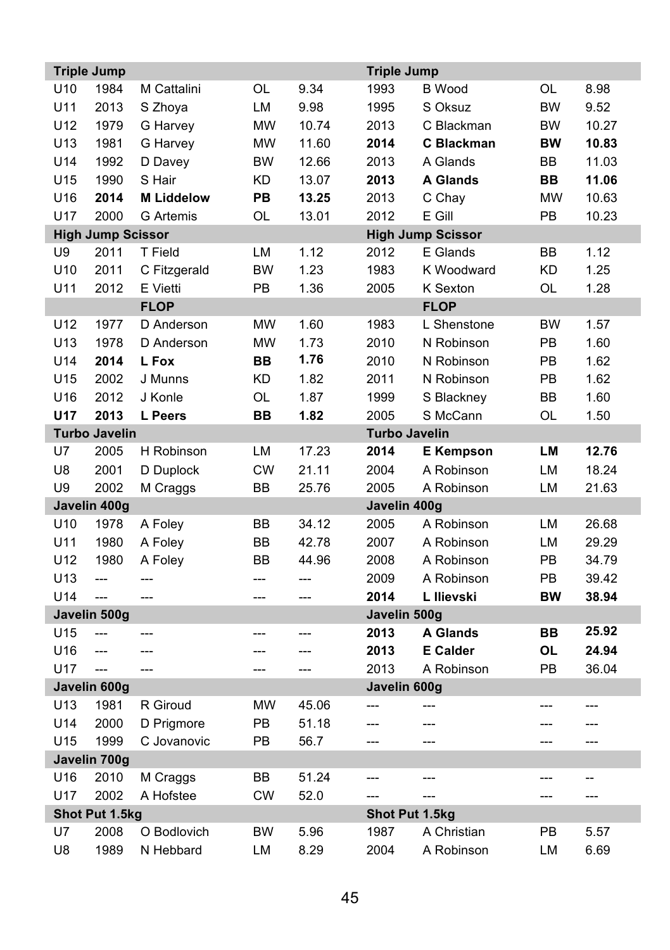|                      | <b>Triple Jump</b>       |                   |           |                          | <b>Triple Jump</b> |                          |           |                |
|----------------------|--------------------------|-------------------|-----------|--------------------------|--------------------|--------------------------|-----------|----------------|
| U <sub>10</sub>      | 1984                     | M Cattalini       | OL        | 9.34                     | 1993               | <b>B</b> Wood            | OL        | 8.98           |
| U11                  | 2013                     | S Zhoya           | LM        | 9.98                     | 1995               | S Oksuz                  | <b>BW</b> | 9.52           |
| U12                  | 1979                     | G Harvey          | <b>MW</b> | 10.74                    | 2013               | C Blackman               | <b>BW</b> | 10.27          |
| U13                  | 1981                     | G Harvey          | <b>MW</b> | 11.60                    | 2014               | C Blackman               | BW        | 10.83          |
| U14                  | 1992                     | D Davey           | <b>BW</b> | 12.66                    | 2013               | A Glands                 | BB        | 11.03          |
| U15                  | 1990                     | S Hair            | KD        | 13.07                    | 2013               | <b>A Glands</b>          | BВ        | 11.06          |
| U16                  | 2014                     | <b>M Liddelow</b> | PB        | 13.25                    | 2013               | C Chay                   | <b>MW</b> | 10.63          |
| U17                  | 2000                     | <b>G</b> Artemis  | OL        | 13.01                    | 2012               | E Gill                   | PB        | 10.23          |
|                      | <b>High Jump Scissor</b> |                   |           |                          |                    | <b>High Jump Scissor</b> |           |                |
| U9                   | 2011                     | T Field           | LM        | 1.12                     | 2012               | E Glands                 | BB        | 1.12           |
| U10                  | 2011                     | C Fitzgerald      | <b>BW</b> | 1.23                     | 1983               | K Woodward               | <b>KD</b> | 1.25           |
| U11                  | 2012                     | E Vietti          | PB        | 1.36                     | 2005               | K Sexton                 | OL        | 1.28           |
|                      |                          | <b>FLOP</b>       |           |                          |                    | <b>FLOP</b>              |           |                |
| U12                  | 1977                     | D Anderson        | <b>MW</b> | 1.60                     | 1983               | L Shenstone              | <b>BW</b> | 1.57           |
| U13                  | 1978                     | D Anderson        | <b>MW</b> | 1.73                     | 2010               | N Robinson               | PB        | 1.60           |
| U14                  | 2014                     | L Fox             | <b>BB</b> | 1.76                     | 2010               | N Robinson               | PB        | 1.62           |
| U15                  | 2002                     | J Munns           | <b>KD</b> | 1.82                     | 2011               | N Robinson               | PB        | 1.62           |
| U16                  | 2012                     | J Konle           | OL        | 1.87                     | 1999               | S Blackney               | ВB        | 1.60           |
| U17                  | 2013                     | L Peers           | ВB        | 1.82                     | 2005               | S McCann                 | OL        | 1.50           |
| <b>Turbo Javelin</b> |                          |                   |           | <b>Turbo Javelin</b>     |                    |                          |           |                |
| U7                   | 2005                     | H Robinson        | LM        | 17.23                    | 2014               | <b>E</b> Kempson         | LM        | 12.76          |
| U8                   | 2001                     | D Duplock         | <b>CW</b> | 21.11                    | 2004               | A Robinson               | LM        | 18.24          |
| U9                   | 2002                     | M Craggs          | ВB        | 25.76                    | 2005               | A Robinson               | LM        | 21.63          |
|                      | Javelin 400g             |                   |           |                          | Javelin 400g       |                          |           |                |
| U10                  | 1978                     | A Foley           | BB        | 34.12                    | 2005               | A Robinson               | LM        | 26.68          |
| U11                  | 1980                     | A Foley           | BB        | 42.78                    | 2007               | A Robinson               | LM        | 29.29          |
| U12                  | 1980                     | A Foley           | ВB        | 44.96                    | 2008               | A Robinson               | PB        | 34.79          |
| U13                  | $\overline{\phantom{a}}$ | ---               | ---       | ---                      | 2009               | A Robinson               | PB        | 39.42          |
| U14                  | $\overline{a}$           | ---               | ---       | $\overline{\phantom{a}}$ | 2014               | L Ilievski               | <b>BW</b> | 38.94          |
|                      | Javelin 500g             |                   |           |                          | Javelin 500g       |                          |           |                |
| U15                  | $\overline{a}$           | ---               | ---       | ---                      | 2013               | <b>A Glands</b>          | BВ        | 25.92          |
| U16                  | $\overline{a}$           | ---               | ---       | $---$                    | 2013               | <b>E</b> Calder          | <b>OL</b> | 24.94          |
| U17                  | $\overline{a}$           | $\overline{a}$    | ---       | $---$                    | 2013               | A Robinson               | PB        | 36.04          |
|                      | Javelin 600g             |                   |           |                          | Javelin 600g       |                          |           |                |
| U13                  | 1981                     | R Giroud          | <b>MW</b> | 45.06                    | $---$              |                          | ---       | ---            |
| U14                  | 2000                     | D Prigmore        | PB        | 51.18                    | $---$              | ---                      | ---       | ---            |
| U15                  | 1999                     | C Jovanovic       | PB        | 56.7                     | $\overline{a}$     | $---$                    | ---       | $---$          |
|                      | Javelin 700g             |                   |           |                          |                    |                          |           |                |
| U16                  | 2010                     | M Craggs          | ВB        | 51.24                    | ---                | ---                      | ---       | $\overline{a}$ |
| U17                  | 2002                     | A Hofstee         | <b>CW</b> | 52.0                     |                    | ---                      | ---       | ---            |
|                      | Shot Put 1.5kg           |                   |           |                          | Shot Put 1.5kg     |                          |           |                |
| U7                   | 2008                     | O Bodlovich       | BW        | 5.96                     | 1987               | A Christian              | PB        | 5.57           |
| U8                   | 1989                     | N Hebbard         | LM        | 8.29                     | 2004               | A Robinson               | LM        | 6.69           |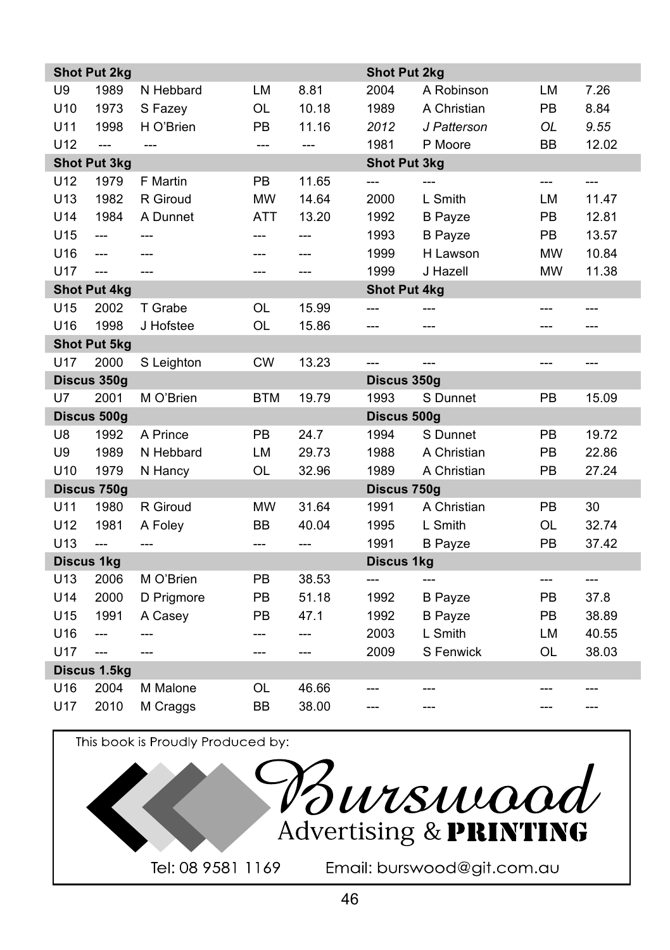|                   | <b>Shot Put 2kg</b> |                |            |                | <b>Shot Put 2kg</b> |                |           |       |
|-------------------|---------------------|----------------|------------|----------------|---------------------|----------------|-----------|-------|
| U9                | 1989                | N Hebbard      | <b>LM</b>  | 8.81           | 2004                | A Robinson     | LM        | 7.26  |
| U <sub>10</sub>   | 1973                | S Fazey        | <b>OL</b>  | 10.18          | 1989                | A Christian    | <b>PB</b> | 8.84  |
| U11               | 1998                | H O'Brien      | PB         | 11.16          | 2012                | J Patterson    | OL        | 9.55  |
| U12               | $\overline{a}$      | $\overline{a}$ | ---        | $\overline{a}$ | 1981                | P Moore        | <b>BB</b> | 12.02 |
|                   | <b>Shot Put 3kg</b> |                |            |                | <b>Shot Put 3kg</b> |                |           |       |
| U12               | 1979                | F Martin       | PB         | 11.65          | ---                 | $---$          | ---       | ---   |
| U13               | 1982                | R Giroud       | <b>MW</b>  | 14.64          | 2000                | L Smith        | LM        | 11.47 |
| U14               | 1984                | A Dunnet       | <b>ATT</b> | 13.20          | 1992                | <b>B</b> Payze | PB        | 12.81 |
| U15               | ---                 | ---            | ---        | ---            | 1993                | <b>B</b> Payze | PB.       | 13.57 |
| U16               | $---$               | ---            | ---        | ---            | 1999                | H Lawson       | <b>MW</b> | 10.84 |
| U17               | $\overline{a}$      | ---            | ---        | ---            | 1999                | J Hazell       | <b>MW</b> | 11.38 |
|                   | <b>Shot Put 4kg</b> |                |            |                | <b>Shot Put 4kg</b> |                |           |       |
| U15               | 2002                | T Grabe        | OL         | 15.99          | $---$               |                | ---       | ---   |
| U16               | 1998                | J Hofstee      | <b>OL</b>  | 15.86          | ---                 | ---            | ---       |       |
|                   | <b>Shot Put 5kg</b> |                |            |                |                     |                |           |       |
| U17               | 2000                | S Leighton     | <b>CW</b>  | 13.23          | $\overline{a}$      | $\overline{a}$ | $---$     | ---   |
|                   | Discus 350g         |                |            |                | Discus 350g         |                |           |       |
| U7                | 2001                | M O'Brien      | <b>BTM</b> | 19.79          | 1993                | S Dunnet       | PB        | 15.09 |
|                   | Discus 500g         |                |            |                | Discus 500g         |                |           |       |
| U8                | 1992                | A Prince       | PB         | 24.7           | 1994                | S Dunnet       | PB        | 19.72 |
| U9                | 1989                | N Hebbard      | LM         | 29.73          | 1988                | A Christian    | PB        | 22.86 |
| U <sub>10</sub>   | 1979                | N Hancy        | OL         | 32.96          | 1989                | A Christian    | PB        | 27.24 |
|                   | Discus 750g         |                |            |                | Discus 750g         |                |           |       |
| U11               | 1980                | R Giroud       | <b>MW</b>  | 31.64          | 1991                | A Christian    | PB        | 30    |
| U12               | 1981                | A Foley        | BB         | 40.04          | 1995                | L Smith        | OL        | 32.74 |
| U <sub>13</sub>   | $\overline{a}$      | ---            | ---        | ---            | 1991                | <b>B</b> Payze | PB        | 37.42 |
| <b>Discus 1kg</b> |                     |                |            |                | <b>Discus 1kg</b>   |                |           |       |
| U13               | 2006                | M O'Brien      | PB         | 38.53          | $---$               | $---$          | $---$     | $---$ |
| U14               | 2000                | D Prigmore     | PB         | 51.18          | 1992                | <b>B</b> Payze | PB        | 37.8  |
| U15               | 1991                | A Casey        | PB         | 47.1           | 1992                | <b>B</b> Payze | PB        | 38.89 |
| U16               | $---$               | ---            | ---        | ---            | 2003                | L Smith        | LM        | 40.55 |
| U17               | $\overline{a}$      | ---            | ---        | ---            | 2009                | S Fenwick      | OL        | 38.03 |
|                   | Discus 1.5kg        |                |            |                |                     |                |           |       |
| U16               | 2004                | M Malone       | OL         | 46.66          |                     |                |           |       |
| U17               | 2010                | M Craggs       | <b>BB</b>  | 38.00          | ---                 | $---$          | ---       | ---   |

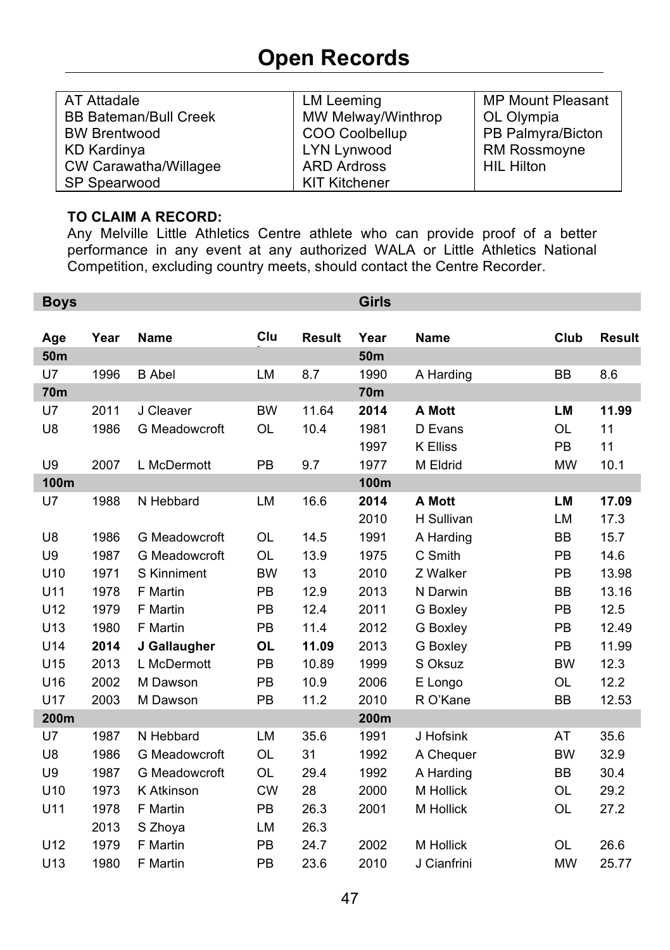### **Open Records**

| AT Attadale                  | LM Leeming           | <b>MP Mount Pleasant</b> |
|------------------------------|----------------------|--------------------------|
| <b>BB Bateman/Bull Creek</b> | MW Melway/Winthrop   | OL Olympia               |
| <b>BW Brentwood</b>          | COO Coolbellup       | PB Palmyra/Bicton        |
| KD Kardinya                  | LYN Lynwood          | <b>RM Rossmoyne</b>      |
| CW Carawatha/Willagee        | <b>ARD Ardross</b>   | <b>HIL Hilton</b>        |
| SP Spearwood                 | <b>KIT Kitchener</b> |                          |

### **TO CLAIM A RECORD:**

Any Melville Little Athletics Centre athlete who can provide proof of a better performance in any event at any authorized WALA or Little Athletics National Competition, excluding country meets, should contact the Centre Recorder.

| <b>Boys</b>     |      |               |           |               | <b>Girls</b> |                 |           |               |
|-----------------|------|---------------|-----------|---------------|--------------|-----------------|-----------|---------------|
|                 |      |               |           |               |              |                 |           |               |
| Age             | Year | <b>Name</b>   | Clu       | <b>Result</b> | Year         | <b>Name</b>     | Club      | <b>Result</b> |
| 50 <sub>m</sub> |      |               |           |               | 50m          |                 |           |               |
| U7              | 1996 | <b>B</b> Abel | <b>LM</b> | 8.7           | 1990         | A Harding       | BB        | 8.6           |
| <b>70m</b>      |      |               |           |               | 70m          |                 |           |               |
| U7              | 2011 | J Cleaver     | <b>BW</b> | 11.64         | 2014         | A Mott          | LM        | 11.99         |
| U8              | 1986 | G Meadowcroft | OL        | 10.4          | 1981         | D Evans         | <b>OL</b> | 11            |
|                 |      |               |           |               | 1997         | <b>K Elliss</b> | <b>PB</b> | 11            |
| U9              | 2007 | L McDermott   | <b>PB</b> | 9.7           | 1977         | M Eldrid        | <b>MW</b> | 10.1          |
| 100m            |      |               |           |               | 100m         |                 |           |               |
| U7              | 1988 | N Hebbard     | LM        | 16.6          | 2014         | A Mott          | LM        | 17.09         |
|                 |      |               |           |               | 2010         | H Sullivan      | LM        | 17.3          |
| U8              | 1986 | G Meadowcroft | <b>OL</b> | 14.5          | 1991         | A Harding       | <b>BB</b> | 15.7          |
| U9              | 1987 | G Meadowcroft | <b>OL</b> | 13.9          | 1975         | C Smith         | PB        | 14.6          |
| U10             | 1971 | S Kinniment   | <b>BW</b> | 13            | 2010         | Z Walker        | PB        | 13.98         |
| U11             | 1978 | F Martin      | PB        | 12.9          | 2013         | N Darwin        | <b>BB</b> | 13.16         |
| U <sub>12</sub> | 1979 | F Martin      | PB        | 12.4          | 2011         | G Boxley        | PB        | 12.5          |
| U13             | 1980 | F Martin      | <b>PB</b> | 11.4          | 2012         | G Boxley        | PB        | 12.49         |
| U14             | 2014 | J Gallaugher  | <b>OL</b> | 11.09         | 2013         | G Boxley        | <b>PB</b> | 11.99         |
| U <sub>15</sub> | 2013 | L McDermott   | PB        | 10.89         | 1999         | S Oksuz         | <b>BW</b> | 12.3          |
| U16             | 2002 | M Dawson      | <b>PB</b> | 10.9          | 2006         | E Longo         | OL        | 12.2          |
| U17             | 2003 | M Dawson      | PB        | 11.2          | 2010         | R O'Kane        | <b>BB</b> | 12.53         |
| 200m            |      |               |           |               | 200m         |                 |           |               |
| U7              | 1987 | N Hebbard     | <b>LM</b> | 35.6          | 1991         | J Hofsink       | AT        | 35.6          |
| U8              | 1986 | G Meadowcroft | OL        | 31            | 1992         | A Chequer       | <b>BW</b> | 32.9          |
| U9              | 1987 | G Meadowcroft | OL        | 29.4          | 1992         | A Harding       | <b>BB</b> | 30.4          |
| U10             | 1973 | K Atkinson    | <b>CW</b> | 28            | 2000         | M Hollick       | OL        | 29.2          |
| U11             | 1978 | F Martin      | PB        | 26.3          | 2001         | M Hollick       | OL        | 27.2          |
|                 | 2013 | S Zhoya       | LM        | 26.3          |              |                 |           |               |
| U12             | 1979 | F Martin      | PB        | 24.7          | 2002         | M Hollick       | OL        | 26.6          |
| U <sub>13</sub> | 1980 | F Martin      | PB        | 23.6          | 2010         | J Cianfrini     | <b>MW</b> | 25.77         |
|                 |      |               |           |               |              |                 |           |               |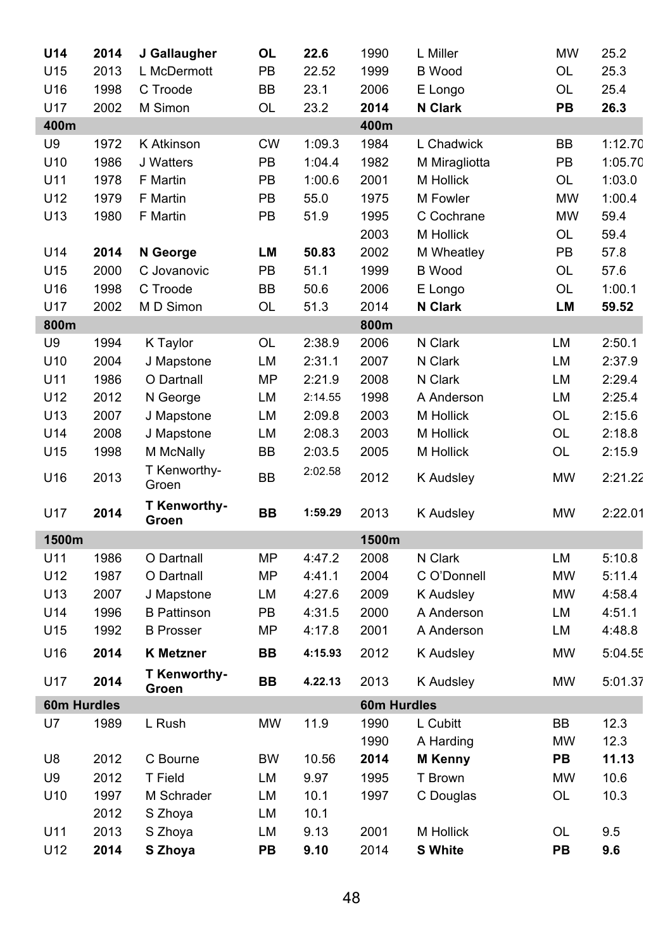| U14         | 2014         | J Gallaugher            | OL        | 22.6              | 1990         | L Miller                | <b>MW</b> | 25.2             |
|-------------|--------------|-------------------------|-----------|-------------------|--------------|-------------------------|-----------|------------------|
| U15         | 2013         | L McDermott             | PB        | 22.52             | 1999         | <b>B</b> Wood           | OL        | 25.3             |
| U16         | 1998         | C Troode                | ВB        | 23.1              | 2006         | E Longo                 | OL        | 25.4             |
| U17         | 2002         | M Simon                 | OL        | 23.2              | 2014         | N Clark                 | PB        | 26.3             |
| 400m        |              |                         |           |                   | 400m         |                         |           |                  |
| U9          | 1972         | K Atkinson              | <b>CW</b> | 1:09.3            | 1984         | L Chadwick              | BB        | 1:12.70          |
| U10         | 1986         | J Watters               | PB        | 1:04.4            | 1982         | M Miragliotta           | PB        | 1:05.70          |
| U11         | 1978         | F Martin                | PB        | 1:00.6            | 2001         | M Hollick               | OL        | 1:03.0           |
| U12         | 1979         | F Martin                | PB        | 55.0              | 1975         | M Fowler                | <b>MW</b> | 1:00.4           |
| U13         | 1980         | F Martin                | PB        | 51.9              | 1995         | C Cochrane              | <b>MW</b> | 59.4             |
|             |              |                         |           |                   | 2003         | M Hollick               | OL        | 59.4             |
| U14         | 2014         | N George                | LМ        | 50.83             | 2002         | M Wheatley              | PB        | 57.8             |
| U15         | 2000         | C Jovanovic             | PB        | 51.1              | 1999         | <b>B</b> Wood           | OL        | 57.6             |
| U16         | 1998         | C Troode                | ВB        | 50.6              | 2006         | E Longo                 | <b>OL</b> | 1:00.1           |
| U17         | 2002         | M D Simon               | OL        | 51.3              | 2014         | N Clark                 | LM        | 59.52            |
| 800m        |              |                         |           |                   | 800m         |                         |           |                  |
| U9          | 1994         | K Taylor                | OL        | 2:38.9            | 2006         | N Clark                 | LM        | 2:50.1           |
| U10         | 2004         | J Mapstone              | LM        | 2:31.1            | 2007         | N Clark                 | LM        | 2:37.9           |
| U11<br>U12  | 1986         | O Dartnall              | MΡ        | 2:21.9            | 2008         | N Clark                 | LM        | 2:29.4           |
| U13         | 2012<br>2007 | N George                | LM        | 2:14.55<br>2:09.8 | 1998<br>2003 | A Anderson<br>M Hollick | LM<br>OL  | 2:25.4<br>2:15.6 |
| U14         | 2008         | J Mapstone              | LM        | 2:08.3            | 2003         | M Hollick               | <b>OL</b> |                  |
| U15         | 1998         | J Mapstone<br>M McNally | LM<br>ВB  | 2:03.5            | 2005         | M Hollick               | OL        | 2:18.8<br>2:15.9 |
|             |              | T Kenworthy-            |           |                   |              |                         |           |                  |
| U16         | 2013         | Groen                   | <b>BB</b> | 2:02.58           | 2012         | K Audsley               | MW        | 2:21.22          |
| U17         | 2014         | T Kenworthy-<br>Groen   | BB        | 1:59.29           | 2013         | K Audsley               | <b>MW</b> | 2:22.01          |
| 1500m       |              |                         |           |                   | 1500m        |                         |           |                  |
| U11         | 1986         | O Dartnall              | ΜP        | 4:47.2            | 2008         | N Clark                 | LM        | 5:10.8           |
| U12         | 1987         | O Dartnall              | MΡ        | 4:41.1            | 2004         | C O'Donnell             | <b>MW</b> | 5:11.4           |
| U13         | 2007         | J Mapstone              | LM        | 4:27.6            | 2009         | K Audsley               | <b>MW</b> | 4:58.4           |
| U14         | 1996         | <b>B</b> Pattinson      | PB        | 4:31.5            | 2000         | A Anderson              | LM        | 4:51.1           |
| U15         | 1992         | <b>B</b> Prosser        | MP        | 4:17.8            | 2001         | A Anderson              | LM        | 4:48.8           |
| U16         | 2014         | <b>K</b> Metzner        | BВ        | 4:15.93           | 2012         | K Audsley               | <b>MW</b> | 5:04.55          |
| U17         | 2014         | T Kenworthy-<br>Groen   | BВ        | 4.22.13           | 2013         | K Audsley               | MW        | 5:01.37          |
| 60m Hurdles |              |                         |           |                   | 60m Hurdles  |                         |           |                  |
| U7          | 1989         | L Rush                  | <b>MW</b> | 11.9              | 1990         | L Cubitt                | BВ        | 12.3             |
|             |              |                         |           |                   | 1990         | A Harding               | MW        | 12.3             |
| U8          | 2012         | C Bourne                | <b>BW</b> | 10.56             | 2014         | <b>M</b> Kenny          | PВ        | 11.13            |
| U9          | 2012         | T Field                 | LM        | 9.97              | 1995         | T Brown                 | MW        | 10.6             |
| U10         | 1997         | M Schrader              | LM        | 10.1              | 1997         | C Douglas               | OL        | 10.3             |
|             | 2012         | S Zhoya                 | LM        | 10.1              |              |                         |           |                  |
| U11         | 2013         | S Zhoya                 | LM        | 9.13              | 2001         | M Hollick               | OL        | 9.5              |
| U12         | 2014         | S Zhoya                 | PВ        | 9.10              | 2014         | <b>S</b> White          | PВ        | 9.6              |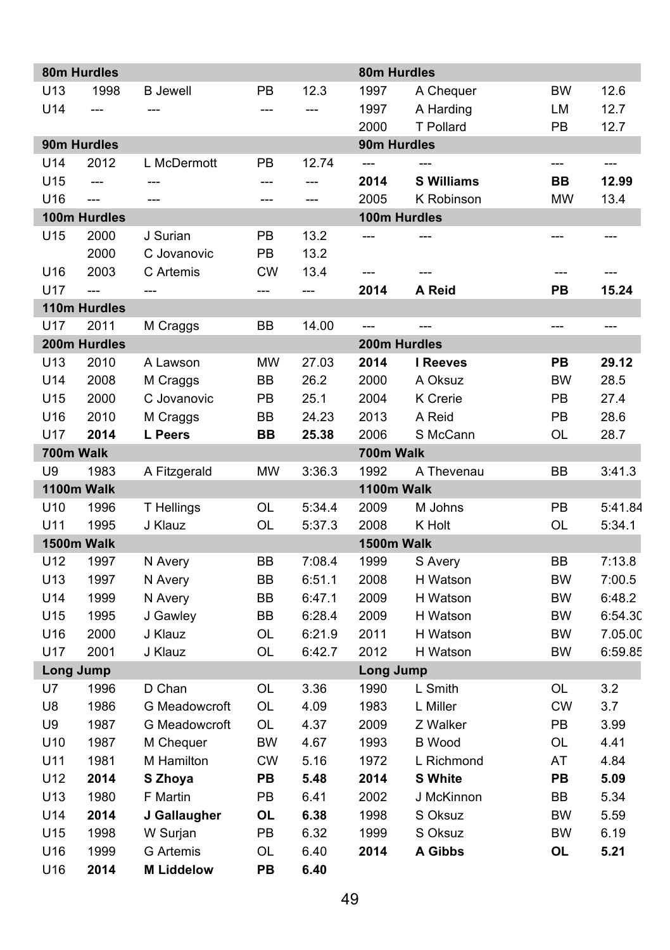|                 | 80m Hurdles    |                   |           |                | 80m Hurdles              |                          |           |                |
|-----------------|----------------|-------------------|-----------|----------------|--------------------------|--------------------------|-----------|----------------|
| U13             | 1998           | <b>B</b> Jewell   | PB        | 12.3           | 1997                     | A Chequer                | BW        | 12.6           |
| U14             | $\overline{a}$ | $\overline{a}$    | ---       |                | 1997                     | A Harding                | LM        | 12.7           |
|                 |                |                   |           |                | 2000                     | <b>T</b> Pollard         | PB        | 12.7           |
|                 | 90m Hurdles    |                   |           |                | 90m Hurdles              |                          |           |                |
| U14             | 2012           | L McDermott       | PB        | 12.74          | $\overline{a}$           | $\overline{\phantom{a}}$ | $---$     | $\overline{a}$ |
| U15             | $---$          | $---$             | ---       | ---            | 2014                     | <b>S Williams</b>        | <b>BB</b> | 12.99          |
| U16             | $\overline{a}$ | $\overline{a}$    | $---$     | $\overline{a}$ | 2005                     | K Robinson               | <b>MW</b> | 13.4           |
|                 | 100m Hurdles   |                   |           |                | 100m Hurdles             |                          |           |                |
| U15             | 2000           | J Surian          | PB        | 13.2           | ---                      | $---$                    | ---       | ---            |
|                 | 2000           | C Jovanovic       | PB        | 13.2           |                          |                          |           |                |
| U16             | 2003           | C Artemis         | <b>CW</b> | 13.4           | ---                      | $---$                    |           |                |
| U17             | $\overline{a}$ | ---               | ---       | ---            | 2014                     | A Reid                   | PB        | 15.24          |
|                 | 110m Hurdles   |                   |           |                |                          |                          |           |                |
| U17             | 2011           | M Craggs          | BB        | 14.00          | $\overline{\phantom{a}}$ | $\overline{a}$           | $---$     | $---$          |
|                 | 200m Hurdles   |                   |           |                | 200m Hurdles             |                          |           |                |
| U <sub>13</sub> | 2010           | A Lawson          | <b>MW</b> | 27.03          | 2014                     | I Reeves                 | PB        | 29.12          |
| U14             | 2008           | M Craggs          | BB        | 26.2           | 2000                     | A Oksuz                  | <b>BW</b> | 28.5           |
| U15             | 2000           | C Jovanovic       | PB        | 25.1           | 2004                     | K Crerie                 | PB        | 27.4           |
| U16             | 2010           | M Craggs          | <b>BB</b> | 24.23          | 2013                     | A Reid                   | PB        | 28.6           |
| U17             | 2014           | L Peers           | BB        | 25.38          | 2006                     | S McCann                 | OL        | 28.7           |
| 700m Walk<br>U9 | 1983           | A Fitzgerald      | <b>MW</b> | 3:36.3         | 700m Walk<br>1992        | A Thevenau               | BB        | 3:41.3         |
|                 | 1100m Walk     |                   |           |                | 1100m Walk               |                          |           |                |
| U10             | 1996           | T Hellings        | OL        | 5:34.4         | 2009                     | M Johns                  | PB        | 5:41.84        |
| U11             | 1995           | J Klauz           | OL        | 5:37.3         | 2008                     | K Holt                   | OL        | 5:34.1         |
|                 | 1500m Walk     |                   |           |                | 1500m Walk               |                          |           |                |
| U12             | 1997           | N Avery           | ВB        | 7:08.4         | 1999                     | S Avery                  | BB        | 7:13.8         |
| U13             | 1997           | N Avery           | ВB        | 6:51.1         | 2008                     | H Watson                 | <b>BW</b> | 7:00.5         |
| U14             | 1999           | N Avery           | BB        | 6:47.1         | 2009                     | H Watson                 | BW        | 6:48.2         |
| U15             | 1995           | J Gawley          | <b>BB</b> | 6:28.4         | 2009                     | H Watson                 | <b>BW</b> | 6:54.30        |
| U16             | 2000           | J Klauz           | OL        | 6:21.9         | 2011                     | H Watson                 | BW        | 7.05.00        |
| U17             | 2001           | J Klauz           | OL        | 6:42.7         | 2012                     | H Watson                 | <b>BW</b> | 6:59.85        |
| Long Jump       |                |                   |           |                | Long Jump                |                          |           |                |
| U7              | 1996           | D Chan            | OL        | 3.36           | 1990                     | L Smith                  | OL        | 3.2            |
| U8              | 1986           | G Meadowcroft     | OL        | 4.09           | 1983                     | L Miller                 | <b>CW</b> | 3.7            |
| U9              | 1987           | G Meadowcroft     | <b>OL</b> | 4.37           | 2009                     | Z Walker                 | PB        | 3.99           |
| U <sub>10</sub> | 1987           | M Chequer         | BW        | 4.67           | 1993                     | <b>B</b> Wood            | OL        | 4.41           |
| U11             | 1981           | M Hamilton        | CW        | 5.16           | 1972                     | L Richmond               | AT        | 4.84           |
| U12             | 2014           | S Zhoya           | PB        | 5.48           | 2014                     | <b>S</b> White           | PB        | 5.09           |
| U13             | 1980           | F Martin          | PB        | 6.41           | 2002                     | J McKinnon               | BВ        | 5.34           |
| U14             | 2014           | J Gallaugher      | OL        | 6.38           | 1998                     | S Oksuz                  | BW        | 5.59           |
| U15             | 1998           | W Surjan          | PB        | 6.32           | 1999                     | S Oksuz                  | <b>BW</b> | 6.19           |
| U16             | 1999           | <b>G</b> Artemis  | OL        | 6.40           | 2014                     | A Gibbs                  | OL        | 5.21           |
| U16             | 2014           | <b>M Liddelow</b> | PB        | 6.40           |                          |                          |           |                |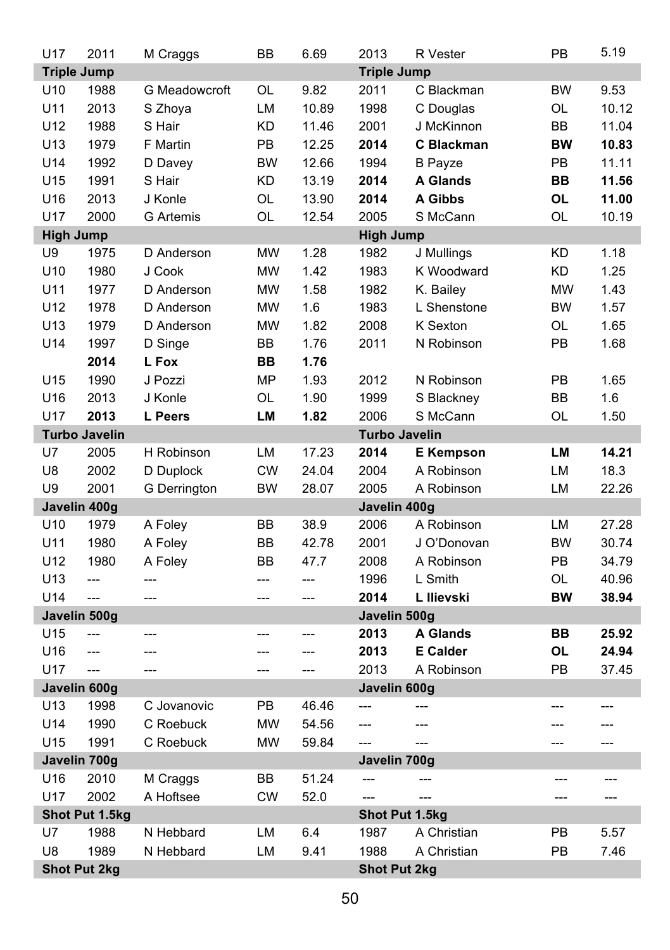| U17              | 2011                 | M Craggs         | <b>BB</b> | 6.69           | 2013                 | R Vester         | PB        | 5.19  |
|------------------|----------------------|------------------|-----------|----------------|----------------------|------------------|-----------|-------|
|                  | <b>Triple Jump</b>   |                  |           |                | <b>Triple Jump</b>   |                  |           |       |
| U10              | 1988                 | G Meadowcroft    | OL        | 9.82           | 2011                 | C Blackman       | <b>BW</b> | 9.53  |
| U11              | 2013                 | S Zhoya          | LM        | 10.89          | 1998                 | C Douglas        | OL        | 10.12 |
| U12              | 1988                 | S Hair           | <b>KD</b> | 11.46          | 2001                 | J McKinnon       | <b>BB</b> | 11.04 |
| U13              | 1979                 | F Martin         | PB        | 12.25          | 2014                 | C Blackman       | <b>BW</b> | 10.83 |
| U14              | 1992                 | D Davey          | <b>BW</b> | 12.66          | 1994                 | <b>B</b> Payze   | PB        | 11.11 |
| U15              | 1991                 | S Hair           | <b>KD</b> | 13.19          | 2014                 | <b>A Glands</b>  | BB        | 11.56 |
| U16              | 2013                 | J Konle          | OL        | 13.90          | 2014                 | A Gibbs          | OL        | 11.00 |
| <b>U17</b>       | 2000                 | <b>G</b> Artemis | OL        | 12.54          | 2005                 | S McCann         | OL        | 10.19 |
| <b>High Jump</b> |                      |                  |           |                | <b>High Jump</b>     |                  |           |       |
| U9               | 1975                 | D Anderson       | <b>MW</b> | 1.28           | 1982                 | J Mullings       | <b>KD</b> | 1.18  |
| U10              | 1980                 | J Cook           | <b>MW</b> | 1.42           | 1983                 | K Woodward       | KD        | 1.25  |
| U11              | 1977                 | D Anderson       | <b>MW</b> | 1.58           | 1982                 | K. Bailey        | MW        | 1.43  |
| U12              | 1978                 | D Anderson       | <b>MW</b> | 1.6            | 1983                 | L Shenstone      | <b>BW</b> | 1.57  |
| U13              | 1979                 | D Anderson       | <b>MW</b> | 1.82           | 2008                 | K Sexton         | OL        | 1.65  |
| U14              | 1997                 | D Singe          | BB        | 1.76           | 2011                 | N Robinson       | PB        | 1.68  |
|                  | 2014                 | L Fox            | <b>BB</b> | 1.76           |                      |                  |           |       |
| U15              | 1990                 | J Pozzi          | MP        | 1.93           | 2012                 | N Robinson       | PB        | 1.65  |
| U16              | 2013                 | J Konle          | OL        | 1.90           | 1999                 | S Blackney       | <b>BB</b> | 1.6   |
| U17              | 2013                 | L Peers          | LM        | 1.82           | 2006                 | S McCann         | <b>OL</b> | 1.50  |
|                  | <b>Turbo Javelin</b> |                  |           |                | <b>Turbo Javelin</b> |                  |           |       |
| U7               | 2005                 | H Robinson       | LM        | 17.23          | 2014                 | <b>E</b> Kempson | LM        | 14.21 |
| U8               | 2002                 | D Duplock        | <b>CW</b> | 24.04          | 2004                 | A Robinson       | LM        | 18.3  |
| U9               | 2001                 | G Derrington     | <b>BW</b> | 28.07          | 2005                 | A Robinson       | LM        | 22.26 |
|                  | Javelin 400g         |                  |           |                | Javelin 400g         |                  |           |       |
| U10              | 1979                 | A Foley          | BB        | 38.9           | 2006                 | A Robinson       | LM        | 27.28 |
| U11              | 1980                 | A Foley          | BB        | 42.78          | 2001                 | J O'Donovan      | <b>BW</b> | 30.74 |
| U12              | 1980                 | A Foley          | BB        | 47.7           | 2008                 | A Robinson       | PB        | 34.79 |
| U13              | $\overline{a}$       | ---              | ---       | ---            | 1996                 | L Smith          | OL        | 40.96 |
| U14              | $\overline{a}$       | ---              | ---       | ---            | 2014                 | L Ilievski       | <b>BW</b> | 38.94 |
|                  | Javelin 500g         |                  |           |                | Javelin 500g         |                  |           |       |
| U15              | $\overline{a}$       | $---$            | ---       | ---            | 2013                 | <b>A Glands</b>  | BВ        | 25.92 |
| U16              | $\overline{a}$       | ---              | ---       | ---            | 2013                 | <b>E</b> Calder  | OL        | 24.94 |
| U17              | $\overline{a}$       | $\overline{a}$   | ---       | $\overline{a}$ | 2013                 | A Robinson       | PB        | 37.45 |
|                  | Javelin 600g         |                  |           |                | Javelin 600g         |                  |           |       |
| U13              | 1998                 | C Jovanovic      | PB        | 46.46          | $\overline{a}$       | $\overline{a}$   | ---       | ---   |
| U14              | 1990                 | C Roebuck        | MW        | 54.56          | ---                  | ---              | ---       | ---   |
| U15              | 1991                 | C Roebuck        | <b>MW</b> | 59.84          | $\overline{a}$       | $---$            | $---$     | $---$ |
|                  | Javelin 700g         |                  |           |                | Javelin 700g         |                  |           |       |
| U16              | 2010                 | M Craggs         | BB        | 51.24          | $\overline{a}$       | $---$            | ---       | $---$ |
| U17              | 2002                 | A Hoftsee        | <b>CW</b> | 52.0           | ---                  | $---$            | ---       | $---$ |
|                  | Shot Put 1.5kg       |                  |           |                |                      | Shot Put 1.5kg   |           |       |
| U7               | 1988                 | N Hebbard        | LM        | 6.4            | 1987                 | A Christian      | PB        | 5.57  |
| U8               | 1989                 | N Hebbard        | LM        | 9.41           | 1988                 | A Christian      | PB        | 7.46  |
|                  | <b>Shot Put 2kg</b>  |                  |           |                | <b>Shot Put 2kg</b>  |                  |           |       |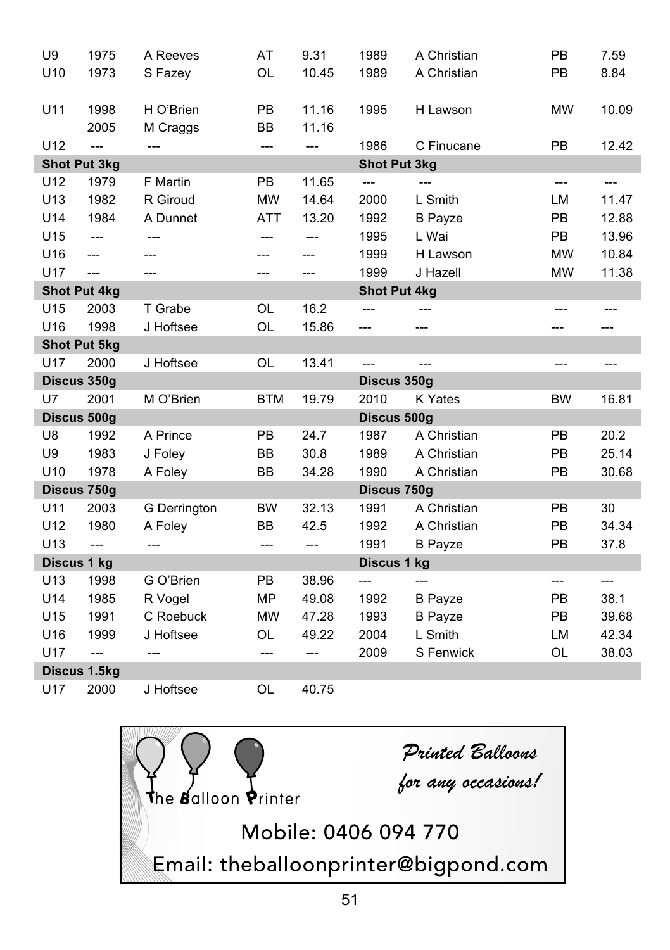| U9          | 1975                | A Reeves     | AT         | 9.31  | 1989                | A Christian    | PB        | 7.59  |
|-------------|---------------------|--------------|------------|-------|---------------------|----------------|-----------|-------|
| U10         | 1973                | S Fazey      | OL         | 10.45 | 1989                | A Christian    | PB        | 8.84  |
|             |                     |              |            |       |                     |                |           |       |
| U11         | 1998                | H O'Brien    | PB         | 11.16 | 1995                | H Lawson       | <b>MW</b> | 10.09 |
|             | 2005                | M Craggs     | <b>BB</b>  | 11.16 |                     |                |           |       |
| U12         | ---                 | ---          | $---$      | ---   | 1986                | C Finucane     | PB        | 12.42 |
|             | <b>Shot Put 3kg</b> |              |            |       | <b>Shot Put 3kg</b> |                |           |       |
| U12         | 1979                | F Martin     | <b>PB</b>  | 11.65 | $\overline{a}$      | $---$          | ---       | $---$ |
| U13         | 1982                | R Giroud     | <b>MW</b>  | 14.64 | 2000                | L Smith        | LM        | 11.47 |
| U14         | 1984                | A Dunnet     | ATT        | 13.20 | 1992                | <b>B</b> Payze | PB        | 12.88 |
| U15         | ---                 | ---          | ---        | ---   | 1995                | L Wai          | PB        | 13.96 |
| U16         | ---                 | ---          |            | ---   | 1999                | H Lawson       | <b>MW</b> | 10.84 |
| U17         | $---$               | ---          | ---        | ---   | 1999                | J Hazell       | <b>MW</b> | 11.38 |
|             | <b>Shot Put 4kg</b> |              |            |       | <b>Shot Put 4kg</b> |                |           |       |
| U15         | 2003                | T Grabe      | OL         | 16.2  |                     |                | ---       | $---$ |
| U16         | 1998                | J Hoftsee    | OL         | 15.86 | ---                 | ---            | ---       | ---   |
|             | <b>Shot Put 5kg</b> |              |            |       |                     |                |           |       |
| U17         | 2000                | J Hoftsee    | <b>OL</b>  | 13.41 | $\overline{a}$      | $---$          | ---       | $---$ |
|             |                     |              |            |       |                     |                |           |       |
|             | Discus 350g         |              |            |       | Discus 350g         |                |           |       |
| U7          | 2001                | M O'Brien    | <b>BTM</b> | 19.79 | 2010                | K Yates        | <b>BW</b> | 16.81 |
|             | Discus 500g         |              |            |       | Discus 500g         |                |           |       |
| U8          | 1992                | A Prince     | PB         | 24.7  | 1987                | A Christian    | <b>PB</b> | 20.2  |
| U9          | 1983                | J Foley      | <b>BB</b>  | 30.8  | 1989                | A Christian    | PB        | 25.14 |
| U10         | 1978                | A Foley      | BB         | 34.28 | 1990                | A Christian    | PB        | 30.68 |
|             | Discus 750g         |              |            |       | Discus 750g         |                |           |       |
| U11         | 2003                | G Derrington | <b>BW</b>  | 32.13 | 1991                | A Christian    | PB        | 30    |
| U12         | 1980                | A Foley      | <b>BB</b>  | 42.5  | 1992                | A Christian    | <b>PB</b> | 34.34 |
| U13         | $\overline{a}$      | $---$        | $---$      | ---   | 1991                | <b>B</b> Payze | PB        | 37.8  |
| Discus 1 kg |                     |              |            |       | Discus 1 kg         |                |           |       |
| U13         | 1998                | G O'Brien    | PB         | 38.96 | ---                 | ---            | ---       | ---   |
| U14         | 1985                | R Vogel      | <b>MP</b>  | 49.08 | 1992                | <b>B</b> Payze | PB        | 38.1  |
| U15         | 1991                | C Roebuck    | <b>MW</b>  | 47.28 | 1993                | <b>B</b> Payze | <b>PB</b> | 39.68 |
| U16         | 1999                | J Hoftsee    | OL         | 49.22 | 2004                | L Smith        | LM        | 42.34 |
| U17         | $\overline{a}$      |              | $---$      | ---   | 2009                | S Fenwick      | OL        | 38.03 |
|             | Discus 1.5kg        |              |            |       |                     |                |           |       |

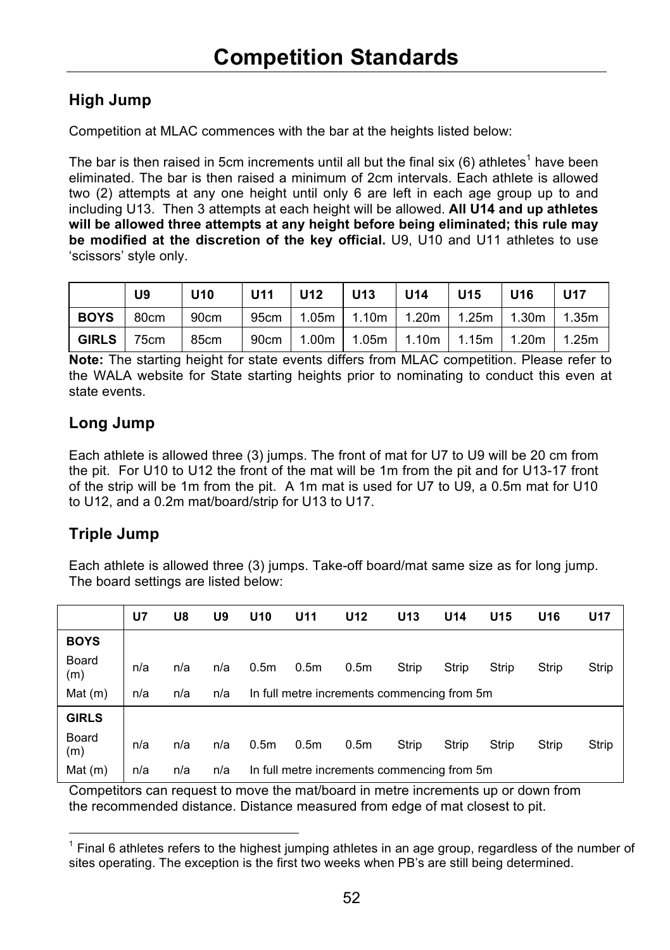### **High Jump**

Competition at MLAC commences with the bar at the heights listed below:

The bar is then raised in 5cm increments until all but the final six  $(6)$  athletes<sup>1</sup> have been eliminated. The bar is then raised a minimum of 2cm intervals. Each athlete is allowed two (2) attempts at any one height until only 6 are left in each age group up to and including U13. Then 3 attempts at each height will be allowed. **All U14 and up athletes will be allowed three attempts at any height before being eliminated; this rule may be modified at the discretion of the key official.** U9, U10 and U11 athletes to use 'scissors' style only.

|            | U9   | $ U10\rangle$ | U11   U12   U13 | l U14 | U15 U16                                              | U17 |
|------------|------|---------------|-----------------|-------|------------------------------------------------------|-----|
| I BOYS     | 80cm | 90cm          |                 |       | 95cm   1.05m   1.10m   1.20m   1.25m   1.30m   1.35m |     |
| GIRLS 75cm |      | 85cm          |                 |       | 90cm   1.00m   1.05m   1.10m   1.15m   1.20m   1.25m |     |

**Note:** The starting height for state events differs from MLAC competition. Please refer to the WALA website for State starting heights prior to nominating to conduct this even at state events.

### **Long Jump**

Each athlete is allowed three (3) jumps. The front of mat for U7 to U9 will be 20 cm from the pit. For U10 to U12 the front of the mat will be 1m from the pit and for U13-17 front of the strip will be 1m from the pit. A 1m mat is used for U7 to U9, a 0.5m mat for U10 to U12, and a 0.2m mat/board/strip for U13 to U17.

### **Triple Jump**

j

Each athlete is allowed three (3) jumps. Take-off board/mat same size as for long jump. The board settings are listed below:

|              | U7  | U8  | U9  | U10              | U11              | U <sub>12</sub>                             | U <sub>13</sub> | U <sub>14</sub> | U <sub>15</sub> | U16   | <b>U17</b> |
|--------------|-----|-----|-----|------------------|------------------|---------------------------------------------|-----------------|-----------------|-----------------|-------|------------|
| <b>BOYS</b>  |     |     |     |                  |                  |                                             |                 |                 |                 |       |            |
| Board<br>(m) | n/a | n/a | n/a | 0.5 <sub>m</sub> | 0.5 <sub>m</sub> | 0.5 <sub>m</sub>                            | Strip           | Strip           | Strip           | Strip | Strip      |
| Mat(m)       | n/a | n/a | n/a |                  |                  | In full metre increments commencing from 5m |                 |                 |                 |       |            |
| <b>GIRLS</b> |     |     |     |                  |                  |                                             |                 |                 |                 |       |            |
| Board<br>(m) | n/a | n/a | n/a | 0.5 <sub>m</sub> | 0.5 <sub>m</sub> | 0.5 <sub>m</sub>                            | Strip           | Strip           | Strip           | Strip | Strip      |
| Mat $(m)$    | n/a | n/a | n/a |                  |                  | In full metre increments commencing from 5m |                 |                 |                 |       |            |

Competitors can request to move the mat/board in metre increments up or down from the recommended distance. Distance measured from edge of mat closest to pit.

<sup>1</sup> Final 6 athletes refers to the highest jumping athletes in an age group, regardless of the number of sites operating. The exception is the first two weeks when PB's are still being determined.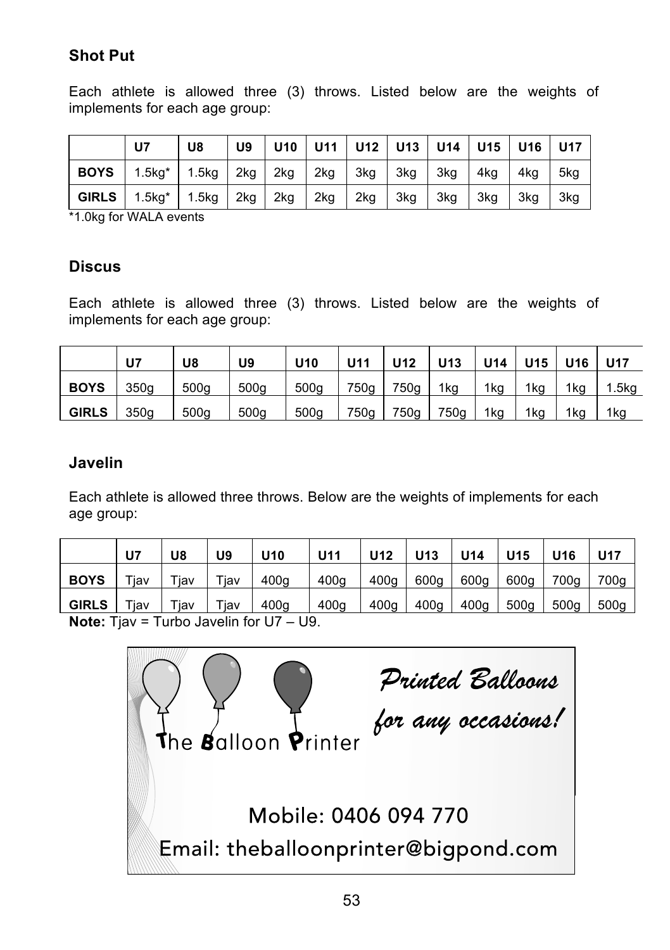### **Shot Put**

Each athlete is allowed three (3) throws. Listed below are the weights of implements for each age group:

|              | U <sub>7</sub> | U8 |         |         |      |         |       | U9   U10   U11   U12   U13   U14   U15   U16   U17 |     |     |     |
|--------------|----------------|----|---------|---------|------|---------|-------|----------------------------------------------------|-----|-----|-----|
| <b>BOYS</b>  | 1.5kg* 1.5kg   |    |         | 2kg 2kg |      | 2kg 3kg | . 3kg | $\lceil$ 3kg $\lceil$                              | 4kg | 4kq | 5kg |
| <b>GIRLS</b> | 1.5kg* 1.5kg   |    | 2kg 2kg |         | 12kg | 2kg     | 3kg   | 3kg                                                | 3ka | 3kg | 3kg |

\*1.0kg for WALA events

### **Discus**

Each athlete is allowed three (3) throws. Listed below are the weights of implements for each age group:

|              | U7   | U8               | U9               | U <sub>10</sub>  | U11  | U12  | U <sub>13</sub> | <b>U14</b> | U <sub>15</sub> U <sub>16</sub> |     | <b>U17</b>        |
|--------------|------|------------------|------------------|------------------|------|------|-----------------|------------|---------------------------------|-----|-------------------|
| <b>BOYS</b>  | 350q | 500 <sub>g</sub> | 500 <sub>g</sub> | 500 <sub>g</sub> | 750g | 750g | 1kg             | 1kg        | 1 <sub>kg</sub>                 | 1kg | 1.5 <sub>kq</sub> |
| <b>GIRLS</b> | 350q | 500 <sub>g</sub> | 500 <sub>g</sub> | 500g             | 750g | 750g | 750g            | 1kg        | 1kg                             | 1kg | 1kg               |

### **Javelin**

Each athlete is allowed three throws. Below are the weights of implements for each age group:

|                                       | U7         | U8         | U9         | U <sub>10</sub>  | U11              | U12  | U <sub>13</sub> | U14              | U <sub>15</sub> | U <sub>16</sub> | <b>U17</b> |
|---------------------------------------|------------|------------|------------|------------------|------------------|------|-----------------|------------------|-----------------|-----------------|------------|
| <b>BOYS</b>                           | $\tau$ jav | $\tau$ jav | $\tau$ iav | 400 <sub>g</sub> | 400g             | 400g | 600g            | 600g             | 600g            | 700g            | 700g       |
| <b>GIRLS</b>                          | $\tau$ iav | $\tau$ iav | $\tau$ jav | 400g             | 400 <sub>a</sub> | 400q | 400q            | 400 <sub>a</sub> | 500a            | 500a            | 500q       |
| $\mathbf{r}$ . The state $\mathbf{r}$ |            |            | ________   |                  |                  |      |                 |                  |                 |                 |            |

**Note:** Tjav = Turbo Javelin for U7 – U9.

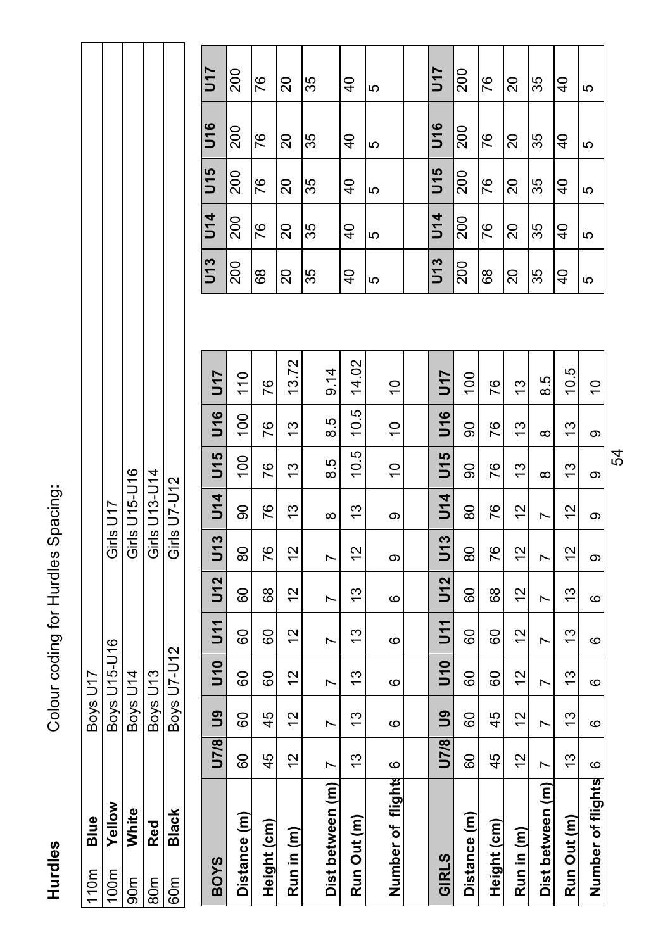Hurdles

Colour coding for Hurdles Spacing: **Hurdles** Colour coding for Hurdles Spacing**:**

| $\frac{2}{10}$ | Blue       | Boys U17     |               |
|----------------|------------|--------------|---------------|
| oom            | Yellow     | Boys U15-U16 | Girls U17     |
|                | White      | Boys U14     | Girls U15-U16 |
| m<br>S         | <b>Red</b> | Boys U13     | Girls U13-U14 |
| έp             | Black      | Boys U7-U12  | Girls U7-U12  |
|                |            |              |               |

| <b>BOYS</b>            | U7/8 | <b>gu</b> | $\frac{1}{2}$ | 51     | U12 | U13            | <b>J14</b> | U15             | <b>U16</b>     | U17           | U13            | <b>U14</b>    | U15            | <b>U16</b>    | 5ru           |
|------------------------|------|-----------|---------------|--------|-----|----------------|------------|-----------------|----------------|---------------|----------------|---------------|----------------|---------------|---------------|
| Distance (m)           | 8    | 8         | GO            | 8      | 80  | 80             | 80         | $\overline{00}$ | $\overline{0}$ | $\frac{0}{1}$ | 200            | 200           | 200            | 200           | 200           |
| Height (cm)            | 45   | 45        | 80            | 8      | 89  | 76             | 76         | 76              | 76             | 76            | 89             | 76            | 76             | 76            | 76            |
| Run in (m)             | 57   | 51        | 12            | 51     | 21  | $\frac{2}{1}$  | င္         | 13              | ო              | 72<br>.<br>ო  | ္လ             | 20            | 20             | 20            | 20            |
|                        |      |           |               |        |     |                |            |                 |                |               | 35             | 35            | 35             | 35            | 35            |
| Dist between (m)       | r    | r         | r             | Ľ      | r   | N              | $\infty$   | rö<br>∞         | гó<br>∞        | $\frac{4}{9}$ |                |               |                |               |               |
| Run Out (m)            | చ    | مبر<br>ب  | 13            | చ      | 13  | $\overline{c}$ | చ          | iņ<br>ä         | rö.<br>ö       | 14.02         | $\overline{4}$ | $\frac{1}{4}$ | $\frac{1}{2}$  | $\frac{4}{3}$ | $\frac{1}{4}$ |
|                        |      |           |               |        |     |                |            |                 |                |               | 5              | 5             | ю              | 5             | 5             |
| Y.<br>Number of flight | ဖ    | ဖ         | ဖ             | ဖ      | ဖ   | တ              | တ          | $\frac{1}{2}$   | $\frac{1}{2}$  | $\frac{0}{1}$ |                |               |                |               |               |
|                        |      |           |               |        |     |                |            |                 |                |               |                |               |                |               |               |
| GIRLS                  | U7/8 | ဌိ        | $\frac{1}{2}$ | ד<br>5 | U12 | U13            | <b>U14</b> | U15             | <b>U16</b>     | <b>J17</b>    | U13            | <b>U14</b>    | U15            | U16           | <u>ัร</u>     |
| Distance (m)           | 8    | 8         | CO            | 80     | 80  | 80             | 80         | 90              | 90             | So            | 200            | 200           | 200            | 200           | 200           |
| Height (cm)            | 45   | 45        | 80            | 8      | 68  | 76             | 76         | 76              | 76             | 76            | 89             | 76            | 76             | 76            | 76            |
| Run in (m)             | 51   | 2         | $\frac{2}{1}$ | 51     | 2   | $\frac{2}{3}$  | 51         | 13              | 13             | م.<br>ا       | ສ              | 20            | 20             | 20            | 20            |
| Dist between (m)       | r    | Ľ         | Ľ             | Z      | N   | r              | Z          | $\infty$        | $\infty$       | гÚ<br>ထ       | 35             | 35            | 35             | 35            | 35            |
| Run Out (m)            | 13   | చ         | ო             | 13     | 13  | N              | 51         | 13              | ო              | 10.5          | $\frac{1}{2}$  | $\frac{1}{2}$ | $\overline{4}$ | $\frac{4}{1}$ | $\frac{4}{3}$ |
| Number of flights      | ဖ    | ဖ         | ဖ             | ဖ      | ဖ   | တ              | တ          | თ               | თ              | $\tilde{c}$   | 5              | 5             | 5              | 5             | 5             |

| $\overline{117}$ | 200 | 76 | 20 | 35 | $\frac{1}{4}$  | 5  | U17             | 200 | 76 | 20 | 35 | $\overline{4}$ | ю |
|------------------|-----|----|----|----|----------------|----|-----------------|-----|----|----|----|----------------|---|
| <b>U16</b>       | 200 | 76 | 20 | 35 | $\frac{1}{4}$  | Ю  | U16             | 200 | 76 | 20 | 35 | $\overline{4}$ | Ю |
| U15              | 200 | 76 | 20 | 35 | $\overline{4}$ | မာ | U <sub>15</sub> | 200 | 76 | 20 | 35 | $\overline{a}$ | Ю |
| <b>U14</b>       | 200 | 76 | 20 | 35 | $\overline{4}$ | မာ | <b>U14</b>      | 200 | 76 | 20 | 35 | $\overline{4}$ | Ю |
| U13              | 200 | 8  | 20 | 35 | ទ              | Ю  | U13             | 200 | 89 | ສ  | 35 | $\overline{4}$ | ю |

54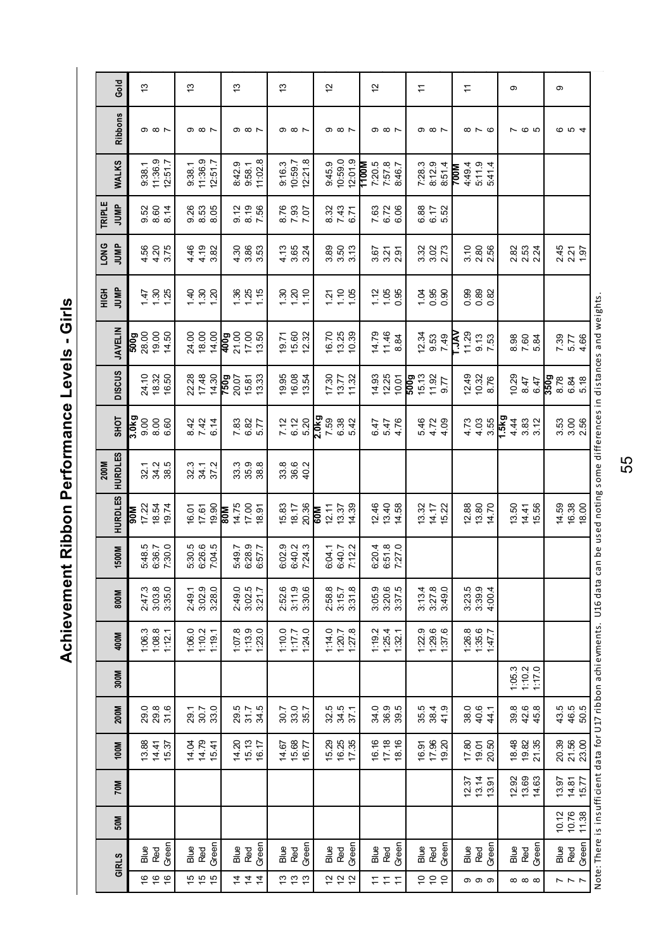Achievement Ribbon Performance Levels - Girls **Achievement Ribbon Performance Levels - Girls**

| Gold                      | 13                                           |                                                           |                    | $\frac{3}{2}$ |                         |                                           |   | $\frac{3}{2}$                             |                      |         | 13                                        |         |            | 12                    |                                                       |         |       | $\overline{c}$ |                               |       | H           |             |                                           |      | H      |                                 |                                 |                                              | Φ            |                                                      |        | ၜ                    |            |                                                        |                                                                                                                                     |
|---------------------------|----------------------------------------------|-----------------------------------------------------------|--------------------|---------------|-------------------------|-------------------------------------------|---|-------------------------------------------|----------------------|---------|-------------------------------------------|---------|------------|-----------------------|-------------------------------------------------------|---------|-------|----------------|-------------------------------|-------|-------------|-------------|-------------------------------------------|------|--------|---------------------------------|---------------------------------|----------------------------------------------|--------------|------------------------------------------------------|--------|----------------------|------------|--------------------------------------------------------|-------------------------------------------------------------------------------------------------------------------------------------|
| <b>Ribbons</b>            |                                              | $\circ$ $\circ$ $\sim$                                    |                    |               | $\circ$ $\circ$ $\circ$ |                                           |   | $\circ$ $\circ$ $\circ$                   |                      |         | $\circ$ $\circ$ $\sim$                    |         |            |                       | <b>၈ ∞ ト</b>                                          |         |       |                | $\circ$ $\circ$ $\sim$        |       |             |             | $\circ$ $\circ$ $\sim$                    |      |        | $\infty$ $\sim$ $\infty$        |                                 |                                              |              | <b>765</b>                                           |        |                      | <b>004</b> |                                                        |                                                                                                                                     |
| WALKS                     | 9:38.1                                       |                                                           | 11:36.9<br>12:51.7 | 9:38.1        |                         | 11:36.9<br>12:51.7                        |   | 8:42.9                                    | 9:58.1               | 11:02.8 | 9:16.3<br>10:59.7                         | 12:21.8 |            | 9:45.9                | 10:59.0                                               | 12:01.9 | 1100M |                | 7:20.5<br>7:57.8<br>8:46.7    |       | 7:28.3      | 8:12.9      | 8:51.4                                    | Mooz | 4:49.4 |                                 | 5:11.9<br>5:41.4                |                                              |              |                                                      |        |                      |            |                                                        |                                                                                                                                     |
| TRIPLE<br>JUMP            |                                              | 0.000<br>0.000<br>0.00                                    |                    |               |                         | 8<br>0. 30<br>0. 0. 0.                    |   | 0.19<br>0.56<br>7.56                      |                      |         | 2.83<br>7.07<br>8.7                       |         |            |                       | 8.32<br>7.47<br>6.71                                  |         |       |                | 7. 2<br>6. 2<br>6. 0          |       |             |             | 6.82<br>6.67<br>5.52                      |      |        |                                 |                                 |                                              |              |                                                      |        |                      |            |                                                        |                                                                                                                                     |
| LONG<br>JUMP              |                                              | 4.50<br>4.215<br>3.75                                     |                    |               |                         | $449$<br>$449$<br>$382$<br>$36$           |   | $3,86$<br>$4,86$<br>$3,5$                 |                      |         | $4.567$<br>$3.54$                         |         |            |                       | 8<br>8<br>8<br>8<br>8<br>8                            |         |       |                | 3.27<br>3.27<br>3.27          |       |             |             | 32<br>32<br>32                            |      |        | 0<br>0<br>0<br>0<br>0<br>0<br>0 |                                 |                                              |              | 283<br>283<br>224                                    |        |                      |            | 2.45<br>2.21<br>1.97                                   |                                                                                                                                     |
| <b>JUNP</b><br><b>HộH</b> |                                              | $\frac{1}{4}$ $\frac{3}{2}$ $\frac{5}{2}$                 |                    |               |                         | $\frac{4}{3}$ $\frac{8}{3}$ $\frac{5}{3}$ |   | $\frac{36}{125}$                          |                      |         | $\frac{5}{2}$ $\frac{5}{2}$ $\frac{5}{2}$ |         |            |                       | 7.708                                                 |         |       |                | $7.05$<br>$1.95$<br>0.95      |       |             |             | $\frac{1}{9}$ $\frac{8}{9}$ $\frac{8}{9}$ |      |        |                                 | 8<br>8<br>0<br>0<br>0<br>0<br>0 |                                              |              |                                                      |        |                      |            |                                                        |                                                                                                                                     |
| <b>JAVELIN</b>            | 92<br>28 00 82<br><b>6009</b><br><b>6009</b> |                                                           |                    |               |                         | 24.00<br>24.00<br>24.00                   |   | <b>និ</b><br>ខេត្ត<br>មិន ខេ              |                      |         | <b>មិត្</b><br>ស្រី<br>ស្រី               |         |            |                       | 16.70<br>19.39<br>19.39                               |         |       |                | $478\n48\n84$                 |       |             |             | ភ្នំ<br>ខូន<br>2 មិន                      | Ř    | 11.29  |                                 | 9.13<br>7.53                    |                                              |              |                                                      |        |                      |            | $7.39$<br>5.7<br>4.86                                  | Note: There is insufficient data for U17 ribbon achievments. U16 data can be used noting some differences in distances and weights. |
| <b>DISCUS</b>             |                                              | 24.10<br>18.32<br>16.50                                   |                    |               | 22.28<br>17.48          | 14.30                                     |   | 750g                                      | 15.81<br>13.33       |         | 19.95<br>19.54<br>13.54                   |         |            |                       | $\begin{array}{c} 7.30 \\ 13.77 \\ 11.32 \end{array}$ |         |       |                | 14.93<br>12.25<br>10.01       |       | <b>Boos</b> |             | $15.13$<br>$11.92$<br>$9.77$              |      |        |                                 | 12.49<br>10.32<br>8.76          |                                              |              | $\begin{array}{c} 10.29 \\ 8.47 \\ 6.47 \end{array}$ |        | 350g<br>8.78<br>6.84 |            | 5.18                                                   |                                                                                                                                     |
| <b>SHOT</b>               | 3.0 <sub>kg</sub>                            | 8.8<br>8.8<br>6.9                                         |                    |               |                         | 8424<br>842                               |   | 7.82<br>6.87<br>5.77                      |                      |         | 7. 12<br>6. 20<br>5. 30                   |         | 2.0kg      |                       | 7.38<br>6.32<br>5.6                                   |         |       |                | 6.47<br>5.47<br>6.47          |       |             |             | $478$<br>$478$<br>$44$                    |      |        |                                 | 448<br>448                      | $\frac{1}{2}$ 4 3 3 5<br>$\frac{4}{2}$ 3 5 5 |              |                                                      |        |                      |            | ន្ល<br>ភី ភី ស្តី<br>ភី ភី                             |                                                                                                                                     |
| <b>HURDLES</b><br>200M    |                                              | 32 3 3<br>32 3 30                                         |                    |               |                         | 32.3<br>34.7<br>37.2                      |   | 33<br>33<br>33<br>33                      |                      |         | 8<br>8<br>8<br>9<br>9<br>9                |         |            |                       |                                                       |         |       |                |                               |       |             |             |                                           |      |        |                                 |                                 |                                              |              |                                                      |        |                      |            |                                                        |                                                                                                                                     |
| <b>HURDLES</b>            | ब्रब                                         | 17 33<br>18 54<br>19 74                                   |                    |               |                         | 16.01<br>17.61<br>19.90                   | 쪭 | 14.75                                     | 17.00<br>18.91       |         | 15.83<br>18.17<br>20.36                   |         | <b>M09</b> | $\frac{12.11}{13.37}$ |                                                       | 14.39   |       |                | 12 46<br>12 46<br>14 58       |       |             |             | 13.32<br>14.12<br>15.22                   |      |        |                                 | 12.88<br>13.80<br>14.70         |                                              |              | $13.50$<br>$14.41$<br>$15.56$                        |        |                      |            | $14.59$<br>$16.38$<br>$18.00$                          |                                                                                                                                     |
| 1500M                     |                                              | 5:48.5<br>6:36.7<br>7:30.0                                |                    |               |                         | 5:30.5<br>6:26.6<br>7:04.5                |   | 5:49.7<br>6:28.9<br>6:57.7                |                      |         | 6:02.9<br>6:40.2<br>7:24.3                |         |            | 6:04.1<br>6:40.7      |                                                       | 7:12.2  |       |                | 6:20.4<br>6:51.8<br>7:27.0    |       |             |             |                                           |      |        |                                 |                                 |                                              |              |                                                      |        |                      |            |                                                        |                                                                                                                                     |
| 800M                      |                                              | 2:47.3<br>3:03.8<br>3:35.0                                |                    |               |                         | 2:49.1<br>3:02.9<br>3:28.0                |   | 2:49.0<br>3:02.5<br>3:21.7                |                      |         | 2:52.6<br>3:11.9                          | 3:30.6  |            | 2:58.8<br>3:15.7      |                                                       | 3:31.8  |       |                | 3:05.9<br>3:20.5<br>3:37.5    |       |             |             | $3.13.4$<br>$3.27.8$<br>$3.49.0$          |      |        |                                 | 3:23.5<br>3:39.9<br>4:00.4      |                                              |              |                                                      |        |                      |            |                                                        |                                                                                                                                     |
| 400M                      |                                              | $\begin{array}{c} 1.06.3 \\ 1.08.8 \\ 1.12.1 \end{array}$ |                    |               | 1:06.0<br>1:10.2        | 1:19.1                                    |   | 1:07.8                                    | $1:13.9$<br>$1:23.0$ |         | $\frac{1770}{1177}$                       | 1:24.0  |            |                       | $1:14.0$<br>$1:27.8$                                  |         |       |                | $119.2$<br>$125.4$<br>$132.1$ |       |             |             | $1229$<br>$129.6$<br>$137.6$              |      |        | $126.8$<br>$135.6$              | 1:47.7                          |                                              |              |                                                      |        |                      |            |                                                        |                                                                                                                                     |
| 300M                      |                                              |                                                           |                    |               |                         |                                           |   |                                           |                      |         |                                           |         |            |                       |                                                       |         |       |                |                               |       |             |             |                                           |      |        |                                 |                                 |                                              | 1:05.3       | 1:10.2                                               | 1:17.0 |                      |            |                                                        |                                                                                                                                     |
| 200M                      |                                              |                                                           |                    |               |                         | 29.7<br>20.7<br>20.8                      |   | 5<br>23 75 93<br>23 75                    |                      |         | 30.7<br>30.85<br>35.7                     |         |            |                       | 32.5<br>32.5<br>37.7                                  |         |       |                | 0 0 10<br>3 8 8<br>3 8 9      |       |             |             | 56 36 4<br>56 36 4                        |      |        |                                 | 88 <del>4</del><br>89 4 4       |                                              | 39.6<br>42.6 |                                                      | 45.8   |                      |            | 4 \$ 6<br>4 \$ 6<br>5 \$ 5                             |                                                                                                                                     |
| 100M                      |                                              | 13.88<br>14.41<br>15.37                                   |                    |               |                         | 14.04<br>14.79<br>15.41                   |   | 14.20<br>15.17<br>16.17                   |                      |         | 14.67<br>15.68<br>16.77                   |         |            |                       | 15.29<br>12.55<br>17.35                               |         |       |                | $6.76$<br>$7.76$<br>$8.76$    |       |             |             | 16 31<br>10 31<br>10 31                   |      |        |                                 | 12.90<br>19.50<br>20.50         |                                              |              | 18.35<br>19.35<br>21.35                              |        |                      |            | ន្ល<br>ន្ល<br>ន្ល ន្ល                                  |                                                                                                                                     |
| 70M                       |                                              |                                                           |                    |               |                         |                                           |   |                                           |                      |         |                                           |         |            |                       |                                                       |         |       |                |                               |       |             |             |                                           |      |        |                                 | 12.37<br>13.4<br>13.91          |                                              |              | 12.63<br>14.63                                       |        | 13.97                | 14.81      | 15.77                                                  |                                                                                                                                     |
| 50M                       |                                              |                                                           |                    |               |                         |                                           |   |                                           |                      |         |                                           |         |            |                       |                                                       |         |       |                |                               |       |             |             |                                           |      |        |                                 |                                 |                                              |              |                                                      |        |                      |            | $\begin{array}{c} 10.12 \\ 10.76 \\ 11.38 \end{array}$ |                                                                                                                                     |
| <b>GIRLS</b>              |                                              | Blue<br>Red                                               | Green              |               | Blue<br>Red             | Green                                     |   | Blue<br>Red                               |                      | Green   | Blue<br>Red                               | Green   |            | Blue<br>Red           |                                                       | Green   |       | Blue<br>Red    |                               | Green |             | Blue<br>Red | Green                                     |      |        | Blue<br>Red                     | Green                           |                                              | Blue<br>Red  |                                                      | Green  |                      | a<br>Red   | Green                                                  |                                                                                                                                     |
|                           |                                              | $\frac{6}{10}$                                            |                    |               |                         | <b>1566</b>                               |   | $\frac{4}{4}$ $\frac{4}{4}$ $\frac{4}{4}$ |                      |         | $\frac{1}{12}$                            |         |            |                       | 12<br>12<br>12                                        |         |       |                | $\frac{1}{2} \pm \frac{1}{2}$ |       |             |             | eee                                       |      |        |                                 | <b></b> ග ග                     |                                              |              | $\infty$ $\infty$                                    |        |                      |            | $\frac{1}{2}$                                          |                                                                                                                                     |

55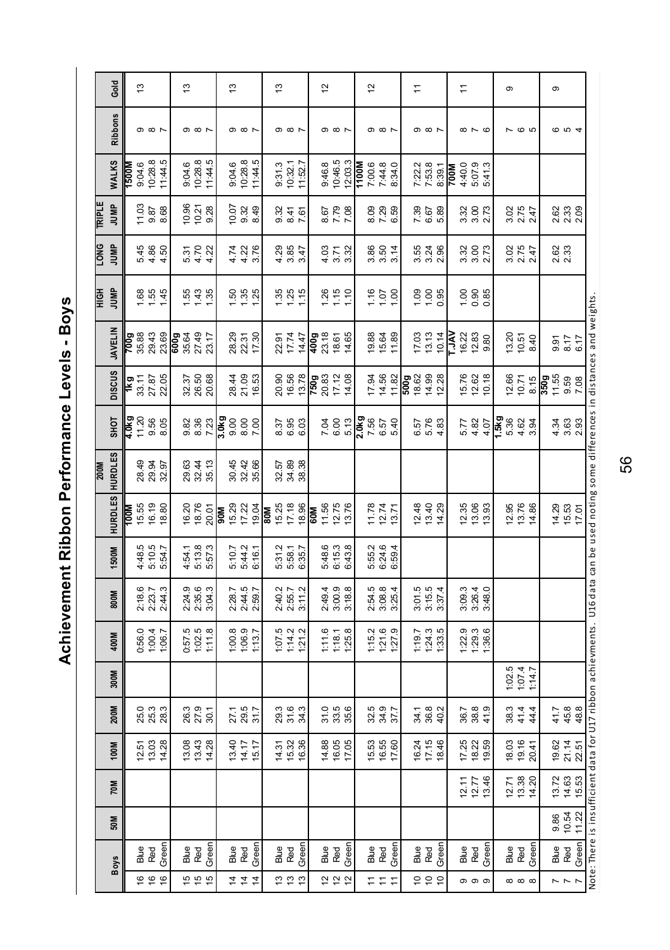Achievement Ribbon Performance Levels - Boys **Achievement Ribbon Performance Levels - Boys**

|               | Gold           |              | $\frac{3}{2}$     |                                                      |         | 13                                         |                            |         |            | 13                                                        |                        |       |            | $\frac{3}{2}$                |                        |                                  |            | 5                                 |                                 |         |                               | $\overline{c}$ |                            |       | $\stackrel{1}{\rightarrow}$           |                         |                                 |             | $\stackrel{1}{\rightarrow}$ |                               |                                   | ၜ           |                               |        |                            | Φ            |                                      |                                                                                                                                     |
|---------------|----------------|--------------|-------------------|------------------------------------------------------|---------|--------------------------------------------|----------------------------|---------|------------|-----------------------------------------------------------|------------------------|-------|------------|------------------------------|------------------------|----------------------------------|------------|-----------------------------------|---------------------------------|---------|-------------------------------|----------------|----------------------------|-------|---------------------------------------|-------------------------|---------------------------------|-------------|-----------------------------|-------------------------------|-----------------------------------|-------------|-------------------------------|--------|----------------------------|--------------|--------------------------------------|-------------------------------------------------------------------------------------------------------------------------------------|
|               | <b>Ribbons</b> |              |                   | $\circ$ $\circ$ $\sim$                               |         |                                            | $\circ$ $\circ$ $\sim$     |         |            |                                                           | $\circ$ $\circ$ $\sim$ |       |            |                              | $\circ$ $\circ$ $\sim$ |                                  |            |                                   | $\circ$ $\circ$ $\sim$          |         |                               |                | $\circ$ $\circ$ $\sim$     |       |                                       | $\circ$ $\circ$ $\sim$  |                                 |             |                             | $\infty$ $\sim$ $\infty$      |                                   |             | ဖေ                            |        |                            |              | <b>© ഗ</b> 4                         |                                                                                                                                     |
|               | WALKS          | <b>N0091</b> | 9:04.6<br>10:28.8 |                                                      | 11:44.5 | 9:04.6                                     | 10:28.8                    | 11:44.5 |            | 9:04.6                                                    | 10:28.8<br>11:44.5     |       |            | 9:31.3                       | 10:32.1                | 11:52.7                          |            |                                   | 9:46.8<br>10:46.5               | 12:03.3 | 1100M                         | 7:00.6         | 7:44.8<br>8:34.0           |       |                                       |                         | 7:22.2<br>7:53.8<br>8:39.1      | <b>M00Z</b> | 4:40.0                      | 5:07.9<br>5:41.3              |                                   |             |                               |        |                            |              |                                      |                                                                                                                                     |
| <b>TRIPLE</b> | JUMP           |              |                   | $\begin{array}{c} 11.03 \\ 9.87 \\ 8.68 \end{array}$ |         |                                            | 0.21<br>0.21<br>0.28       |         |            | $0.07$<br>9.32<br>8.49                                    |                        |       |            | 9.37<br>9.47<br>9.47         |                        |                                  |            |                                   | 8.79<br>8.79<br>7.39            |         |                               |                | 828<br>828                 |       |                                       | 7.89<br>6.67<br>5.89    |                                 |             |                             | 3.30<br>3.30<br>2.73          |                                   |             | 3.05<br>2.47<br>2.47          |        |                            |              | 8<br>ខ្លី 8<br>ស្គី ស្គី             |                                                                                                                                     |
| <b>DNO</b>    | JUMP           |              |                   | 5.45<br>4.86<br>4.50                                 |         |                                            | 5.7<br>5.4.22<br>5.4.4     |         |            | $4.38$<br>$4.38$<br>$5.8$                                 |                        |       |            | $4887$<br>$387$              |                        |                                  |            |                                   | 3<br>3<br>4<br>3<br>3<br>3<br>3 |         |                               |                | 86 16 14<br>3 3 3 3        |       |                                       |                         | 55<br>35<br>35<br>20            |             |                             | 3<br>3 3 7<br>3 3 7           |                                   |             | 3.05<br>2.47<br>2.47          |        |                            | 2.62<br>2.33 |                                      |                                                                                                                                     |
| HOIH          | JUMP           |              |                   | $1.56$<br>$1.45$                                     |         |                                            | 5235                       |         |            |                                                           |                        |       |            | $\frac{35}{10}$              |                        |                                  |            | $\frac{26}{15}$                   |                                 |         |                               |                | $\frac{16}{100}$           |       |                                       |                         | $\frac{8}{10}$ 8 $\frac{8}{10}$ |             |                             |                               |                                   |             |                               |        |                            |              |                                      |                                                                                                                                     |
|               | <b>JAVELIN</b> |              |                   | 0<br>08 33 33<br>2 33 33                             |         | <b>9</b><br>8 - 5 - 5 - 5<br>8 - 5 - 5 - 6 |                            |         |            | 28.29<br>22.37<br>17.30                                   |                        |       |            |                              |                        | 22.81<br>17.74<br>14.47          |            | 909<br>23.16<br>14.65<br>14.65    |                                 |         |                               |                | 19.89<br>15.64<br>11.89    |       |                                       | $17.03$<br>$13.13$      | 10.14                           | Ř           |                             | $16.22$<br>$0.33$<br>$0.80$   |                                   |             | 13.20<br>10.51<br>8.40        |        |                            |              | 9.57<br>8.17<br>6.17                 | Note: There is insufficient data for U17 ribbon achievments. U16 data can be used noting some differences in distances and weights. |
|               | <b>DISCUS</b>  |              |                   | <b>1kg</b><br>33.17<br>27.87<br>22.05                |         |                                            | 32.37<br>26.58<br>20.68    |         |            | 28.4<br>21.653<br>16.53                                   |                        |       |            |                              |                        | 20.90<br>16.56<br>13.78          |            | <b>PS</b><br>2009<br>2012<br>2014 |                                 |         |                               |                | $\frac{17.94}{14.56}$      |       | <b>00</b><br>002<br>002<br>002<br>002 |                         |                                 |             |                             | 15.76<br>12.62<br>10.18       |                                   |             | $12.66$<br>$10.71$<br>$8.15$  |        | 862<br>952<br><b>6</b> 098 |              |                                      |                                                                                                                                     |
|               | SHOT           |              |                   | 4.0Kg<br>1 20<br>4 1 20<br>9 8 9                     |         |                                            | 8<br>8 8 8<br>9 8 7        |         | 3.0kg      | 8<br>8<br>8<br>8<br>8<br>7<br>2                           |                        |       |            |                              |                        | 37<br>8.95<br>8.9                |            |                                   | 7.65<br>6.65                    |         | 3.0kg<br>7.56<br>5.57<br>5.40 |                |                            |       |                                       |                         | 6.57<br>6.78<br>4.83            |             |                             | 5.28<br>4.82<br>4.4           | <b>15</b><br>56<br>26 35<br>26 35 |             |                               |        |                            |              | 3<br>3<br>3<br>3<br>3<br>2<br>3<br>3 |                                                                                                                                     |
| 200M          | <b>HURDLES</b> |              |                   | 9<br>8<br>8<br>8<br>8<br>8<br>8<br>9<br>8            |         |                                            | 28<br>28<br>28<br>28       |         |            | 30.45<br>30.31<br>35.98                                   |                        |       |            | 57<br>23<br>33<br>38<br>38   |                        |                                  |            |                                   |                                 |         |                               |                |                            |       |                                       |                         |                                 |             |                             |                               |                                   |             |                               |        |                            |              |                                      |                                                                                                                                     |
|               | <b>HURDLES</b> | <b>NOOL</b>  |                   | $15.55$<br>$15.30$<br>$15.30$                        |         |                                            | 16.20<br>18.76<br>20.01    |         | <b>MOG</b> |                                                           |                        |       | <b>Mus</b> | $15.25$<br>$7.18$<br>$18.96$ |                        |                                  | <b>NOS</b> | 11.56<br>12.76<br>13.76           |                                 |         |                               |                | 11.78<br>12.74<br>13.71    |       |                                       |                         | 12.48<br>12.40<br>14.29         |             |                             | 2.36<br>2.93<br>2.93          |                                   |             | 2 3 4 3<br>2 3 4 3<br>2 4 3 6 |        |                            |              | $14.29$<br>$15.53$<br>$17.01$        |                                                                                                                                     |
|               | 1500M          |              |                   | 4:48.5<br>5:10.5<br>5:54.7                           |         | 4:54.1                                     | 5:13.8<br>5:57.3           |         |            | 5:10.7<br>5:44.2<br>6:16.1                                |                        |       |            |                              |                        | 5:31.2<br>5:58.7<br>6:35.7       |            |                                   | 5:48.6<br>6:15.3<br>6:43.8      |         |                               |                | 5:55.2<br>6:24.6<br>6:59.4 |       |                                       |                         |                                 |             |                             |                               |                                   |             |                               |        |                            |              |                                      |                                                                                                                                     |
|               | 800M           |              |                   | 218.6<br>2:23.7<br>2:44.3                            |         |                                            | 2:24.9<br>2:35.9<br>2:36   |         |            | 2:28.7<br>2:44.5<br>2:59.7                                |                        |       |            | 2:40.2<br>2:55.7             |                        | 3:11.2                           |            |                                   | 2:49.4<br>3:00.9                | 3:18.8  |                               |                | 2:54.8<br>3:08.4<br>3:25.4 |       |                                       |                         | 3:01.5<br>3:15.5<br>3:37.4      |             |                             | 3:09.3<br>3:26.9<br>3:48.0    |                                   |             |                               |        |                            |              |                                      |                                                                                                                                     |
|               | 400M           |              |                   | 0:56.0<br>1:00.4<br>1:06.7                           |         |                                            | 0:57.5<br>1:02.5<br>1:11.8 |         |            | $\begin{array}{c} 1.00.8 \\ 1.06.9 \\ 1.13.7 \end{array}$ |                        |       |            |                              |                        | $1:07.5$<br>$1:14.2$<br>$1:21.2$ |            | 1:11.6                            | 1:18.1                          | 1:25.8  |                               |                | $\frac{1152}{127.9}$       |       |                                       |                         | $\frac{119.7}{124.3}$           |             |                             | $129.3$<br>$129.3$<br>$136.6$ |                                   |             |                               |        |                            |              |                                      |                                                                                                                                     |
|               | 300M           |              |                   |                                                      |         |                                            |                            |         |            |                                                           |                        |       |            |                              |                        |                                  |            |                                   |                                 |         |                               |                |                            |       |                                       |                         |                                 |             |                             |                               |                                   |             | 1:02.5                        | 1:14.7 |                            |              |                                      |                                                                                                                                     |
|               | 200M           |              |                   | 0<br>0<br>0<br>0<br>0<br>0<br>0<br>0<br>0            |         |                                            | 26.3<br>27.9<br>30.1       |         |            | 27.1<br>29.5<br>31.7                                      |                        |       |            | 29.3<br>29.43<br>29.53       |                        |                                  |            |                                   | 31.5<br>33.5<br>35.6            |         |                               |                | 32.5<br>34.9<br>37.7       |       |                                       |                         | $34.8$<br>$36.2$<br>$40.2$      |             |                             | 36.7<br>38.8<br>41.9          |                                   | 38.3        | 41.4                          | 44.4   |                            |              | $41.7$<br>$45.8$<br>$48.8$           |                                                                                                                                     |
|               | 100M           |              |                   | 1257<br>13.03<br>14.28                               |         |                                            | 13.43<br>13.43<br>14.28    |         |            | 13.40<br>14.17                                            |                        | 15.17 |            | 14.31<br>15.32<br>16.36      |                        |                                  |            |                                   | 14.88<br>16.05<br>17.05         |         |                               |                | 15.53<br>16.59<br>17.60    |       |                                       | 16.24<br>17.15<br>18.46 |                                 |             |                             | 7.25<br>12.23<br>19.59        |                                   |             | នេះ<br>ខេត្ត<br>ខេត្ត         |        |                            |              | 19.62<br>21.14<br>22.51              |                                                                                                                                     |
|               | 70M            |              |                   |                                                      |         |                                            |                            |         |            |                                                           |                        |       |            |                              |                        |                                  |            |                                   |                                 |         |                               |                |                            |       |                                       |                         |                                 |             |                             | 12.77<br>12.78<br>13.46       |                                   |             | 2 3 3 2<br>2 3 3 2<br>2 4 2 0 |        |                            |              | 13.72<br>14.63<br>15.53              |                                                                                                                                     |
|               | 50M            |              |                   |                                                      |         |                                            |                            |         |            |                                                           |                        |       |            |                              |                        |                                  |            |                                   |                                 |         |                               |                |                            |       |                                       |                         |                                 |             |                             |                               |                                   |             |                               |        |                            |              | 9.86<br>10.54<br>11.22               |                                                                                                                                     |
|               | Boys           |              | Blue              | Red                                                  | Green   | Blue                                       | Red                        | Green   |            | Blue<br>Red                                               |                        | Green |            | Blue<br>Red                  |                        | Green                            |            |                                   | Blue<br>Red                     | Green   |                               | Blue           | Red                        | Green |                                       | Blue<br>Red             | Green                           |             |                             | Blue<br>Red<br>Green          |                                   | Blue<br>Red |                               | Green  |                            | Blue<br>Red  |                                      | Green                                                                                                                               |
|               |                |              |                   | 999                                                  |         |                                            | $15 - 15$                  |         |            | コココ                                                       |                        |       |            |                              |                        | r s s                            |            |                                   | 2 2 2                           |         |                               |                | a a a                      |       |                                       | 5 5 5                   |                                 |             |                             | ၀ ၀ ၀                         |                                   |             | $\infty$ $\infty$             |        |                            |              | $\sim$ $\sim$ $\sim$                 |                                                                                                                                     |

56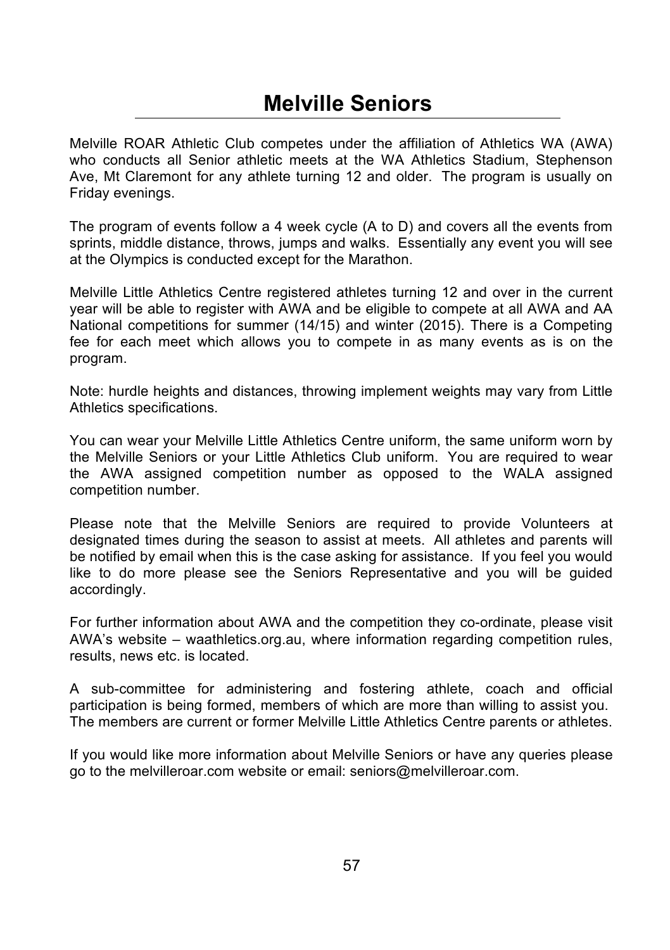### **Melville Seniors**

Melville ROAR Athletic Club competes under the affiliation of Athletics WA (AWA) who conducts all Senior athletic meets at the WA Athletics Stadium, Stephenson Ave, Mt Claremont for any athlete turning 12 and older. The program is usually on Friday evenings.

The program of events follow a 4 week cycle (A to D) and covers all the events from sprints, middle distance, throws, jumps and walks. Essentially any event you will see at the Olympics is conducted except for the Marathon.

Melville Little Athletics Centre registered athletes turning 12 and over in the current year will be able to register with AWA and be eligible to compete at all AWA and AA National competitions for summer (14/15) and winter (2015). There is a Competing fee for each meet which allows you to compete in as many events as is on the program.

Note: hurdle heights and distances, throwing implement weights may vary from Little Athletics specifications.

You can wear your Melville Little Athletics Centre uniform, the same uniform worn by the Melville Seniors or your Little Athletics Club uniform. You are required to wear the AWA assigned competition number as opposed to the WALA assigned competition number.

Please note that the Melville Seniors are required to provide Volunteers at designated times during the season to assist at meets. All athletes and parents will be notified by email when this is the case asking for assistance. If you feel you would like to do more please see the Seniors Representative and you will be guided accordingly.

For further information about AWA and the competition they co-ordinate, please visit AWA's website – waathletics.org.au, where information regarding competition rules, results, news etc. is located.

A sub-committee for administering and fostering athlete, coach and official participation is being formed, members of which are more than willing to assist you. The members are current or former Melville Little Athletics Centre parents or athletes.

If you would like more information about Melville Seniors or have any queries please go to the melvilleroar.com website or email: seniors@melvilleroar.com.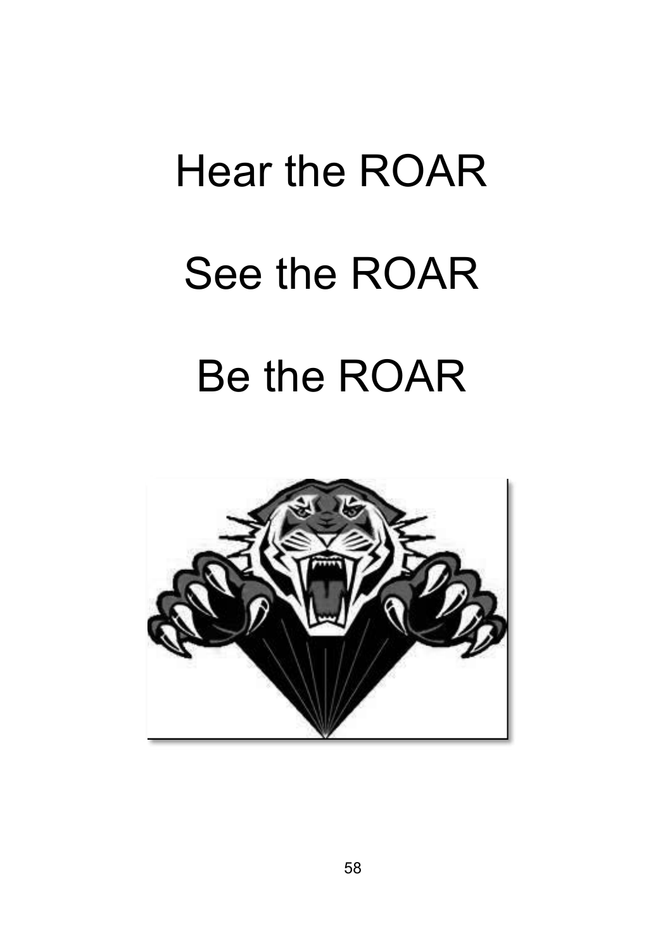# Hear the ROAR See the ROAR Be the ROAR